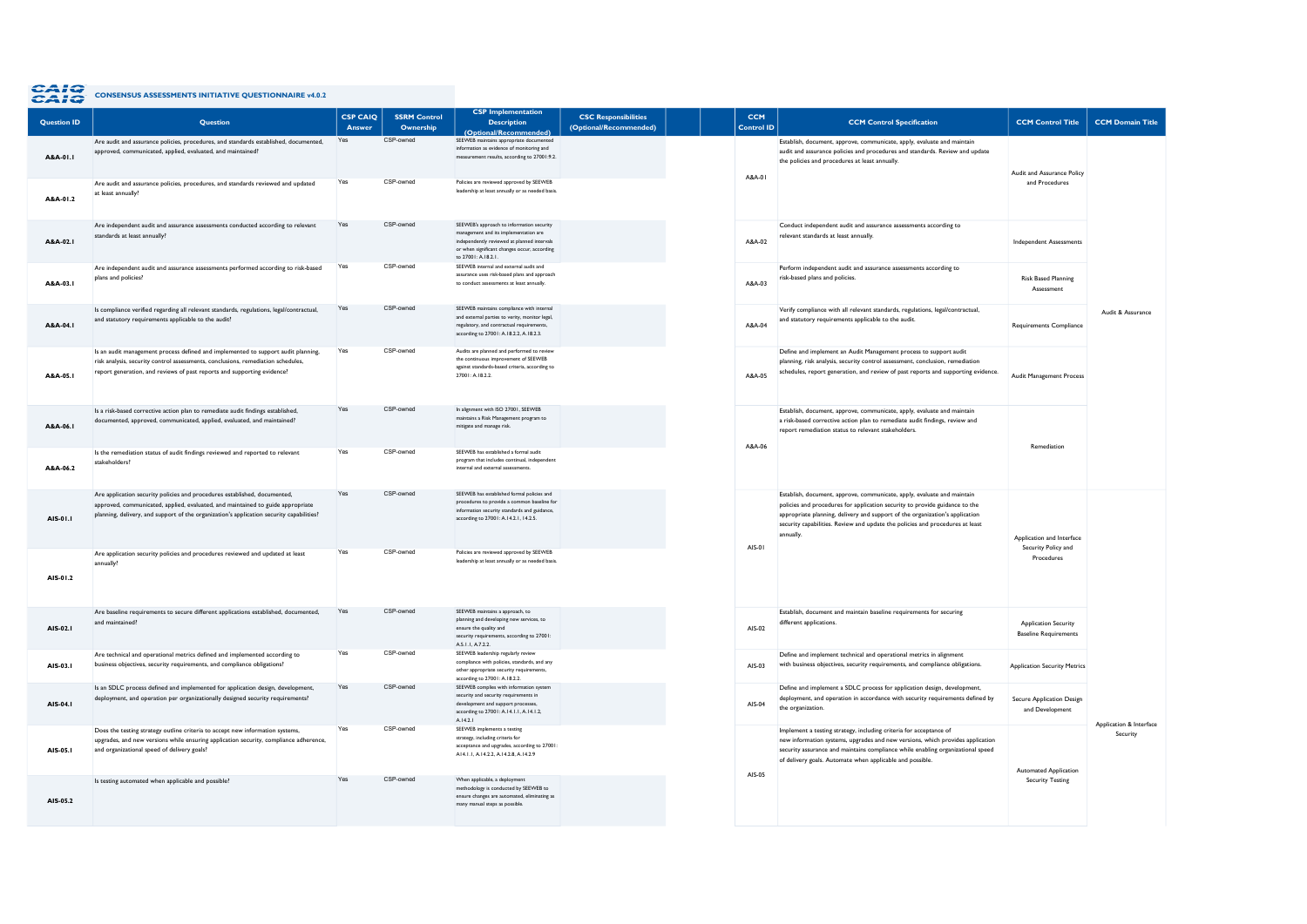## CAIC CONSENSUS ASSESSMENTS INITIATIVE QUESTIONNAIRE v4.0.2

| <b>Question ID</b> | <b>Ouestion</b>                                                                                                                                                                                                                                          | <b>CSP CAIQ</b><br>Answer | <b>SSRM Control</b><br>Ownership | <b>Description</b><br>(Optional/Recommended)                                                                                                                                                             | <b>CSC Responsibilities</b><br>(Optional/Recommended) | <b>CCM</b><br><b>Control ID</b> | <b>CCM Control Specification</b>                                                                                                                                                                                                                                                                                                     | <b>CCM Control Title</b>                                    | <b>CCM Domain Title</b> |
|--------------------|----------------------------------------------------------------------------------------------------------------------------------------------------------------------------------------------------------------------------------------------------------|---------------------------|----------------------------------|----------------------------------------------------------------------------------------------------------------------------------------------------------------------------------------------------------|-------------------------------------------------------|---------------------------------|--------------------------------------------------------------------------------------------------------------------------------------------------------------------------------------------------------------------------------------------------------------------------------------------------------------------------------------|-------------------------------------------------------------|-------------------------|
| A&A-01.1           | Are audit and assurance policies, procedures, and standards established, documented,<br>approved, communicated, applied, evaluated, and maintained?                                                                                                      | Yes                       | CSP-owned                        | SEEWEB maintains appropriate documented<br>information as evidence of monitoring and<br>measurement results, according to 27001:9.2.                                                                     |                                                       | A&A-01                          | Establish, document, approve, communicate, apply, evaluate and maintain<br>audit and assurance policies and procedures and standards. Review and update<br>the policies and procedures at least annually.                                                                                                                            | Audit and Assurance Policy                                  |                         |
| A&A-01.2           | Are audit and assurance policies, procedures, and standards reviewed and updated<br>at least annually?                                                                                                                                                   | Yes                       | CSP-owned                        | Policies are reviewed approved by SEEWEB<br>leadership at least annually or as needed basis.                                                                                                             |                                                       |                                 |                                                                                                                                                                                                                                                                                                                                      | and Procedures                                              |                         |
| A&A-02.I           | Are independent audit and assurance assessments conducted according to relevant<br>standards at least annually?                                                                                                                                          | Yes                       | CSP-owned                        | SEEWEB's approach to information security<br>management and its implementation are<br>independently reviewed at planned intervals<br>or when significant changes occur, according<br>to 27001: A.18.2.1. |                                                       | A&A-02                          | Conduct independent audit and assurance assessments according to<br>relevant standards at least annually.                                                                                                                                                                                                                            | <b>Independent Assessments</b>                              |                         |
| A&A-03.I           | Are independent audit and assurance assessments performed according to risk-based<br>plans and policies?                                                                                                                                                 | Yes                       | CSP-owned                        | SEEWEB internal and external audit and<br>assurance uses risk-based plans and approach<br>to conduct assessments at least annually                                                                       |                                                       | A&A-03                          | Perform independent audit and assurance assessments according to<br>risk-based plans and policies.                                                                                                                                                                                                                                   | <b>Risk Based Planning</b><br>Assessment                    |                         |
| A&A-04.1           | Is compliance verified regarding all relevant standards, regulations, legal/contractual,<br>and statutory requirements applicable to the audit?                                                                                                          | Yes                       | CSP-owned                        | SEEWEB maintains compliance with internal<br>and external parties to verity, monitor legal.<br>regulatory, and contractual requirements,<br>according to 27001: A.18.2.2, A.18.2.3.                      |                                                       | A&A-04                          | Verify compliance with all relevant standards, regulations, legal/contractual,<br>and statutory requirements applicable to the audit.                                                                                                                                                                                                | Requirements Compliance                                     | Audit & Assurance       |
| A&A-05.I           | Is an audit management process defined and implemented to support audit planning.<br>risk analysis, security control assessments, conclusions, remediation schedules,<br>report generation, and reviews of past reports and supporting evidence?         | Yes                       | CSP-owned                        | Audits are planned and performed to review<br>the continuous improvement of SEEWEB<br>against standards-based criteria according to<br>27001: A.18.2.2.                                                  |                                                       | A&A-05                          | Define and implement an Audit Management process to support audit<br>planning, risk analysis, security control assessment, conclusion, remediation<br>schedules, report generation, and review of past reports and supporting evidence.                                                                                              | Audit Management Process                                    |                         |
| A&A-06.I           | Is a risk-based corrective action plan to remediate audit findings established,<br>documented, approved, communicated, applied, evaluated, and maintained?                                                                                               | Yes                       | CSP-owned                        | In alignment with ISO 27001, SEEWEB<br>maintains a Risk Management program to<br>mitigate and manage risk.                                                                                               |                                                       | A&A-06                          | Establish, document, approve, communicate, apply, evaluate and maintain<br>a risk-based corrective action plan to remediate audit findings, review and<br>report remediation status to relevant stakeholders.                                                                                                                        | Remediation                                                 |                         |
| A&A-062            | Is the remediation status of audit findings reviewed and reported to relevant<br>stakeholders?                                                                                                                                                           | Yes                       | CSP-owned                        | SEEWER has established a formal audit<br>program that includes continual, independent<br>internal and external assessments                                                                               |                                                       |                                 |                                                                                                                                                                                                                                                                                                                                      |                                                             |                         |
| AIS-01.1           | Are application security policies and procedures established, documented,<br>approved, communicated, applied, evaluated, and maintained to guide appropriate<br>planning, delivery, and support of the organization's application security capabilities? | Yes                       | CSP-owned                        | SEEWEB has established formal policies and<br>procedures to provide a common baseline for<br>information security standards and guidance,<br>according to 27001: A.14.2.1, 14.2.5.                       |                                                       | AIS-01                          | Establish, document, approve, communicate, apply, evaluate and maintain<br>policies and procedures for application security to provide guidance to the<br>appropriate planning, delivery and support of the organization's application<br>security capabilities. Review and update the policies and procedures at least<br>annually. | Application and Interface<br>Security Policy and            |                         |
| AIS-01.2           | Are application security policies and procedures reviewed and updated at least<br>annually?                                                                                                                                                              | Yes                       | CSP-owned                        | Policies are reviewed approved by SEEWER<br>leadership at least annually or as needed basis.                                                                                                             |                                                       |                                 |                                                                                                                                                                                                                                                                                                                                      | Procedures                                                  |                         |
| AIS-02.1           | Are baseline requirements to secure different applications established, documented,<br>and maintained?                                                                                                                                                   | Yes                       | CSP-owned                        | SEEWEB maintains a approach, to<br>planning and developing new services, to<br>ensure the quality and<br>security requirements, according to 27001:<br>A.S.I.I, A.7.2.2.                                 |                                                       | AIS-02                          | Establish, document and maintain baseline requirements for securing<br>different applications.                                                                                                                                                                                                                                       | <b>Application Security</b><br><b>Baseline Requirements</b> |                         |
| AIS-03.1           | Are technical and operational metrics defined and implemented according to<br>business objectives, security requirements, and compliance obligations?                                                                                                    | Yes                       | CSP-owned                        | SEEWEB leadership regularly review<br>compliance with policies, standards, and any<br>other appropriate security requirements.<br>according to 27001: A.18.2.2.                                          |                                                       | AIS-03                          | Define and implement technical and operational metrics in alignment<br>with business objectives, security requirements, and compliance obligations.                                                                                                                                                                                  | <b>Application Security Metrics</b>                         |                         |
| AIS-04.1           | Is an SDLC process defined and implemented for application design, development,<br>deployment, and operation per organizationally designed security requirements?                                                                                        | Yes                       | CSP-owned                        | SEEWEB complies with information system<br>security and security requirements in<br>development and support processes,<br>according to 27001: A.14.1.1, A.14.1.2,<br>A 1421                              |                                                       | AIS-04                          | Define and implement a SDLC process for application design, development,<br>deployment, and operation in accordance with security requirements defined by<br>the organization.                                                                                                                                                       | Secure Application Design<br>and Development                | Application & Interface |
| AIS-05.1           | Does the testing strategy outline criteria to accept new information systems,<br>upgrades, and new versions while ensuring application security, compliance adherence,<br>and organizational speed of delivery goals?                                    | Yes                       | CSP-owned                        | SEEWEB implements a testing<br>strategy, including criteria for<br>acceptance and upgrades, according to 27001:<br>A14.1.1, A.14.2.2, A.14.2.8, A.14.2.9                                                 |                                                       | AIS-05                          | Implement a testing strategy, including criteria for acceptance of<br>new information systems, upgrades and new versions, which provides application<br>security assurance and maintains compliance while enabling organizational speed<br>of delivery goals. Automate when applicable and possible.                                 | <b>Automated Application</b>                                | Security                |
| AIS-05.2           | Is testing automated when applicable and possible?                                                                                                                                                                                                       | Yes                       | CSP-owned                        | When applicable, a deployment<br>methodology is conducted by SEEWEB to<br>ensure changes are automated, eliminating as<br>many manual steps as possible.                                                 |                                                       |                                 |                                                                                                                                                                                                                                                                                                                                      | <b>Security Testing</b>                                     |                         |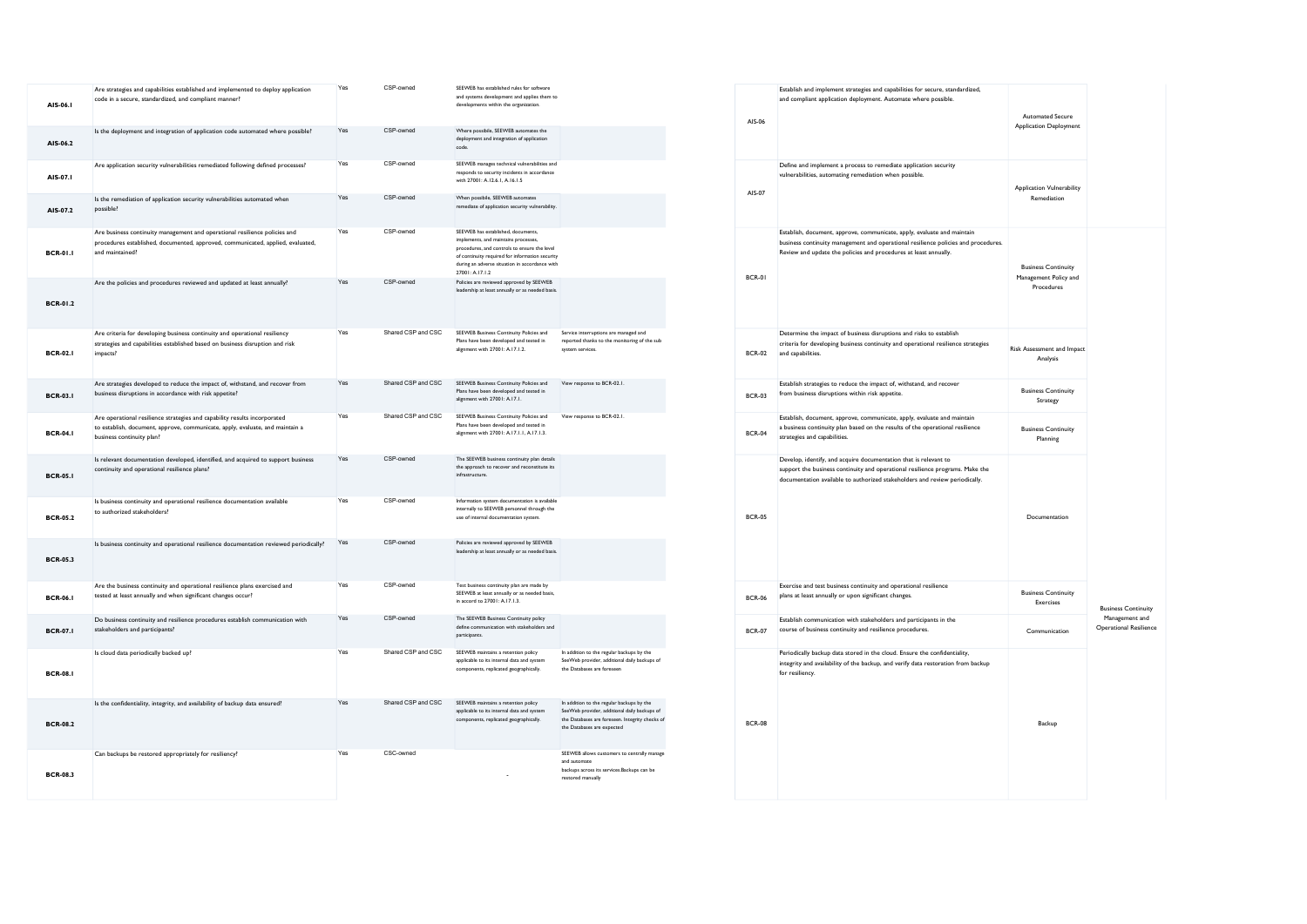| AIS-06.1        | Are strategies and capabilities established and implemented to deploy application<br>code in a secure, standardized, and compliant manner?                                              | Yes | CSP-owned          | SEEWEB has established rules for software<br>and systems development and applies them to<br>developments within the organization.                                                                                                                  |                                                                                                                                                                            | AIS-06        |
|-----------------|-----------------------------------------------------------------------------------------------------------------------------------------------------------------------------------------|-----|--------------------|----------------------------------------------------------------------------------------------------------------------------------------------------------------------------------------------------------------------------------------------------|----------------------------------------------------------------------------------------------------------------------------------------------------------------------------|---------------|
| AIS-06.2        | Is the deployment and integration of application code automated where possible?                                                                                                         | Yes | CSP-owned          | Where possibile, SEEWEB automates the<br>deployment and integration of application<br>code.                                                                                                                                                        |                                                                                                                                                                            |               |
| AIS-07.1        | Are application security vulnerabilities remediated following defined processes?                                                                                                        | Yes | CSP-owned          | SEEWEB manages technical vulnerabilities and<br>responds to security incidents in accordance<br>with 27001: A.12.6.1, A.16.1.5                                                                                                                     |                                                                                                                                                                            | AIS-07        |
| AIS-07.2        | Is the remediation of application security vulnerabilities automated when<br>possible?                                                                                                  | Yes | CSP-owned          | When possibile, SEEWEB automates<br>remediate of application security vulnerability.                                                                                                                                                               |                                                                                                                                                                            |               |
| <b>BCR-01.1</b> | Are business continuity management and operational resilience policies and<br>procedures established, documented, approved, communicated, applied, evaluated,<br>and maintained?        | Yes | CSP-owned          | SEEWEB has established, documents,<br>implements, and maintains processes.<br>procedures, and controls to ensure the level<br>of continuity required for information security<br>during an adverse situation in accordance with<br>27001: A.17.1.2 |                                                                                                                                                                            | <b>BCR-01</b> |
| <b>BCR-01.2</b> | Are the policies and procedures reviewed and updated at least annually?                                                                                                                 | Yes | CSP-owned          | Policies are reviewed approved by SEEWEB<br>leadership at least annually or as needed basis.                                                                                                                                                       |                                                                                                                                                                            |               |
| <b>BCR-02.1</b> | Are criteria for developing business continuity and operational resiliency<br>strategies and capabilities established based on business disruption and risk<br>impacts?                 | Yes | Shared CSP and CSC | SEEWEB Business Continuity Policies and<br>Plans have been developed and tested in<br>alignment with 27001: A.17.1.2.                                                                                                                              | Service interruptions are managed and<br>reported thanks to the monitoring of the sub<br>system services.                                                                  | <b>BCR-02</b> |
| <b>BCR-03.1</b> | Are strategies developed to reduce the impact of, withstand, and recover from<br>business disruptions in accordance with risk appetite?                                                 | Yes | Shared CSP and CSC | SEEWEB Business Continuity Policies and<br>Plans have been developed and tested in<br>alignment with 27001: A.17.1.                                                                                                                                | View response to BCR-02.1.                                                                                                                                                 | <b>BCR-03</b> |
| <b>BCR-04.1</b> | Are operational resilience strategies and capability results incorporated<br>to establish, document, approve, communicate, apply, evaluate, and maintain a<br>business continuity plan? | Yes | Shared CSP and CSC | SEEWEB Business Continuity Policies and<br>Plans have been developed and tested in<br>alignment with 27001: A.17.1.1, A.17.1.3.                                                                                                                    | View response to BCR-02.1.                                                                                                                                                 | <b>BCR-04</b> |
| <b>BCR-05.1</b> | Is relevant documentation developed, identified, and acquired to support business<br>continuity and operational resilience plans?                                                       | Yes | CSP-owned          | The SEEWEB business continuity plan details<br>the approach to recover and reconstitute its<br>infrastructure.                                                                                                                                     |                                                                                                                                                                            |               |
| <b>BCR-05.2</b> | Is business continuity and operational resilience documentation available<br>to authorized stakeholders?                                                                                | Yes | CSP-owned          | Information system documentation is available<br>internally to SEEWEB personnel through the<br>use of internal documentation system.                                                                                                               |                                                                                                                                                                            | <b>BCR-05</b> |
| <b>BCR-05.3</b> | Is business continuity and operational resilience documentation reviewed periodically?                                                                                                  | Yes | CSP-owned          | Policies are reviewed approved by SEEWEB<br>leadership at least annually or as needed basis.                                                                                                                                                       |                                                                                                                                                                            |               |
| <b>BCR-06.1</b> | Are the business continuity and operational resilience plans exercised and<br>tested at least annually and when significant changes occur?                                              | Yes | CSP-owned          | Test business continuity plan are made by<br>SEEWEB at least annually or as needed basis,<br>in accord to 27001: A.17.1.3.                                                                                                                         |                                                                                                                                                                            | <b>BCR-06</b> |
| <b>BCR-07.1</b> | Do business continuity and resilience procedures establish communication with<br>stakeholders and participants?                                                                         | Yes | CSP-owned          | The SEEWEB Business Continuity policy<br>define communication with stakeholders and<br>participants.                                                                                                                                               |                                                                                                                                                                            | <b>BCR-07</b> |
| <b>BCR-08.1</b> | Is cloud data periodically backed up?                                                                                                                                                   | Yes | Shared CSP and CSC | SEEWEB maintains a retention policy<br>applicable to its internal data and system<br>components, replicated geographically.                                                                                                                        | In addition to the regular backups by the<br>SeeWeb provider, additional daily backups of<br>the Databases are foreseer                                                    |               |
| <b>BCR-08.2</b> | Is the confidentiality, integrity, and availability of backup data ensured?                                                                                                             | Yes | Shared CSP and CSC | SEEWEB maintains a retention policy<br>applicable to its internal data and system<br>components, replicated geographically.                                                                                                                        | In addition to the regular backups by the<br>SeeWeb provider, additional daily backups of<br>the Databases are foreseen. Integrity checks of<br>the Databases are expected | <b>BCR-08</b> |
| <b>BCR-08.3</b> | Can backups be restored appropriately for resiliency?                                                                                                                                   | Yes | CSC-owned          |                                                                                                                                                                                                                                                    | SEEWEB allows customers to centrally manage<br>and automate<br>backups across its services.Backups can be<br>restored manually                                             |               |

| AIS-06        | Establish and implement strategies and capabilities for secure, standardized,<br>and compliant application deployment. Automate where possible.                                                                                   | <b>Automated Secure</b><br><b>Application Deployment</b>          |                                                 |
|---------------|-----------------------------------------------------------------------------------------------------------------------------------------------------------------------------------------------------------------------------------|-------------------------------------------------------------------|-------------------------------------------------|
| AIS-07        | Define and implement a process to remediate application security<br>vulnerabilities, automating remediation when possible.                                                                                                        | <b>Application Vulnerability</b><br>Remediation                   |                                                 |
| BCR-01        | Establish, document, approve, communicate, apply, evaluate and maintain<br>business continuity management and operational resilience policies and procedures.<br>Review and update the policies and procedures at least annually. | <b>Business Continuity</b><br>Management Policy and<br>Procedures |                                                 |
| <b>BCR-02</b> | Determine the impact of business disruptions and risks to establish<br>criteria for developing business continuity and operational resilience strategies<br>and capabilities.                                                     | Risk Assessment and Impact<br>Analysis                            |                                                 |
| <b>BCR-03</b> | Establish strategies to reduce the impact of, withstand, and recover<br>from business disruptions within risk appetite.                                                                                                           | <b>Business Continuity</b><br>Strategy                            |                                                 |
| <b>BCR-04</b> | Establish, document, approve, communicate, apply, evaluate and maintain<br>a business continuity plan based on the results of the operational resilience<br>strategies and capabilities.                                          | <b>Business Continuity</b><br>Planning                            |                                                 |
| <b>BCR-05</b> | Develop, identify, and acquire documentation that is relevant to<br>support the business continuity and operational resilience programs. Make the<br>documentation available to authorized stakeholders and review periodically.  | Documentation                                                     |                                                 |
| <b>BCR-06</b> | Exercise and test business continuity and operational resilience<br>plans at least annually or upon significant changes.                                                                                                          | <b>Business Continuity</b><br><b>Exercises</b>                    | <b>Business Continuity</b>                      |
| <b>BCR-07</b> | Establish communication with stakeholders and participants in the<br>course of business continuity and resilience procedures.                                                                                                     | Communication                                                     | Management and<br><b>Operational Resilience</b> |
| <b>BCR-08</b> | Periodically backup data stored in the cloud. Ensure the confidentiality,<br>integrity and availability of the backup, and verify data restoration from backup<br>for resiliency.                                                 | Backup                                                            |                                                 |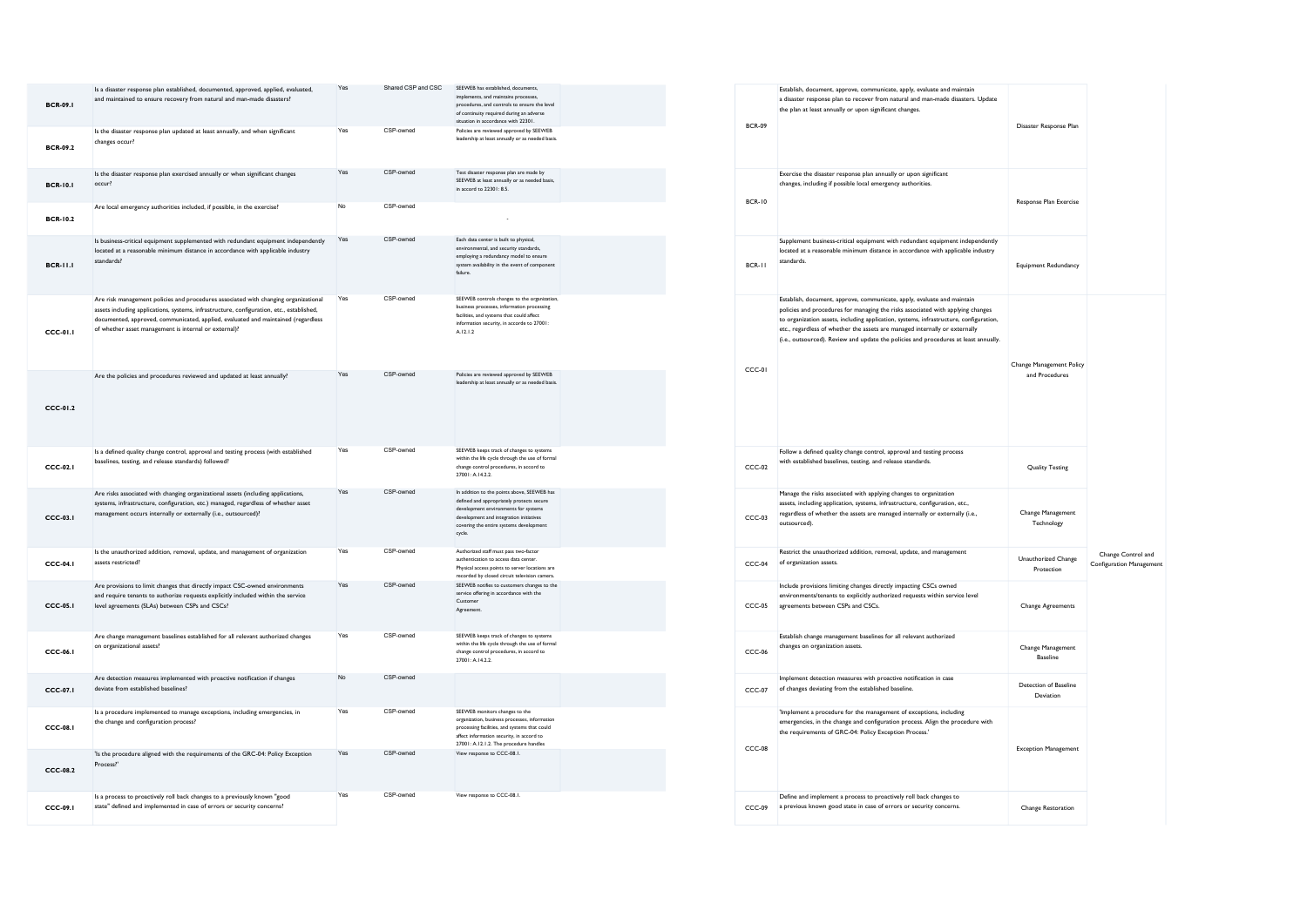| <b>BCR-09.1</b> | Is a disaster response plan established, documented, approved, applied, evaluated,<br>and maintained to ensure recovery from natural and man-made disasters?                                                                                                                                                                   | Yes | Shared CSP and CSC | SEEWEB has established, documents.<br>implements, and maintains processes,<br>procedures, and controls to ensure the level<br>of continuity required during an adverse<br>situation in accordance with 22301.                    |  |
|-----------------|--------------------------------------------------------------------------------------------------------------------------------------------------------------------------------------------------------------------------------------------------------------------------------------------------------------------------------|-----|--------------------|----------------------------------------------------------------------------------------------------------------------------------------------------------------------------------------------------------------------------------|--|
| <b>BCR-09.2</b> | Is the disaster response plan updated at least annually, and when significant<br>changes occur?                                                                                                                                                                                                                                | Yes | CSP-owned          | Policies are reviewed approved by SEEWEB<br>leadership at least annually or as needed basis.                                                                                                                                     |  |
| <b>BCR-10.1</b> | Is the disaster response plan exercised annually or when significant changes<br>occur?                                                                                                                                                                                                                                         | Yes | CSP-owned          | Test disaster response plan are made by<br>SEEWEB at least annually or as needed basis.<br>in accord to 22301: 8.5.                                                                                                              |  |
| <b>BCR-10.2</b> | Are local emergency authorities included, if possible, in the exercise?                                                                                                                                                                                                                                                        | No  | CSP-owned          |                                                                                                                                                                                                                                  |  |
| <b>BCR-11.1</b> | Is business-critical equipment supplemented with redundant equipment independently<br>located at a reasonable minimum distance in accordance with applicable industry<br>standards?                                                                                                                                            | Yes | CSP-owned          | Each data center is built to physical,<br>environmental, and security standards,<br>employing a redundancy model to ensure<br>system availability in the event of component<br>failure.                                          |  |
| CCC-01.1        | Are risk management policies and procedures associated with changing organizational<br>assets including applications, systems, infrastructure, configuration, etc., established,<br>documented, approved, communicated, applied, evaluated and maintained (regardless<br>of whether asset management is internal or external)? | Yes | CSP-owned          | SEEWEB controls changes to the organization,<br>business processes, information processing<br>facilities, and systems that could affect<br>information security, in accorde to 27001:<br>A.12.1.2                                |  |
| $CCC-01.2$      | Are the policies and procedures reviewed and updated at least annually?                                                                                                                                                                                                                                                        | Yes | CSP-owned          | Policies are reviewed approved by SEEWEB<br>leadership at least annually or as needed basis.                                                                                                                                     |  |
| CCCD1           | Is a defined quality change control, approval and testing process (with established<br>baselines, testing, and release standards) followed?                                                                                                                                                                                    | Yes | CSP-owned          | SEEWEB keeps track of changes to systems<br>within the life cycle through the use of formal<br>change control procedures, in accord to<br>27001: A.14.2.2.                                                                       |  |
| CCC-03.I        | Are risks associated with changing organizational assets (including applications,<br>systems, infrastructure, configuration, etc.) managed, regardless of whether asset<br>management occurs internally or externally (i.e., outsourced)?                                                                                      | Yes | CSP-owned          | In addition to the points above, SEEWEB has<br>defined and appropriately protects secure<br>development environments for systems<br>development and integration initiatives<br>covering the entire systems development<br>cycle. |  |
| CCC-04.1        | Is the unauthorized addition, removal, update, and management of organization<br>assets restricted?                                                                                                                                                                                                                            | Yes | CSP-owned          | Authorized staff must pass two-factor<br>authentication to access data center.<br>Physical access points to server locations are<br>recorded by closed circuit television camera.                                                |  |
| <b>CCC-05.1</b> | Are provisions to limit changes that directly impact CSC-owned environments<br>and require tenants to authorize requests explicitly included within the service<br>level agreements (SLAs) between CSPs and CSCs?                                                                                                              | Yes | CSP-owned          | SEEWEB notifies to customers changes to the<br>service offering in accordance with the<br>Customer<br>Agreement.                                                                                                                 |  |
| CCC-06.I        | Are change management baselines established for all relevant authorized changes<br>on organizational assets?                                                                                                                                                                                                                   | Yes | CSP-owned          | SEEWEB keeps track of changes to systems<br>within the life cycle through the use of formal<br>change control procedures, in accord to<br>27001-A1422                                                                            |  |
| CCC-07.I        | Are detection measures implemented with proactive notification if changes<br>deviate from established baselines?                                                                                                                                                                                                               | No  | CSP-owned          |                                                                                                                                                                                                                                  |  |
| CCC-08.1        | Is a procedure implemented to manage exceptions, including emergencies, in<br>the change and configuration process?                                                                                                                                                                                                            | Yes | CSP-owned          | SEEWEB monitors changes to the<br>organization, business processes, information<br>processing facilities, and systems that could<br>affect information security, in accord to<br>27001: A.12.1.2. The procedure handles          |  |
| CCC-08.2        | 'Is the procedure aligned with the requirements of the GRC-04: Policy Exception<br>Process?"                                                                                                                                                                                                                                   | Yes | CSP-owned          | View response to CCC-08.1.                                                                                                                                                                                                       |  |
| CCC-09.I        | Is a process to proactively roll back changes to a previously known "good<br>state" defined and implemented in case of errors or security concerns?                                                                                                                                                                            | Yes | CSP-owned          | View response to CCC-08.1.                                                                                                                                                                                                       |  |

| <b>BCR-09</b> | Establish, document, approve, communicate, apply, evaluate and maintain<br>a disaster response plan to recover from natural and man-made disasters. Update<br>the plan at least annually or upon significant changes.                                                                                                                                                                                                       | Disaster Response Plan                     |                                                |
|---------------|-----------------------------------------------------------------------------------------------------------------------------------------------------------------------------------------------------------------------------------------------------------------------------------------------------------------------------------------------------------------------------------------------------------------------------|--------------------------------------------|------------------------------------------------|
| <b>BCR-10</b> | Exercise the disaster response plan annually or upon significant<br>changes, including if possible local emergency authorities.                                                                                                                                                                                                                                                                                             | Response Plan Exercise                     |                                                |
| $BCR - I$     | Supplement business-critical equipment with redundant equipment independently<br>located at a reasonable minimum distance in accordance with applicable industry<br>standards.                                                                                                                                                                                                                                              | Equipment Redundancy                       |                                                |
| CCC-01        | Establish, document, approve, communicate, apply, evaluate and maintain<br>policies and procedures for managing the risks associated with applying changes<br>to organization assets, including application, systems, infrastructure, configuration,<br>etc., regardless of whether the assets are managed internally or externally<br>(i.e., outsourced). Review and update the policies and procedures at least annually. | Change Management Policy<br>and Procedures |                                                |
| $CCC-02$      | Follow a defined quality change control, approval and testing process<br>with established baselines, testing, and release standards.                                                                                                                                                                                                                                                                                        | <b>Quality Testing</b>                     |                                                |
| $CCC-03$      | Manage the risks associated with applying changes to organization<br>assets, including application, systems, infrastructure, configuration, etc.,<br>regardless of whether the assets are managed internally or externally (i.e.,<br>outsourced).                                                                                                                                                                           | Change Management<br>Technology            |                                                |
| $CCC-04$      | Restrict the unauthorized addition, removal, update, and management<br>of organization assets.                                                                                                                                                                                                                                                                                                                              | Unauthorized Change<br>Protection          | Change Control and<br>Configuration Management |
| $CCC-05$      | Include provisions limiting changes directly impacting CSCs owned<br>environments/tenants to explicitly authorized requests within service level<br>agreements between CSPs and CSCs.                                                                                                                                                                                                                                       | Change Agreements                          |                                                |
| $CCC-06$      | Establish change management baselines for all relevant authorized<br>changes on organization assets.                                                                                                                                                                                                                                                                                                                        | Change Management<br><b>Baseline</b>       |                                                |
| CCC-07        | Implement detection measures with proactive notification in case<br>of changes deviating from the established baseline.                                                                                                                                                                                                                                                                                                     | Detection of Baseline<br>Deviation         |                                                |
| $CCC-08$      | 'Implement a procedure for the management of exceptions, including<br>emergencies, in the change and configuration process. Align the procedure with<br>the requirements of GRC-04: Policy Exception Process.'                                                                                                                                                                                                              | <b>Exception Management</b>                |                                                |
| CCC-09        | Define and implement a process to proactively roll back changes to<br>a previous known good state in case of errors or security concerns.                                                                                                                                                                                                                                                                                   | Change Restoration                         |                                                |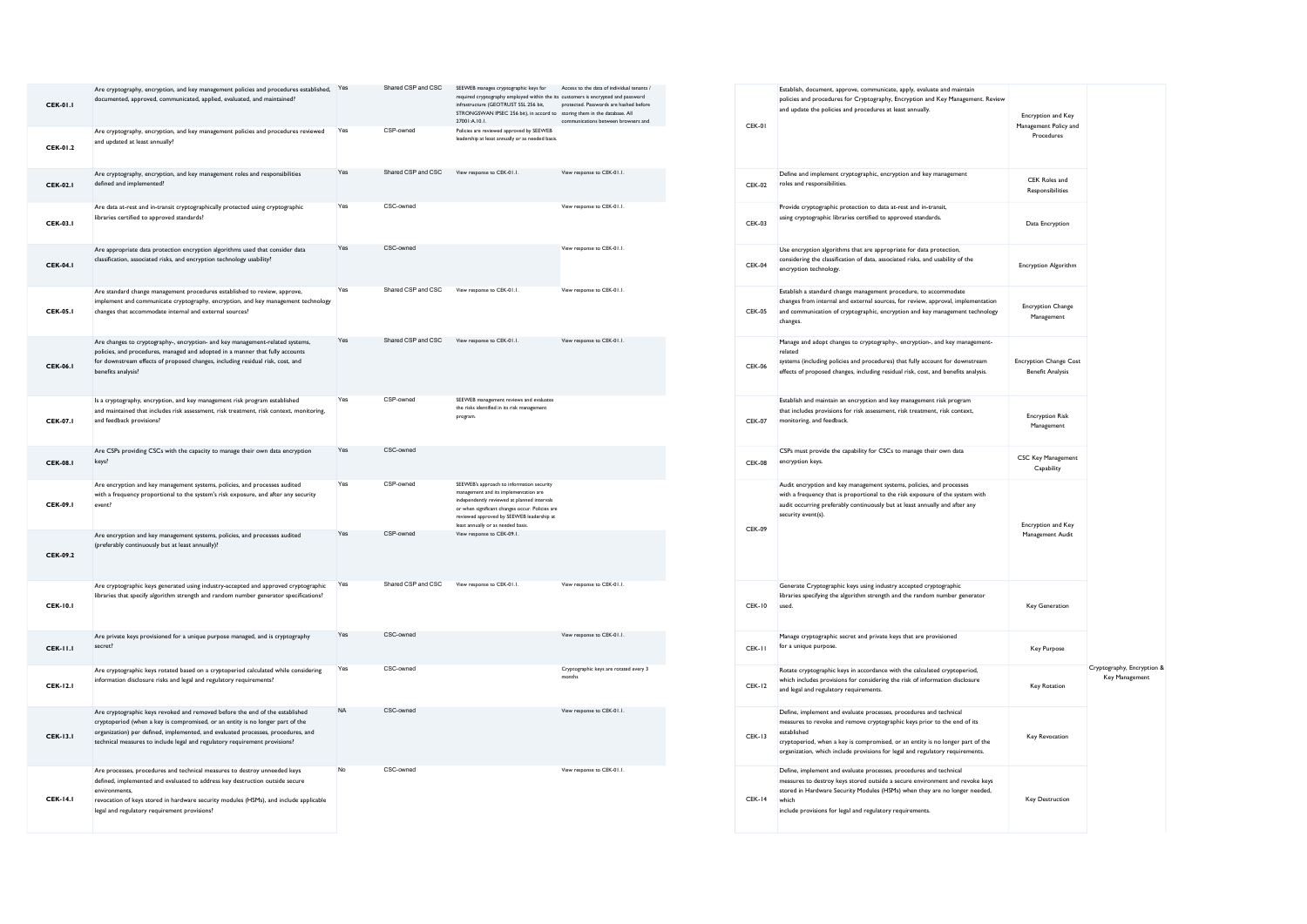| <b>CEK-01.1</b> | Are cryptography, encryption, and key management policies and procedures established, Yes<br>documented, approved, communicated, applied, evaluated, and maintained?                                                                                                                                                             |           | Shared CSP and CSC | SEEWEB manages cryptographic keys for<br>required cryptography employed within the its customers is encrypted and password<br>infrastructure (GEOTRUST SSL 256 bit,<br>STRONGSWAN IPSEC 256 bit), in accord to storing them in the database. All<br>27001:A.10.1.       | Access to the data of individual tenants /<br>protected. Passwords are hashed before<br>communications between browsers and |
|-----------------|----------------------------------------------------------------------------------------------------------------------------------------------------------------------------------------------------------------------------------------------------------------------------------------------------------------------------------|-----------|--------------------|-------------------------------------------------------------------------------------------------------------------------------------------------------------------------------------------------------------------------------------------------------------------------|-----------------------------------------------------------------------------------------------------------------------------|
| <b>CEK-01.2</b> | Are cryptography, encryption, and key management policies and procedures reviewed<br>and updated at least annually?                                                                                                                                                                                                              | Yes       | CSP-owned          | Policies are reviewed approved by SEEWEB<br>leadership at least annually or as needed basis.                                                                                                                                                                            |                                                                                                                             |
| <b>CEK-02.1</b> | Are cryptography, encryption, and key management roles and responsibilities<br>defined and implemented?                                                                                                                                                                                                                          | Yes       | Shared CSP and CSC | View response to CEK-01.1.                                                                                                                                                                                                                                              | View response to CEK-01.1.                                                                                                  |
| <b>CEK-03.1</b> | Are data at-rest and in-transit cryptographically protected using cryptographic<br>libraries certified to approved standards?                                                                                                                                                                                                    | Yes       | CSC-owned          |                                                                                                                                                                                                                                                                         | View response to CEK-01.1.                                                                                                  |
| <b>CEK-04.1</b> | Are appropriate data protection encryption algorithms used that consider data<br>classification, associated risks, and encryption technology usability?                                                                                                                                                                          | Yes       | CSC-owned          |                                                                                                                                                                                                                                                                         | View response to CEK-01.1.                                                                                                  |
| <b>CEK-05.1</b> | Are standard change management procedures established to review, approve,<br>implement and communicate cryptography, encryption, and key management technology<br>changes that accommodate internal and external sources?                                                                                                        | Yes       | Shared CSP and CSC | View response to CEK-01.1.                                                                                                                                                                                                                                              | View response to CEK-01.1.                                                                                                  |
| <b>CEK-06.1</b> | Are changes to cryptography-, encryption- and key management-related systems,<br>policies, and procedures, managed and adopted in a manner that fully accounts<br>for downstream effects of proposed changes, including residual risk, cost, and<br>benefits analysis?                                                           | Yes       | Shared CSP and CSC | View response to CEK-01.1.                                                                                                                                                                                                                                              | View response to CEK-01.1.                                                                                                  |
| <b>CEK-07.1</b> | Is a cryptography, encryption, and key management risk program established<br>and maintained that includes risk assessment, risk treatment, risk context, monitoring,<br>and feedback provisions?                                                                                                                                | Yes       | CSP-owned          | SEEWEB management reviews and evaluates<br>the risks identified in its risk management<br>program.                                                                                                                                                                      |                                                                                                                             |
| <b>CEK-08.1</b> | Are CSPs providing CSCs with the capacity to manage their own data encryption<br>keys?                                                                                                                                                                                                                                           | Yes       | CSC-owned          |                                                                                                                                                                                                                                                                         |                                                                                                                             |
| <b>CEK-09.1</b> | Are encryption and key management systems, policies, and processes audited<br>with a frequency proportional to the system's risk exposure, and after any security<br>event?                                                                                                                                                      | Yes       | CSP-owned          | SEEWEB's approach to information security<br>management and its implementation are<br>independently reviewed at planned intervals<br>or when significant changes occur. Policies are<br>reviewed approved by SEEWEB leadership at<br>least annually or as needed basis. |                                                                                                                             |
| CEK-09.2        | Are encryption and key management systems, policies, and processes audited<br>(preferably continuously but at least annually)?                                                                                                                                                                                                   | Yes       | CSP-owned          | View response to CEK-09.1.                                                                                                                                                                                                                                              |                                                                                                                             |
| <b>CEK-10.1</b> | Are cryptographic keys generated using industry-accepted and approved cryptographic<br>libraries that specify algorithm strength and random number generator specifications?                                                                                                                                                     | Yes       | Shared CSP and CSC | View response to CEK-01.1.                                                                                                                                                                                                                                              | View response to CEK-01.1.                                                                                                  |
| <b>CEK-11.1</b> | Are private keys provisioned for a unique purpose managed, and is cryptography<br>secret?                                                                                                                                                                                                                                        | Yes       | CSC-owned          |                                                                                                                                                                                                                                                                         | View response to CEK-01.1.                                                                                                  |
| <b>CEK-12.1</b> | Are cryptographic keys rotated based on a cryptoperiod calculated while considering<br>information disclosure risks and legal and regulatory requirements?                                                                                                                                                                       | Yes       | CSC-owned          |                                                                                                                                                                                                                                                                         | Cryptographic keys are rotated every 3<br>months                                                                            |
| <b>CEK-13.1</b> | Are cryptographic keys revoked and removed before the end of the established<br>cryptoperiod (when a key is compromised, or an entity is no longer part of the<br>organization) per defined, implemented, and evaluated processes, procedures, and<br>technical measures to include legal and regulatory requirement provisions? | <b>NA</b> | CSC-owned          |                                                                                                                                                                                                                                                                         | View response to CEK-01.1.                                                                                                  |
| <b>CEK-14.1</b> | Are processes, procedures and technical measures to destroy unneeded keys<br>defined, implemented and evaluated to address key destruction outside secure<br>environments.<br>revocation of keys stored in hardware security modules (HSMs), and include applicable<br>legal and regulatory requirement provisions?              | No        | CSC-owned          |                                                                                                                                                                                                                                                                         | View response to CEK-01.1.                                                                                                  |

| $CFK-01$      | Establish, document, approve, communicate, apply, evaluate and maintain<br>policies and procedures for Cryptography, Encryption and Key Management. Review<br>and update the policies and procedures at least annually.                                                                                                          | Encryption and Key<br>Management Policy and<br>Procedures |                                              |
|---------------|----------------------------------------------------------------------------------------------------------------------------------------------------------------------------------------------------------------------------------------------------------------------------------------------------------------------------------|-----------------------------------------------------------|----------------------------------------------|
| <b>CEK-02</b> | Define and implement cryptographic, encryption and key management<br>roles and responsibilities.                                                                                                                                                                                                                                 | CEK Roles and<br>Responsibilities                         |                                              |
| <b>CEK-03</b> | Provide cryptographic protection to data at-rest and in-transit,<br>using cryptographic libraries certified to approved standards.                                                                                                                                                                                               | Data Encryption                                           |                                              |
| <b>CEK-04</b> | Use encryption algorithms that are appropriate for data protection,<br>considering the classification of data, associated risks, and usability of the<br>encryption technology.                                                                                                                                                  | <b>Encryption Algorithm</b>                               |                                              |
| $CFK-05$      | Establish a standard change management procedure, to accommodate<br>changes from internal and external sources, for review, approval, implementation<br>and communication of cryptographic, encryption and key management technology<br>changes.                                                                                 | <b>Encryption Change</b><br>Management                    |                                              |
| <b>CEK-06</b> | Manage and adopt changes to cryptography-, encryption-, and key management-<br>related<br>systems (including policies and procedures) that fully account for downstream<br>effects of proposed changes, including residual risk, cost, and benefits analysis.                                                                    | <b>Encryption Change Cost</b><br><b>Benefit Analysis</b>  |                                              |
| <b>CEK-07</b> | Establish and maintain an encryption and key management risk program<br>that includes provisions for risk assessment, risk treatment, risk context,<br>monitoring, and feedback.                                                                                                                                                 | <b>Encryption Risk</b><br>Management                      |                                              |
| $CFK-08$      | CSPs must provide the capability for CSCs to manage their own data<br>encryption keys.                                                                                                                                                                                                                                           | CSC Key Management<br>Capability                          |                                              |
| CFK-09        | Audit encryption and key management systems, policies, and processes<br>with a frequency that is proportional to the risk exposure of the system with<br>audit occurring preferably continuously but at least annually and after any<br>security event(s).                                                                       | Encryption and Key<br>Management Audit                    |                                              |
| $CFK-10$      | Generate Cryptographic keys using industry accepted cryptographic<br>libraries specifying the algorithm strength and the random number generator<br>used.                                                                                                                                                                        | <b>Key Generation</b>                                     |                                              |
| CEK-II        | Manage cryptographic secret and private keys that are provisioned<br>for a unique purpose.                                                                                                                                                                                                                                       | Key Purpose                                               |                                              |
| <b>CEK-12</b> | Rotate cryptographic keys in accordance with the calculated cryptoperiod,<br>which includes provisions for considering the risk of information disclosure<br>and legal and regulatory requirements.                                                                                                                              | Key Rotation                                              | Cryptography, Encryption &<br>Key Management |
| <b>CEK-13</b> | Define, implement and evaluate processes, procedures and technical<br>measures to revoke and remove cryptographic keys prior to the end of its<br>established<br>cryptoperiod, when a key is compromised, or an entity is no longer part of the<br>organization, which include provisions for legal and regulatory requirements. | <b>Key Revocation</b>                                     |                                              |
| CEK-14        | Define, implement and evaluate processes, procedures and technical<br>measures to destroy keys stored outside a secure environment and revoke keys<br>stored in Hardware Security Modules (HSMs) when they are no longer needed,<br>which<br>include provisions for legal and regulatory requirements.                           | <b>Key Destruction</b>                                    |                                              |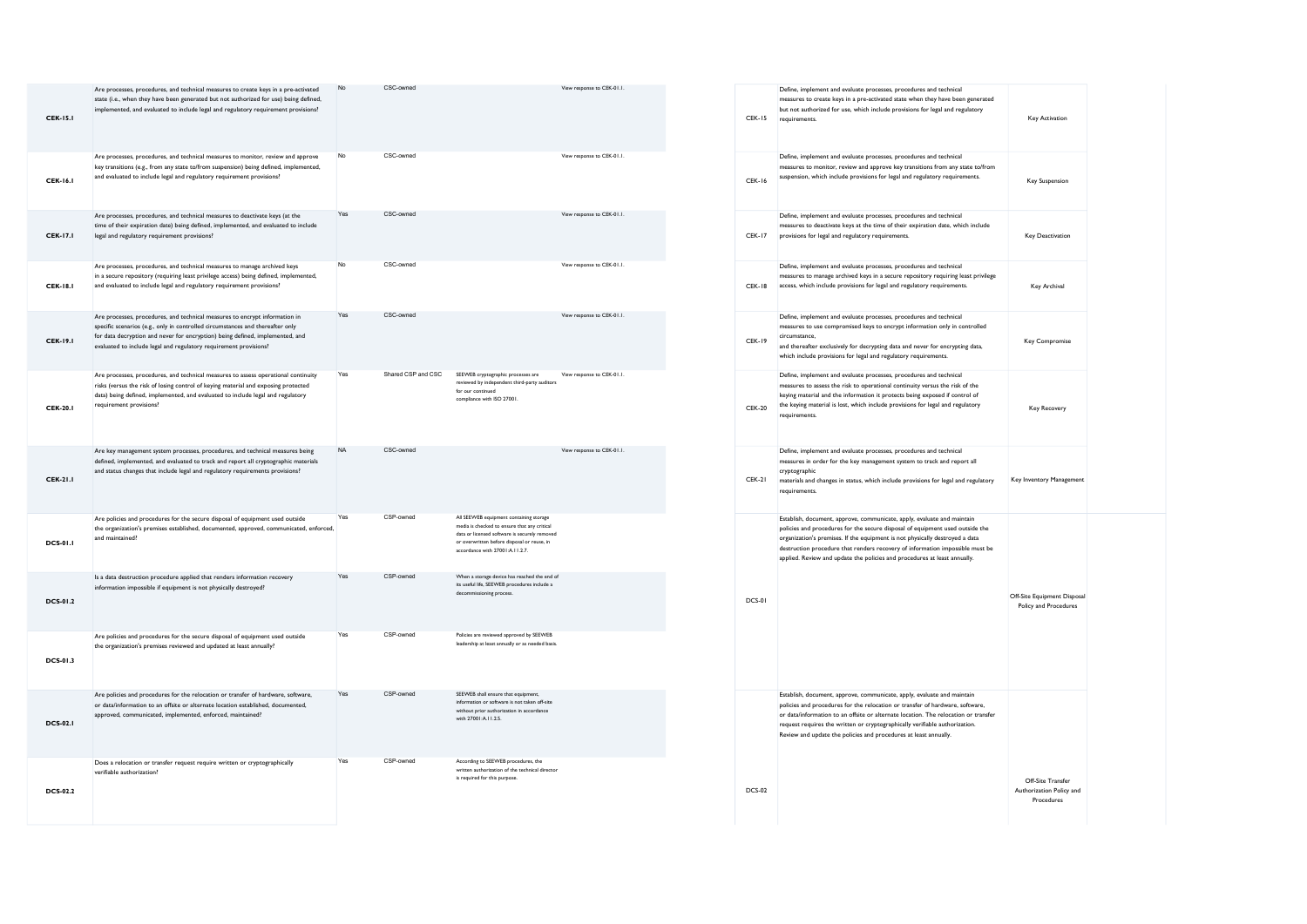| <b>CEK-15.1</b> | Are processes, procedures, and technical measures to create keys in a pre-activated<br>state (i.e., when they have been generated but not authorized for use) being defined,<br>implemented, and evaluated to include legal and regulatory requirement provisions?                                                  | <b>No</b> | CSC-owned          |                                                                                                                                                                                                                            | View response to CEK-01.1. |
|-----------------|---------------------------------------------------------------------------------------------------------------------------------------------------------------------------------------------------------------------------------------------------------------------------------------------------------------------|-----------|--------------------|----------------------------------------------------------------------------------------------------------------------------------------------------------------------------------------------------------------------------|----------------------------|
| <b>CEK-16.1</b> | Are processes, procedures, and technical measures to monitor, review and approve<br>key transitions (e.g., from any state to/from suspension) being defined, implemented,<br>and evaluated to include legal and regulatory requirement provisions?                                                                  | No        | CSC-owned          |                                                                                                                                                                                                                            | View response to CEK-01.1. |
| <b>CEK-17.1</b> | Are processes, procedures, and technical measures to deactivate keys (at the<br>time of their expiration date) being defined, implemented, and evaluated to include<br>legal and regulatory requirement provisions?                                                                                                 | Yes       | CSC-owned          |                                                                                                                                                                                                                            | View response to CEK-01.1. |
| <b>CEK-18.1</b> | Are processes, procedures, and technical measures to manage archived keys<br>in a secure repository (requiring least privilege access) being defined, implemented,<br>and evaluated to include legal and regulatory requirement provisions?                                                                         | No        | CSC-owned          |                                                                                                                                                                                                                            | View response to CEK-01.1. |
| <b>CEK-19.1</b> | Are processes, procedures, and technical measures to encrypt information in<br>specific scenarios (e.g., only in controlled circumstances and thereafter only<br>for data decryption and never for encryption) being defined, implemented, and<br>evaluated to include legal and regulatory requirement provisions? | Yes       | CSC-owned          |                                                                                                                                                                                                                            | View response to CEK-01.1. |
| <b>CEK-20.1</b> | Are processes, procedures, and technical measures to assess operational continuity<br>risks (versus the risk of losing control of keying material and exposing protected<br>data) being defined, implemented, and evaluated to include legal and regulatory<br>requirement provisions?                              | Yes       | Shared CSP and CSC | SEEWEB cryptographic processes are<br>reviewed by independent third-party auditors<br>for our continued<br>compliance with ISO 27001.                                                                                      | View response to CEK-01.1. |
| <b>CEK-21.1</b> | Are key management system processes, procedures, and technical measures being<br>defined, implemented, and evaluated to track and report all cryptographic materials<br>and status changes that include legal and regulatory requirements provisions?                                                               | <b>NA</b> | CSC-owned          |                                                                                                                                                                                                                            | View response to CEK-01.1. |
| <b>DCS-01.1</b> | Are policies and procedures for the secure disposal of equipment used outside<br>the organization's premises established, documented, approved, communicated, enforced,<br>and maintained?                                                                                                                          | Yes       | CSP-owned          | All SEEWEB equipment containing storage<br>media is checked to ensure that any critical<br>data or licensed software is securely removed<br>or overwritten before disposal or reuse, in<br>accordance with 27001:A.11.2.7. |                            |
| <b>DCS-01.2</b> | Is a data destruction procedure applied that renders information recovery<br>information impossible if equipment is not physically destroyed?                                                                                                                                                                       | Yes       | CSP-owned          | When a storage device has reached the end of<br>its useful life, SEEWEB procedures include a<br>decommissioning process.                                                                                                   |                            |
| DCS-01.3        | Are policies and procedures for the secure disposal of equipment used outside<br>the organization's premises reviewed and updated at least annually?                                                                                                                                                                | Yes       | CSP-owned          | Policies are reviewed approved by SEEWEB<br>leadership at least annually or as needed basis.                                                                                                                               |                            |
| <b>DCS-02.1</b> | Are policies and procedures for the relocation or transfer of hardware, software,<br>or data/information to an offsite or alternate location established, documented,<br>approved, communicated, implemented, enforced, maintained?                                                                                 | Yes       | CSP-owned          | SEEWEB shall ensure that equipment,<br>information or software is not taken off-site<br>without prior authorization in accordance<br>with 27001:A.11.2.5.                                                                  |                            |
| <b>DCS-02.2</b> | Does a relocation or transfer request require written or cryptographically<br>verifiable authorization?                                                                                                                                                                                                             | Yes       | CSP-owned          | According to SEEWEB procedures, the<br>written authorization of the technical director<br>is required for this purpose.                                                                                                    |                            |

| <b>CEK-15</b> | Define, implement and evaluate processes, procedures and technical<br>measures to create keys in a pre-activated state when they have been generated<br>but not authorized for use, which include provisions for legal and regulatory<br>requirements.                                                                                                                                                 | Key Activation                                              |  |
|---------------|--------------------------------------------------------------------------------------------------------------------------------------------------------------------------------------------------------------------------------------------------------------------------------------------------------------------------------------------------------------------------------------------------------|-------------------------------------------------------------|--|
| <b>CEK-16</b> | Define, implement and evaluate processes, procedures and technical<br>measures to monitor, review and approve key transitions from any state to/from<br>suspension, which include provisions for legal and regulatory requirements.                                                                                                                                                                    | <b>Key Suspension</b>                                       |  |
| <b>CEK-17</b> | Define, implement and evaluate processes, procedures and technical<br>measures to deactivate keys at the time of their expiration date, which include<br>provisions for legal and regulatory requirements.                                                                                                                                                                                             | <b>Key Deactivation</b>                                     |  |
| <b>CEK-18</b> | Define, implement and evaluate processes, procedures and technical<br>measures to manage archived keys in a secure repository requiring least privilege<br>access, which include provisions for legal and regulatory requirements.                                                                                                                                                                     | Key Archival                                                |  |
| <b>CEK-19</b> | Define, implement and evaluate processes, procedures and technical<br>measures to use compromised keys to encrypt information only in controlled<br>circumstance.<br>and thereafter exclusively for decrypting data and never for encrypting data,<br>which include provisions for legal and regulatory requirements.                                                                                  | Key Compromise                                              |  |
| <b>CEK-20</b> | Define, implement and evaluate processes, procedures and technical<br>measures to assess the risk to operational continuity versus the risk of the<br>keying material and the information it protects being exposed if control of<br>the keying material is lost, which include provisions for legal and regulatory<br>requirements.                                                                   | Key Recovery                                                |  |
| <b>CEK-21</b> | Define, implement and evaluate processes, procedures and technical<br>measures in order for the key management system to track and report all<br>cryptographic<br>materials and changes in status, which include provisions for legal and regulatory<br>requirements.                                                                                                                                  | Key Inventory Management                                    |  |
| DCS-01        | Establish, document, approve, communicate, apply, evaluate and maintain<br>policies and procedures for the secure disposal of equipment used outside the<br>organization's premises. If the equipment is not physically destroyed a data<br>destruction procedure that renders recovery of information impossible must be<br>applied. Review and update the policies and procedures at least annually. | Off-Site Equipment Disposal<br>Policy and Procedures        |  |
| <b>DCS-02</b> | Establish, document, approve, communicate, apply, evaluate and maintain<br>policies and procedures for the relocation or transfer of hardware, software,<br>or data/information to an offsite or alternate location. The relocation or transfer<br>request requires the written or cryptographically verifiable authorization.<br>Review and update the policies and procedures at least annually.     | Off-Site Transfer<br>Authorization Policy and<br>Procedures |  |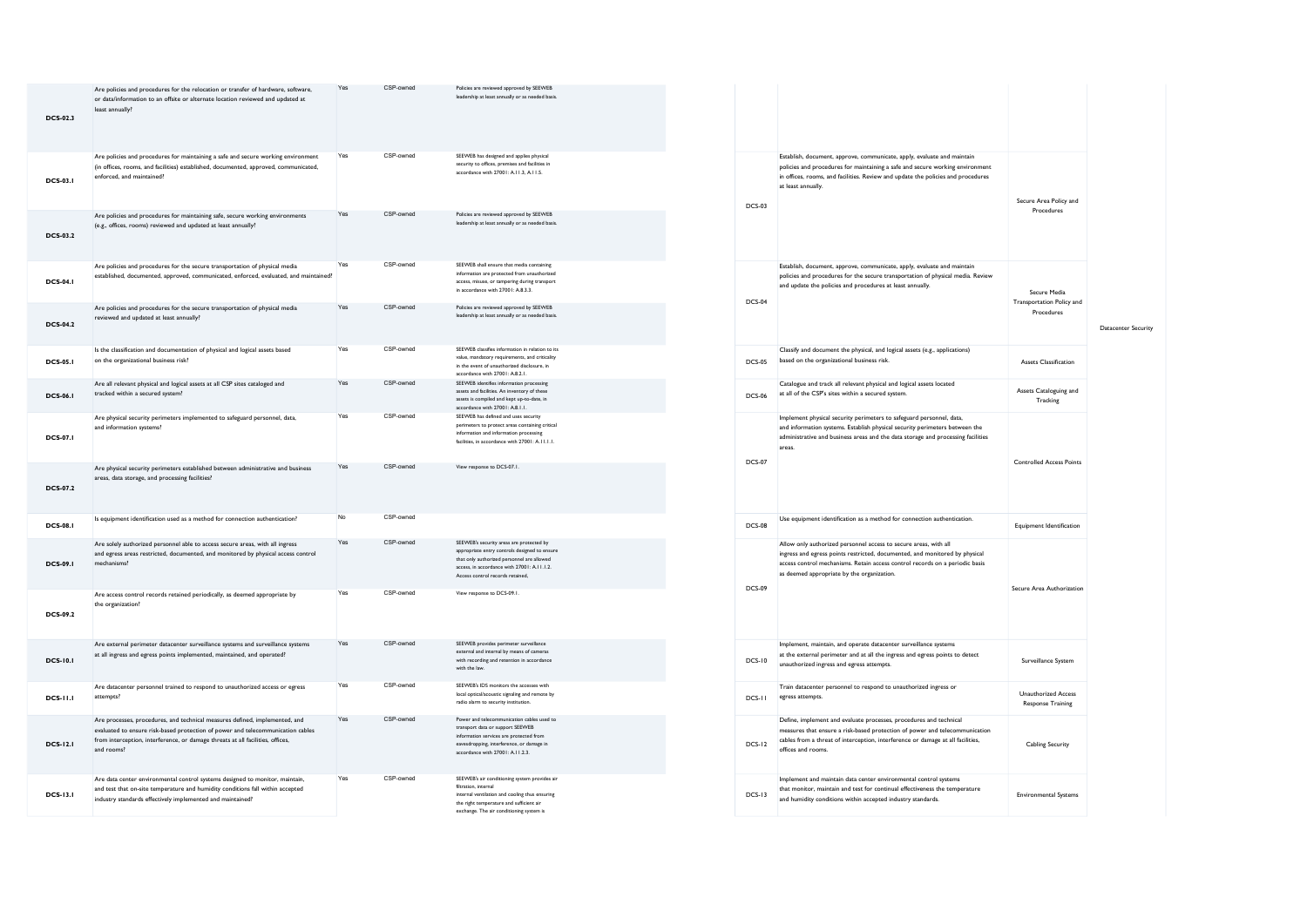| <b>DCS-02.3</b> | Are policies and procedures for the relocation or transfer of hardware, software,<br>or data/information to an offsite or alternate location reviewed and updated at<br>least annually?                                                                        | Yes | CSP-owned | Policies are reviewed approved by SEEWEB<br>leadership at least annually or as needed basis.                                                                                                                                |               |
|-----------------|----------------------------------------------------------------------------------------------------------------------------------------------------------------------------------------------------------------------------------------------------------------|-----|-----------|-----------------------------------------------------------------------------------------------------------------------------------------------------------------------------------------------------------------------------|---------------|
| <b>DCS-03.1</b> | Are policies and procedures for maintaining a safe and secure working environment<br>(in offices, rooms, and facilities) established, documented, approved, communicated,<br>enforced, and maintained?                                                         | Yes | CSP-owned | SEEWEB has designed and applies physical<br>security to offices, premises and facilities in<br>accordance with 27001: A LL3, A LL5                                                                                          | <b>DCS-03</b> |
| <b>DCS-03.2</b> | Are policies and procedures for maintaining safe, secure working environments<br>(e.g., offices, rooms) reviewed and updated at least annually?                                                                                                                | Yes | CSP-owned | Policies are reviewed approved by SEEWEB<br>leadership at least annually or as needed basis.                                                                                                                                |               |
| <b>DCS-04.1</b> | Are policies and procedures for the secure transportation of physical media<br>established, documented, approved, communicated, enforced, evaluated, and maintained?                                                                                           | Yes | CSP-owned | SEEWEB shall ensure that media containing<br>information are protected from unauthorized<br>access, misuse, or tampering during transport<br>in accordance with 27001: A.8.3.3.                                             | <b>DCS-04</b> |
| <b>DCS-04.2</b> | Are policies and procedures for the secure transportation of physical media<br>reviewed and updated at least annually?                                                                                                                                         | Yes | CSP-owned | Policies are reviewed approved by SEEWEB<br>leadership at least annually or as needed basis.                                                                                                                                |               |
| <b>DCS-05.1</b> | Is the classification and documentation of physical and logical assets based<br>on the organizational business risk?                                                                                                                                           | Yes | CSP-owned | SEEWEB classifies information in relation to its<br>value, mandatory requirements, and criticality<br>in the event of unauthorized disclosure, in<br>accordance with 27001: A.8.2.1.                                        | <b>DCS-05</b> |
| <b>DCS-06.1</b> | Are all relevant physical and logical assets at all CSP sites cataloged and<br>tracked within a secured system?                                                                                                                                                | Yes | CSP-owned | SEEWEB identifies information processing<br>assets and facilities. An inventory of these<br>assets is compiled and kept up-to-date, in<br>accordance with 27001: A.8.1.1.                                                   | DCS-06        |
| <b>DCS-07.1</b> | Are physical security perimeters implemented to safeguard personnel, data,<br>and information systems?                                                                                                                                                         | Yes | CSP-owned | SEEWEB has defined and uses security<br>perimeters to protect areas containing critical<br>information and information processing<br>facilities, in accordance with 27001: A.II.I.I.                                        | <b>DCS-07</b> |
| <b>DCS-07.2</b> | Are physical security perimeters established between administrative and business<br>areas, data storage, and processing facilities?                                                                                                                            | Yes | CSP-owned | View response to DCS-07.1.                                                                                                                                                                                                  |               |
| <b>DCS-08.1</b> | Is equipment identification used as a method for connection authentication?                                                                                                                                                                                    | No  | CSP-owned |                                                                                                                                                                                                                             | <b>DCS-08</b> |
| <b>DCS-09.1</b> | Are solely authorized personnel able to access secure areas, with all ingress<br>and egress areas restricted, documented, and monitored by physical access control<br>mechanisms?                                                                              | Yes | CSP-owned | SEEWEB's security areas are protected by<br>appropriate entry controls designed to ensure<br>that only authorized personnel are allowed<br>access, in accordance with 27001: A.I I.1.2.<br>Access control records retained. | <b>DCS-09</b> |
| <b>DCS-09.2</b> | Are access control records retained periodically, as deemed appropriate by<br>the organization?                                                                                                                                                                | Yes | CSP-owned | View response to DCS-09.1.                                                                                                                                                                                                  |               |
| <b>DCS-10.1</b> | Are external perimeter datacenter surveillance systems and surveillance systems<br>at all ingress and egress points implemented, maintained, and operated?                                                                                                     | Yes | CSP-owned | SEEWEB provides perimeter surveillance<br>external and internal by means of cameras<br>with recording and retention in accordance<br>with the law.                                                                          | <b>DCS-10</b> |
| <b>DCS-11.1</b> | Are datacenter personnel trained to respond to unauthorized access or egress<br>attempts?                                                                                                                                                                      | Yes | CSP-owned | SEEWEB's IDS monitors the accesses with<br>local optical/acoustic signaling and remote by<br>radio alarm to security institution.                                                                                           | DCS-11        |
| <b>DCS-12.1</b> | Are processes, procedures, and technical measures defined, implemented, and<br>evaluated to ensure risk-based protection of power and telecommunication cables<br>from interception, interference, or damage threats at all facilities, offices,<br>and rooms? | Yes | CSP-owned | Power and telecommunication cables used to<br>transport data or support SEEWEB<br>information services are protected from<br>eavesdropping, interference, or damage in<br>accordance with 27001: A.II.2.3.                  | <b>DCS-12</b> |
| <b>DCS-13.1</b> | Are data center environmental control systems designed to monitor, maintain,<br>and test that on-site temperature and humidity conditions fall within accepted<br>industry standards effectively implemented and maintained?                                   | Yes | CSP-owned | SEEWEB's air conditioning system provides air<br>filtration, internal<br>internal ventilation and cooling thus ensuring<br>the right temperature and sufficient air<br>exchange. The air conditioning system is             | <b>DCS-13</b> |

| <b>DCS-03</b> | Establish, document, approve, communicate, apply, evaluate and maintain<br>policies and procedures for maintaining a safe and secure working environment<br>in offices, rooms, and facilities. Review and update the policies and procedures<br>at least annually.            | Secure Area Policy and<br>Procedures                    |                     |
|---------------|-------------------------------------------------------------------------------------------------------------------------------------------------------------------------------------------------------------------------------------------------------------------------------|---------------------------------------------------------|---------------------|
| <b>DCS-04</b> | Establish, document, approve, communicate, apply, evaluate and maintain<br>policies and procedures for the secure transportation of physical media. Review<br>and update the policies and procedures at least annually.                                                       | Secure Media<br>Transportation Policy and<br>Procedures | Datacenter Security |
| <b>DCS-05</b> | Classify and document the physical, and logical assets (e.g., applications)<br>based on the organizational business risk.                                                                                                                                                     | <b>Assets Classification</b>                            |                     |
| <b>DCS-06</b> | Catalogue and track all relevant physical and logical assets located<br>at all of the CSP's sites within a secured system.                                                                                                                                                    | Assets Cataloguing and<br>Tracking                      |                     |
| <b>DCS-07</b> | Implement physical security perimeters to safeguard personnel, data,<br>and information systems. Establish physical security perimeters between the<br>administrative and business areas and the data storage and processing facilities<br>areas.                             | <b>Controlled Access Points</b>                         |                     |
| <b>DCS-08</b> | Use equipment identification as a method for connection authentication.                                                                                                                                                                                                       | <b>Equipment Identification</b>                         |                     |
| <b>DCS-09</b> | Allow only authorized personnel access to secure areas, with all<br>ingress and egress points restricted, documented, and monitored by physical<br>access control mechanisms. Retain access control records on a periodic basis<br>as deemed appropriate by the organization. | Secure Area Authorization                               |                     |
| <b>DCS-10</b> | Implement, maintain, and operate datacenter surveillance systems<br>at the external perimeter and at all the ingress and egress points to detect<br>unauthorized ingress and egress attempts.                                                                                 | Surveillance System                                     |                     |
| DCS-II        | Train datacenter personnel to respond to unauthorized ingress or<br>egress attempts.                                                                                                                                                                                          | Unauthorized Access<br><b>Response Training</b>         |                     |
| <b>DCS-12</b> | Define, implement and evaluate processes, procedures and technical<br>measures that ensure a risk-based protection of power and telecommunication<br>cables from a threat of interception, interference or damage at all facilities,<br>offices and rooms.                    | Cabling Security                                        |                     |
| $DCS-13$      | Implement and maintain data center environmental control systems<br>that monitor, maintain and test for continual effectiveness the temperature<br>and humidity conditions within accepted industry standards.                                                                | <b>Environmental Systems</b>                            |                     |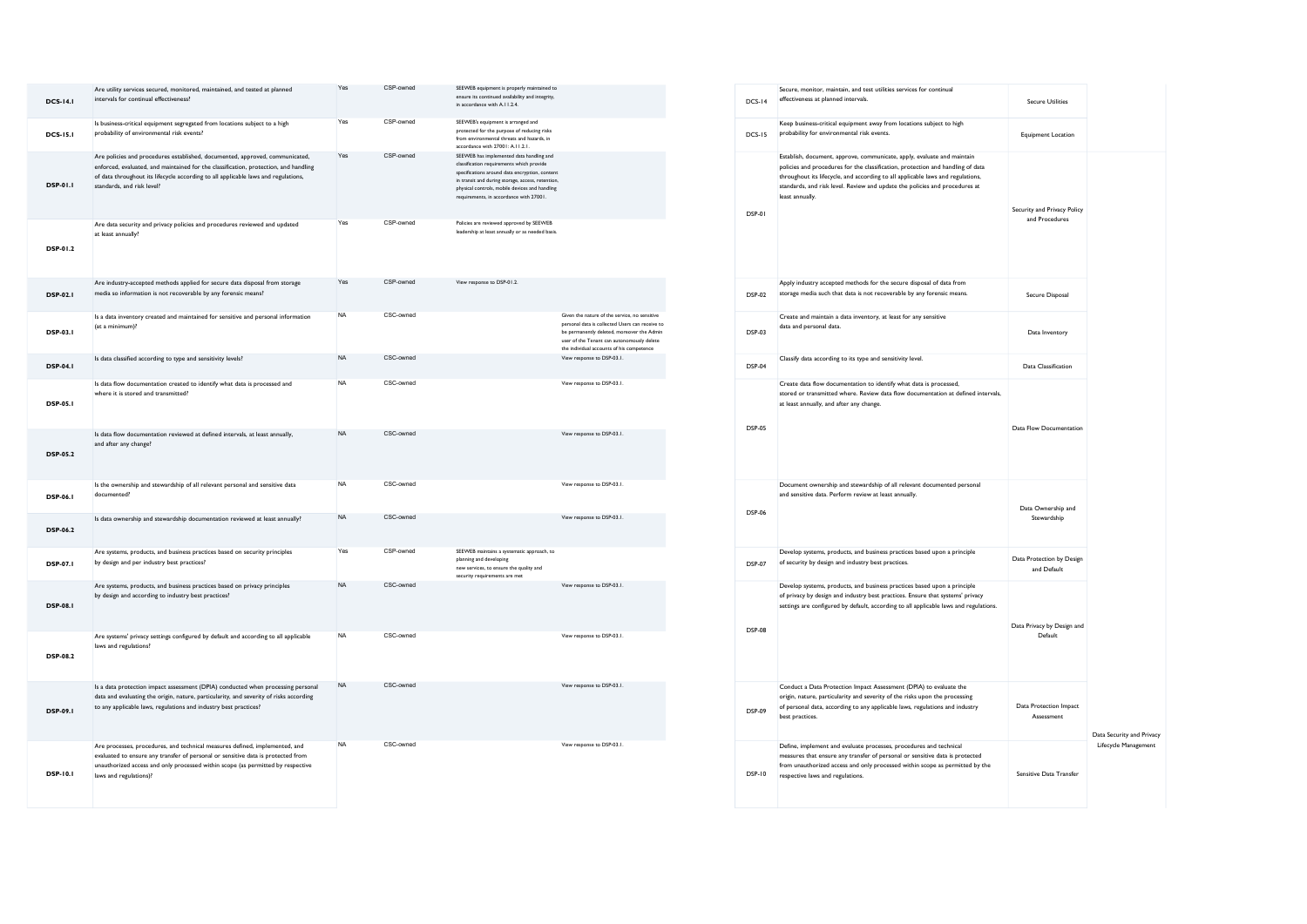| <b>DCS-14.1</b> | Are utility services secured, monitored, maintained, and tested at planned<br>intervals for continual effectiveness?                                                                                                                                                                     | Yes       | CSP-owned | SEEWEB equipment is properly maintained to<br>ensure its continued availability and integrity,<br>in accordance with A.I I.2.4.                                                                                                                                                           |                                                                                                                                                                                                                                           | <b>DCS-14</b> |
|-----------------|------------------------------------------------------------------------------------------------------------------------------------------------------------------------------------------------------------------------------------------------------------------------------------------|-----------|-----------|-------------------------------------------------------------------------------------------------------------------------------------------------------------------------------------------------------------------------------------------------------------------------------------------|-------------------------------------------------------------------------------------------------------------------------------------------------------------------------------------------------------------------------------------------|---------------|
| <b>DCS-15.1</b> | Is business-critical equipment segregated from locations subject to a high<br>probability of environmental risk events?                                                                                                                                                                  | Yes       | CSP-owned | SEEWEB's equipment is arranged and<br>protected for the purpose of reducing risks<br>from environmental threats and hazards, in<br>accordance with 27001: A.11.2.1.                                                                                                                       |                                                                                                                                                                                                                                           | <b>DCS-15</b> |
| DSP-01.1        | Are policies and procedures established, documented, approved, communicated,<br>enforced, evaluated, and maintained for the classification, protection, and handling<br>of data throughout its lifecycle according to all applicable laws and regulations,<br>standards, and risk level? | Yes       | CSP-owned | SEEWEB has implemented data handling and<br>classification requirements which provide<br>specifications around data encryption, content<br>in transit and during storage, access, retention,<br>physical controls, mobile devices and handling<br>requirements, in accordance with 27001. |                                                                                                                                                                                                                                           | DSP-01        |
| <b>DSP-01.2</b> | Are data security and privacy policies and procedures reviewed and updated<br>at least annually?                                                                                                                                                                                         | Yes       | CSP-owned | Policies are reviewed approved by SEEWEB<br>leadership at least annually or as needed basis.                                                                                                                                                                                              |                                                                                                                                                                                                                                           |               |
| <b>DSP-02.1</b> | Are industry-accepted methods applied for secure data disposal from storage<br>media so information is not recoverable by any forensic means?                                                                                                                                            | Yes       | CSP-owned | View response to DSP-01.2.                                                                                                                                                                                                                                                                |                                                                                                                                                                                                                                           | <b>DSP-02</b> |
| <b>DSP-03.1</b> | Is a data inventory created and maintained for sensitive and personal information<br>(at a minimum)?                                                                                                                                                                                     | <b>NA</b> | CSC-owned |                                                                                                                                                                                                                                                                                           | Given the nature of the service, no sensitive<br>personal data is collected Users can receive to<br>be permanently deleted, moreover the Admin<br>user of the Tenant can autonomously delete<br>the individual accounts of his competence | <b>DSP-03</b> |
| <b>DSP-04.1</b> | Is data classified according to type and sensitivity levels?                                                                                                                                                                                                                             | <b>NA</b> | CSC-owned |                                                                                                                                                                                                                                                                                           | View response to DSP-03.1.                                                                                                                                                                                                                | <b>DSP-04</b> |
| <b>DSP-05.1</b> | Is data flow documentation created to identify what data is processed and<br>where it is stored and transmitted?                                                                                                                                                                         | <b>NA</b> | CSC-owned |                                                                                                                                                                                                                                                                                           | View response to DSP-03.1.                                                                                                                                                                                                                |               |
| <b>DSP-05.2</b> | Is data flow documentation reviewed at defined intervals, at least annually,<br>and after any change?                                                                                                                                                                                    | <b>NA</b> | CSC-owned |                                                                                                                                                                                                                                                                                           | View response to DSP-03.1.                                                                                                                                                                                                                | <b>DSP-05</b> |
| <b>DSP-06.1</b> | Is the ownership and stewardship of all relevant personal and sensitive data<br>documented?                                                                                                                                                                                              | <b>NA</b> | CSC-owned |                                                                                                                                                                                                                                                                                           | View response to DSP-03.1.                                                                                                                                                                                                                |               |
| <b>DSP-06.2</b> | Is data ownership and stewardship documentation reviewed at least annually?                                                                                                                                                                                                              | <b>NA</b> | CSC-owned |                                                                                                                                                                                                                                                                                           | View response to DSP-03.1.                                                                                                                                                                                                                | <b>DSP-06</b> |
| <b>DSP-07.1</b> | Are systems, products, and business practices based on security principles<br>by design and per industry best practices?                                                                                                                                                                 | Yes       | CSP-owned | SEEWEB maintains a systematic approach, to<br>planning and developing<br>new services, to ensure the quality and<br>security requirements are met                                                                                                                                         |                                                                                                                                                                                                                                           | <b>DSP-07</b> |
| <b>DSP-08.1</b> | Are systems, products, and business practices based on privacy principles<br>by design and according to industry best practices?                                                                                                                                                         | <b>NA</b> | CSC-owned |                                                                                                                                                                                                                                                                                           | View response to DSP-03.1.                                                                                                                                                                                                                | <b>DSP-08</b> |
| <b>DSP-08.2</b> | Are systems' privacy settings configured by default and according to all applicable<br>laws and regulations?                                                                                                                                                                             | <b>NA</b> | CSC-owned |                                                                                                                                                                                                                                                                                           | View response to DSP-03.1.                                                                                                                                                                                                                |               |
| DSP-09.1        | Is a data protection impact assessment (DPIA) conducted when processing personal<br>data and evaluating the origin, nature, particularity, and severity of risks according<br>to any applicable laws, regulations and industry best practices?                                           | <b>NA</b> | CSC-owned |                                                                                                                                                                                                                                                                                           | View response to DSP-03.1.                                                                                                                                                                                                                | <b>DSP-09</b> |
| DSP-10.1        | Are processes, procedures, and technical measures defined, implemented, and<br>evaluated to ensure any transfer of personal or sensitive data is protected from<br>unauthorized access and only processed within scope (as permitted by respective<br>laws and regulations)?             | <b>NA</b> | CSC-owned |                                                                                                                                                                                                                                                                                           | View response to DSP-03.1.                                                                                                                                                                                                                | <b>DSP-10</b> |

| <b>DCS-14</b> | Secure, monitor, maintain, and test utilities services for continual<br>effectiveness at planned intervals.                                                                                                                                                                                                                                     | <b>Secure Utilities</b>                       |                           |
|---------------|-------------------------------------------------------------------------------------------------------------------------------------------------------------------------------------------------------------------------------------------------------------------------------------------------------------------------------------------------|-----------------------------------------------|---------------------------|
| $DCS-15$      | Keep business-critical equipment away from locations subject to high<br>probability for environmental risk events.                                                                                                                                                                                                                              | <b>Equipment Location</b>                     |                           |
| DSP-01        | Establish, document, approve, communicate, apply, evaluate and maintain<br>policies and procedures for the classification, protection and handling of data<br>throughout its lifecycle, and according to all applicable laws and regulations,<br>standards, and risk level. Review and update the policies and procedures at<br>least annually. | Security and Privacy Policy<br>and Procedures |                           |
| <b>DSP-02</b> | Apply industry accepted methods for the secure disposal of data from<br>storage media such that data is not recoverable by any forensic means.                                                                                                                                                                                                  | Secure Disposal                               |                           |
| <b>DSP-03</b> | Create and maintain a data inventory, at least for any sensitive<br>data and personal data.                                                                                                                                                                                                                                                     | Data Inventory                                |                           |
| DSP-04        | Classify data according to its type and sensitivity level.                                                                                                                                                                                                                                                                                      | Data Classification                           |                           |
| <b>DSP-05</b> | Create data flow documentation to identify what data is processed,<br>stored or transmitted where. Review data flow documentation at defined intervals,<br>at least annually, and after any change.                                                                                                                                             | Data Flow Documentation                       |                           |
| <b>DSP-06</b> | Document ownership and stewardship of all relevant documented personal<br>and sensitive data. Perform review at least annually.                                                                                                                                                                                                                 | Data Ownership and<br>Stewardship             |                           |
| <b>DSP-07</b> | Develop systems, products, and business practices based upon a principle<br>of security by design and industry best practices.                                                                                                                                                                                                                  | Data Protection by Design<br>and Default      |                           |
| <b>DSP-08</b> | Develop systems, products, and business practices based upon a principle<br>of privacy by design and industry best practices. Ensure that systems' privacy<br>settings are configured by default, according to all applicable laws and regulations.                                                                                             | Data Privacy by Design and<br>Default         |                           |
| <b>DSP-09</b> | Conduct a Data Protection Impact Assessment (DPIA) to evaluate the<br>origin, nature, particularity and severity of the risks upon the processing<br>of personal data, according to any applicable laws, regulations and industry<br>best practices.                                                                                            | Data Protection Impact<br>Assessment          | Data Security and Privacy |
| <b>DSP-10</b> | Define, implement and evaluate processes, procedures and technical<br>measures that ensure any transfer of personal or sensitive data is protected<br>from unauthorized access and only processed within scope as permitted by the<br>respective laws and regulations.                                                                          | Sensitive Data Transfer                       | Lifecycle Management      |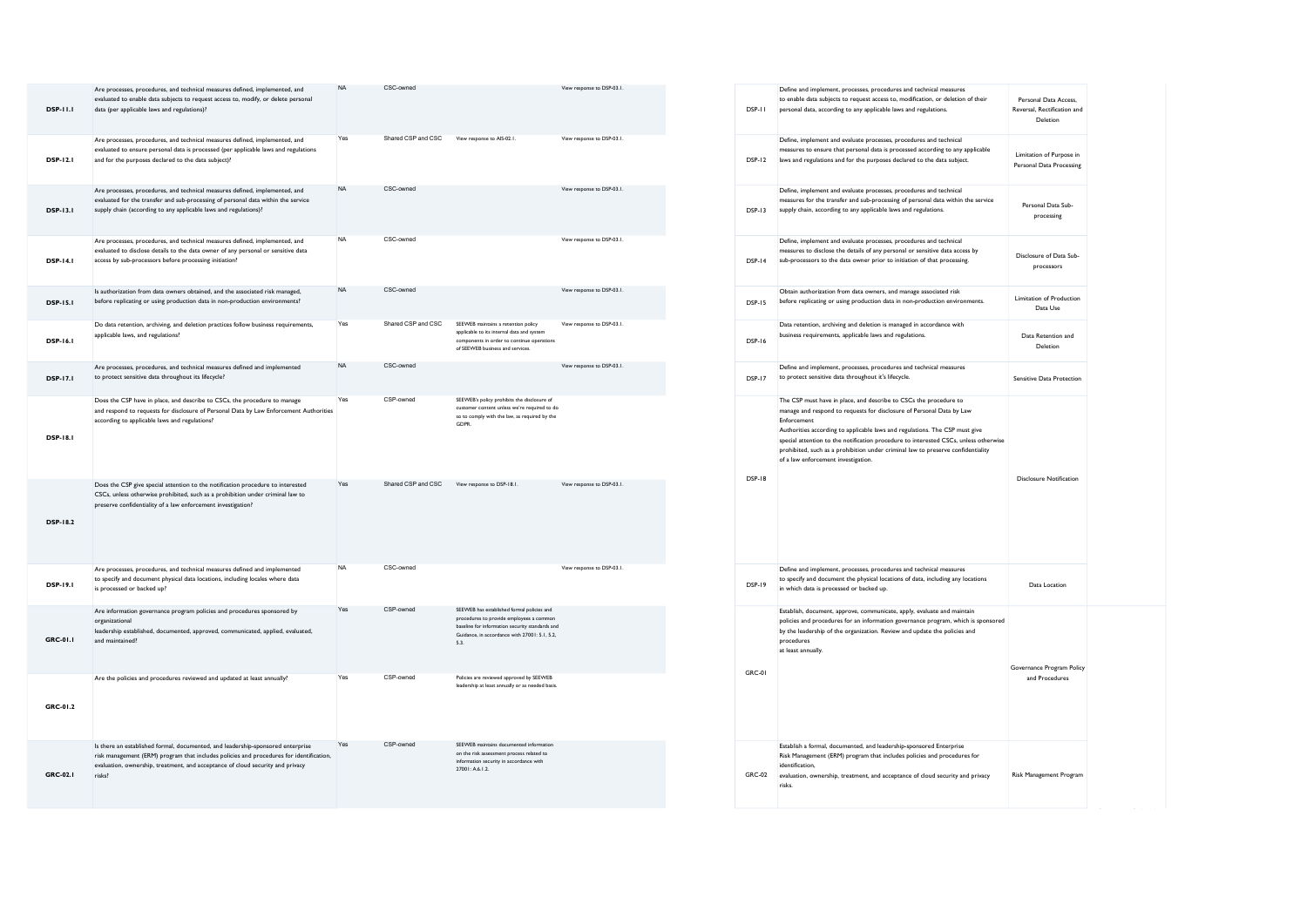| <b>DSP-11.1</b> | Are processes, procedures, and technical measures defined, implemented, and<br>evaluated to enable data subjects to request access to, modify, or delete personal<br>data (per applicable laws and regulations)?                                                       | <b>NA</b> | CSC-owned          |                                                                                                                                                                                                  | View response to DSP-03.1. |
|-----------------|------------------------------------------------------------------------------------------------------------------------------------------------------------------------------------------------------------------------------------------------------------------------|-----------|--------------------|--------------------------------------------------------------------------------------------------------------------------------------------------------------------------------------------------|----------------------------|
| <b>DSP-12.1</b> | Are processes, procedures, and technical measures defined, implemented, and<br>evaluated to ensure personal data is processed (per applicable laws and regulations<br>and for the purposes declared to the data subject)?                                              | Yes       | Shared CSP and CSC | View response to AIS-02.1.                                                                                                                                                                       | View response to DSP-03.1. |
| DSP-13.1        | Are processes, procedures, and technical measures defined, implemented, and<br>evaluated for the transfer and sub-processing of personal data within the service<br>supply chain (according to any applicable laws and regulations)?                                   | <b>NA</b> | CSC-owned          |                                                                                                                                                                                                  | View response to DSP-03.1. |
| <b>DSP-14.1</b> | Are processes, procedures, and technical measures defined, implemented, and<br>evaluated to disclose details to the data owner of any personal or sensitive data<br>access by sub-processors before processing initiation?                                             | <b>NA</b> | CSC-owned          |                                                                                                                                                                                                  | View response to DSP-03.1. |
| <b>DSP-15.1</b> | Is authorization from data owners obtained, and the associated risk managed,<br>before replicating or using production data in non-production environments?                                                                                                            | <b>NA</b> | CSC-owned          |                                                                                                                                                                                                  | View response to DSP-03.1. |
| <b>DSP-16.1</b> | Do data retention, archiving, and deletion practices follow business requirements,<br>applicable laws, and regulations?                                                                                                                                                | Yes       | Shared CSP and CSC | SEEWEB maintains a retention policy<br>applicable to its internal data and system<br>components in order to continue operations<br>of SEEWEB business and services.                              | View response to DSP-03.1. |
| <b>DSP-17.1</b> | Are processes, procedures, and technical measures defined and implemented<br>to protect sensitive data throughout its lifecycle?                                                                                                                                       | <b>NA</b> | CSC-owned          |                                                                                                                                                                                                  | View response to DSP-03.1. |
| <b>DSP-18.1</b> | Does the CSP have in place, and describe to CSCs, the procedure to manage<br>and respond to requests for disclosure of Personal Data by Law Enforcement Authorities<br>according to applicable laws and regulations?                                                   | Yes       | CSP-owned          | SEEWEB's policy prohibits the disclosure of<br>customer content unless we're required to do<br>so to comply with the law, as required by the<br>GDPR.                                            |                            |
| <b>DSP-18.2</b> | Does the CSP give special attention to the notification procedure to interested<br>CSCs, unless otherwise prohibited, such as a prohibition under criminal law to<br>preserve confidentiality of a law enforcement investigation?                                      | Yes       | Shared CSP and CSC | View response to DSP-18.1.                                                                                                                                                                       | View response to DSP-03.1. |
| <b>DSP-19.1</b> | Are processes, procedures, and technical measures defined and implemented<br>to specify and document physical data locations, including locales where data<br>is processed or backed up?                                                                               | <b>NA</b> | CSC-owned          |                                                                                                                                                                                                  | View response to DSP-03.1. |
| GRC-01.1        | Are information governance program policies and procedures sponsored by<br>organizational<br>leadership established, documented, approved, communicated, applied, evaluated,<br>and maintained?                                                                        | Yes       | CSP-owned          | SEEWEB has established formal policies and<br>procedures to provide employees a common<br>baseline for information security standards and<br>Guidance, in accordance with 27001: 5.1, 5.2,<br>53 |                            |
| GRC-01.2        | Are the policies and procedures reviewed and updated at least annually?                                                                                                                                                                                                | Yes       | CSP-owned          | Policies are reviewed approved by SEEWEB<br>leadership at least annually or as needed basis.                                                                                                     |                            |
| GRC-02.1        | Is there an established formal, documented, and leadership-sponsored enterprise<br>risk management (ERM) program that includes policies and procedures for identification,<br>evaluation, ownership, treatment, and acceptance of cloud security and privacy<br>risks? | Yes       | CSP-owned          | SEEWEB maintains documented information<br>on the risk assessment process related to<br>information security in accordance with<br>27001: A.6.1.2.                                               |                            |

| <b>DSP-11</b> | Define and implement, processes, procedures and technical measures<br>to enable data subjects to request access to, modification, or deletion of their<br>personal data, according to any applicable laws and regulations.                                                                                                                                                                                                                                  | Personal Data Access.<br>Reversal, Rectification and<br>Deletion |
|---------------|-------------------------------------------------------------------------------------------------------------------------------------------------------------------------------------------------------------------------------------------------------------------------------------------------------------------------------------------------------------------------------------------------------------------------------------------------------------|------------------------------------------------------------------|
| <b>DSP-12</b> | Define, implement and evaluate processes, procedures and technical<br>measures to ensure that personal data is processed according to any applicable<br>laws and regulations and for the purposes declared to the data subject.                                                                                                                                                                                                                             | Limitation of Purpose in<br>Personal Data Processing             |
| DSP-13        | Define, implement and evaluate processes, procedures and technical<br>measures for the transfer and sub-processing of personal data within the service<br>supply chain, according to any applicable laws and regulations.                                                                                                                                                                                                                                   | Personal Data Sub-<br>processing                                 |
| <b>DSP-14</b> | Define, implement and evaluate processes, procedures and technical<br>measures to disclose the details of any personal or sensitive data access by<br>sub-processors to the data owner prior to initiation of that processing.                                                                                                                                                                                                                              | Disclosure of Data Sub-<br>processors                            |
| <b>DSP-15</b> | Obtain authorization from data owners, and manage associated risk<br>before replicating or using production data in non-production environments.                                                                                                                                                                                                                                                                                                            | Limitation of Production<br>Data Use                             |
| <b>DSP-16</b> | Data retention, archiving and deletion is managed in accordance with<br>business requirements, applicable laws and regulations.                                                                                                                                                                                                                                                                                                                             | Data Retention and<br>Deletion                                   |
| <b>DSP-17</b> | Define and implement, processes, procedures and technical measures<br>to protect sensitive data throughout it's lifecycle.                                                                                                                                                                                                                                                                                                                                  | Sensitive Data Protection                                        |
| <b>DSP-18</b> | The CSP must have in place, and describe to CSCs the procedure to<br>manage and respond to requests for disclosure of Personal Data by Law<br>Enforcement<br>Authorities according to applicable laws and regulations. The CSP must give<br>special attention to the notification procedure to interested CSCs, unless otherwise<br>prohibited, such as a prohibition under criminal law to preserve confidentiality<br>of a law enforcement investigation. | Disclosure Notification                                          |
| <b>DSP-19</b> | Define and implement, processes, procedures and technical measures<br>to specify and document the physical locations of data, including any locations<br>in which data is processed or backed up.                                                                                                                                                                                                                                                           | Data Location                                                    |
| GRC-01        | Establish, document, approve, communicate, apply, evaluate and maintain<br>policies and procedures for an information governance program, which is sponsored<br>by the leadership of the organization. Review and update the policies and<br>procedures<br>at least annually.                                                                                                                                                                               | Governance Program Policy<br>and Procedures                      |
| GRC-02        | Establish a formal, documented, and leadership-sponsored Enterprise<br>Risk Management (ERM) program that includes policies and procedures for<br>identification,<br>evaluation, ownership, treatment, and acceptance of cloud security and privacy<br>risks.                                                                                                                                                                                               | Risk Management Program                                          |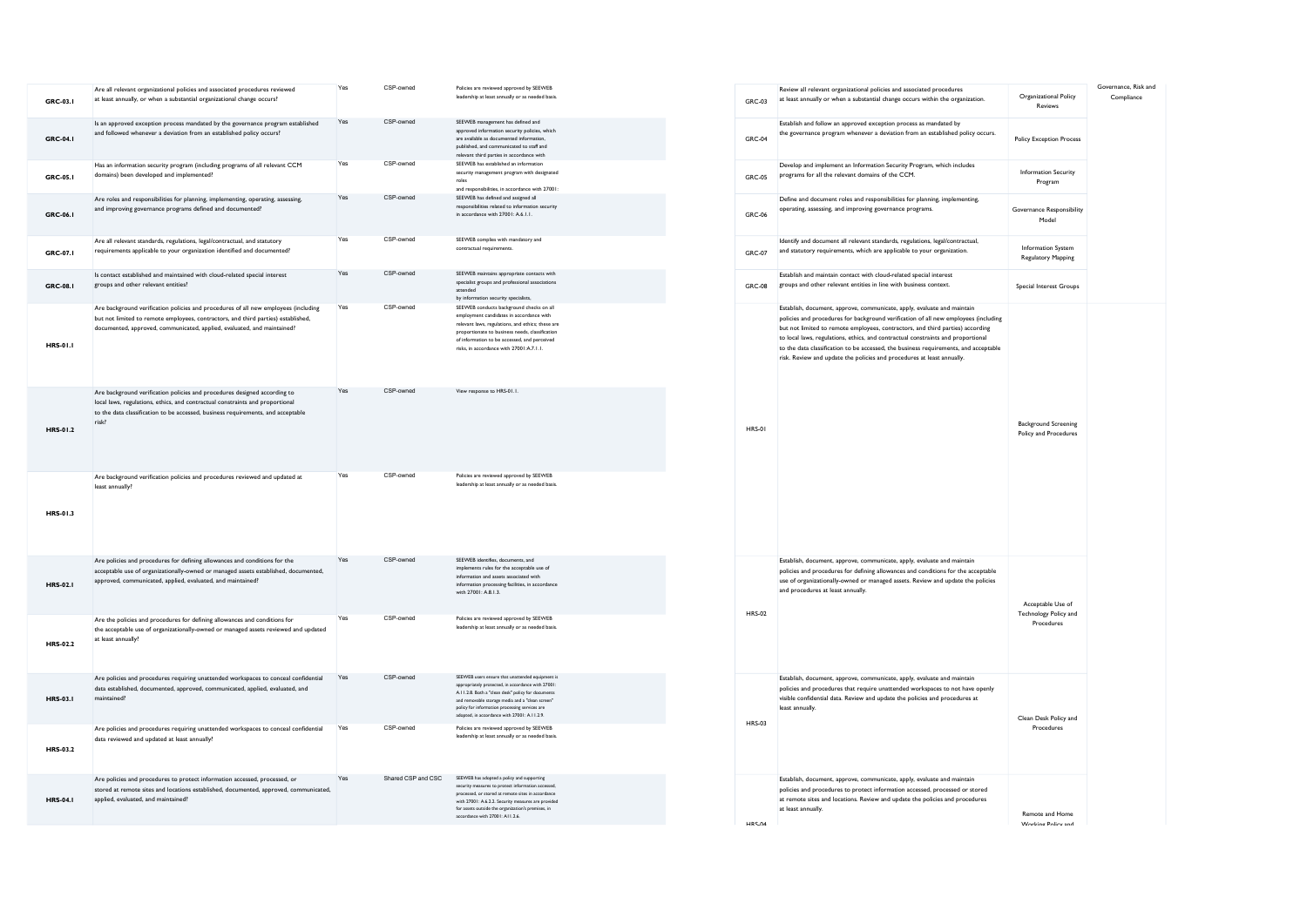| GRC-03.1        | Are all relevant organizational policies and associated procedures reviewed<br>at least annually, or when a substantial organizational change occurs?                                                                                                   | Yes | CSP-owned          | Policies are reviewed approved by SEEWEB<br>leadership at least annually or as needed basis.                                                                                                                                                                                                                        | GRC-03        |
|-----------------|---------------------------------------------------------------------------------------------------------------------------------------------------------------------------------------------------------------------------------------------------------|-----|--------------------|---------------------------------------------------------------------------------------------------------------------------------------------------------------------------------------------------------------------------------------------------------------------------------------------------------------------|---------------|
| GRC-04.1        | Is an approved exception process mandated by the governance program established<br>and followed whenever a deviation from an established policy occurs?                                                                                                 | Yes | CSP-owned          | SEEWEB management has defined and<br>approved information security policies, which<br>are available as documented information,<br>published, and communicated to staff and<br>relevant third parties in accordance with                                                                                             | <b>GRC-04</b> |
| GRC-05.1        | Has an information security program (including programs of all relevant CCM<br>domains) been developed and implemented?                                                                                                                                 | Yes | CSP-owned          | SEEWEB has established an information<br>security management program with designated<br>roles<br>and responsibilities, in accordance with 27001:                                                                                                                                                                    | <b>GRC-05</b> |
| GRC-06.1        | Are roles and responsibilities for planning, implementing, operating, assessing,<br>and improving governance programs defined and documented?                                                                                                           | Yes | CSP-owned          | SEEWEB has defined and assigned all<br>responsibilities related to information security<br>in accordance with 27001: A.6.1.1.                                                                                                                                                                                       | <b>GRC-06</b> |
| GRC-07.I        | Are all relevant standards, regulations, legal/contractual, and statutory<br>requirements applicable to your organization identified and documented?                                                                                                    | Yes | CSP-owned          | SEEWEB complies with mandatory and<br>contractual requirements.                                                                                                                                                                                                                                                     | GRC-07        |
| GRC-08.1        | Is contact established and maintained with cloud-related special interest<br>groups and other relevant entities?                                                                                                                                        | Yes | CSP-owned          | SEEWEB maintains appropriate contacts with<br>specialist groups and professional associations<br>attended<br>by information security specialists,                                                                                                                                                                   | GRC-08        |
| <b>HRS-01.1</b> | Are background verification policies and procedures of all new employees (including<br>but not limited to remote employees, contractors, and third parties) established,<br>documented, approved, communicated, applied, evaluated, and maintained?     | Yes | CSP-owned          | SEEWEB conducts background checks on all<br>employment candidates in accordance with<br>relevant laws, regulations, and ethics; these are<br>proportionate to business needs, classification<br>of information to be accessed, and perceived<br>risks, in accordance with 27001:A.7.1.1.                            |               |
| HRS-01.2        | Are background verification policies and procedures designed according to<br>local laws, regulations, ethics, and contractual constraints and proportional<br>to the data classification to be accessed, business requirements, and acceptable<br>risk? | Yes | CSP-owned          | View response to HRS-01.1.                                                                                                                                                                                                                                                                                          | <b>HRS-01</b> |
| HRS-01.3        | Are background verification policies and procedures reviewed and updated at<br>least annually?                                                                                                                                                          | Yes | CSP-owned          | Policies are reviewed approved by SEEWEB<br>leadership at least annually or as needed basis.                                                                                                                                                                                                                        |               |
| <b>HRS-02.1</b> | Are policies and procedures for defining allowances and conditions for the<br>acceptable use of organizationally-owned or managed assets established, documented,<br>approved, communicated, applied, evaluated, and maintained?                        | Yes | CSP-owned          | SEEWEB identifies, documents, and<br>implements rules for the acceptable use of<br>information and assets associated with<br>information processing facilities, in accordance<br>with 27001: A.8.1.3.                                                                                                               |               |
| <b>HRS-02.2</b> | Are the policies and procedures for defining allowances and conditions for<br>the acceptable use of organizationally-owned or managed assets reviewed and updated<br>at least annually?                                                                 | Yes | CSP-owned          | Policies are reviewed approved by SEEWEB<br>leadership at least annually or as needed basis.                                                                                                                                                                                                                        | <b>HRS-02</b> |
| <b>HRS-03.1</b> | Are policies and procedures requiring unattended workspaces to conceal confidential<br>data established, documented, approved, communicated, applied, evaluated, and<br>maintained?                                                                     | Yes | CSP-owned          | SEEWEB users ensure that unattended equipment is<br>appropriately protected, in accordance with 27001:<br>A.11.2.8. Both a "clean desk" policy for documents<br>and removable storage media and a "clean screen"<br>policy for information processing services are<br>adopted, in accordance with 27001: A.I I.2.9. | <b>HRS-03</b> |
| <b>HRS-03.2</b> | Are policies and procedures requiring unattended workspaces to conceal confidential<br>data reviewed and updated at least annually?                                                                                                                     | Yes | CSP-owned          | Policies are reviewed approved by SEEWEB<br>leadership at least annually or as needed basis.                                                                                                                                                                                                                        |               |
| <b>HRS-04.1</b> | Are policies and procedures to protect information accessed, processed, or<br>stored at remote sites and locations established, documented, approved, communicated,<br>applied, evaluated, and maintained?                                              | Yes | Shared CSP and CSC | SEEWEB has adopted a policy and supporting<br>security measures to protect information accessed,<br>processed, or stored at remote sites in accordance<br>with 27001: A.6.2.2. Security measures are provided<br>for assets outside the organization's premises, in<br>accordance with 27001: A11.2.6.              |               |

| GRC-03        | Review all relevant organizational policies and associated procedures<br>at least annually or when a substantial change occurs within the organization.                                                                                                                                                                                                                                                                                                                                                | Organizational Policy<br>Reviews                         | Governance, Risk and<br>Compliance |
|---------------|--------------------------------------------------------------------------------------------------------------------------------------------------------------------------------------------------------------------------------------------------------------------------------------------------------------------------------------------------------------------------------------------------------------------------------------------------------------------------------------------------------|----------------------------------------------------------|------------------------------------|
| <b>GRC-04</b> | Establish and follow an approved exception process as mandated by<br>the governance program whenever a deviation from an established policy occurs.                                                                                                                                                                                                                                                                                                                                                    | <b>Policy Exception Process</b>                          |                                    |
| <b>GRC-05</b> | Develop and implement an Information Security Program, which includes<br>programs for all the relevant domains of the CCM.                                                                                                                                                                                                                                                                                                                                                                             | <b>Information Security</b><br>Program                   |                                    |
| GRC-06        | Define and document roles and responsibilities for planning, implementing,<br>operating, assessing, and improving governance programs.                                                                                                                                                                                                                                                                                                                                                                 | Governance Responsibility<br>Model                       |                                    |
| GRC-07        | Identify and document all relevant standards, regulations, legal/contractual,<br>and statutory requirements, which are applicable to your organization.                                                                                                                                                                                                                                                                                                                                                | Information System<br>Regulatory Mapping                 |                                    |
| <b>GRC-08</b> | Establish and maintain contact with cloud-related special interest<br>groups and other relevant entities in line with business context.                                                                                                                                                                                                                                                                                                                                                                | Special Interest Groups                                  |                                    |
| <b>HRS-01</b> | Establish, document, approve, communicate, apply, evaluate and maintain<br>policies and procedures for background verification of all new employees (including<br>but not limited to remote employees, contractors, and third parties) according<br>to local laws, regulations, ethics, and contractual constraints and proportional<br>to the data classification to be accessed, the business requirements, and acceptable<br>risk. Review and update the policies and procedures at least annually. | <b>Background Screening</b><br>Policy and Procedures     |                                    |
| <b>HRS-02</b> | Establish, document, approve, communicate, apply, evaluate and maintain<br>policies and procedures for defining allowances and conditions for the acceptable<br>use of organizationally-owned or managed assets. Review and update the policies<br>and procedures at least annually.                                                                                                                                                                                                                   | Acceptable Use of<br>Technology Policy and<br>Procedures |                                    |
| <b>HRS-03</b> | Establish, document, approve, communicate, apply, evaluate and maintain<br>policies and procedures that require unattended workspaces to not have openly<br>visible confidential data. Review and update the policies and procedures at<br>least annually.                                                                                                                                                                                                                                             | Clean Desk Policy and<br>Procedures                      |                                    |
| HRS.04        | Establish, document, approve, communicate, apply, evaluate and maintain<br>policies and procedures to protect information accessed, processed or stored<br>at remote sites and locations. Review and update the policies and procedures<br>at least annually.                                                                                                                                                                                                                                          | <b>Remote and Home</b><br>Working Policy and             |                                    |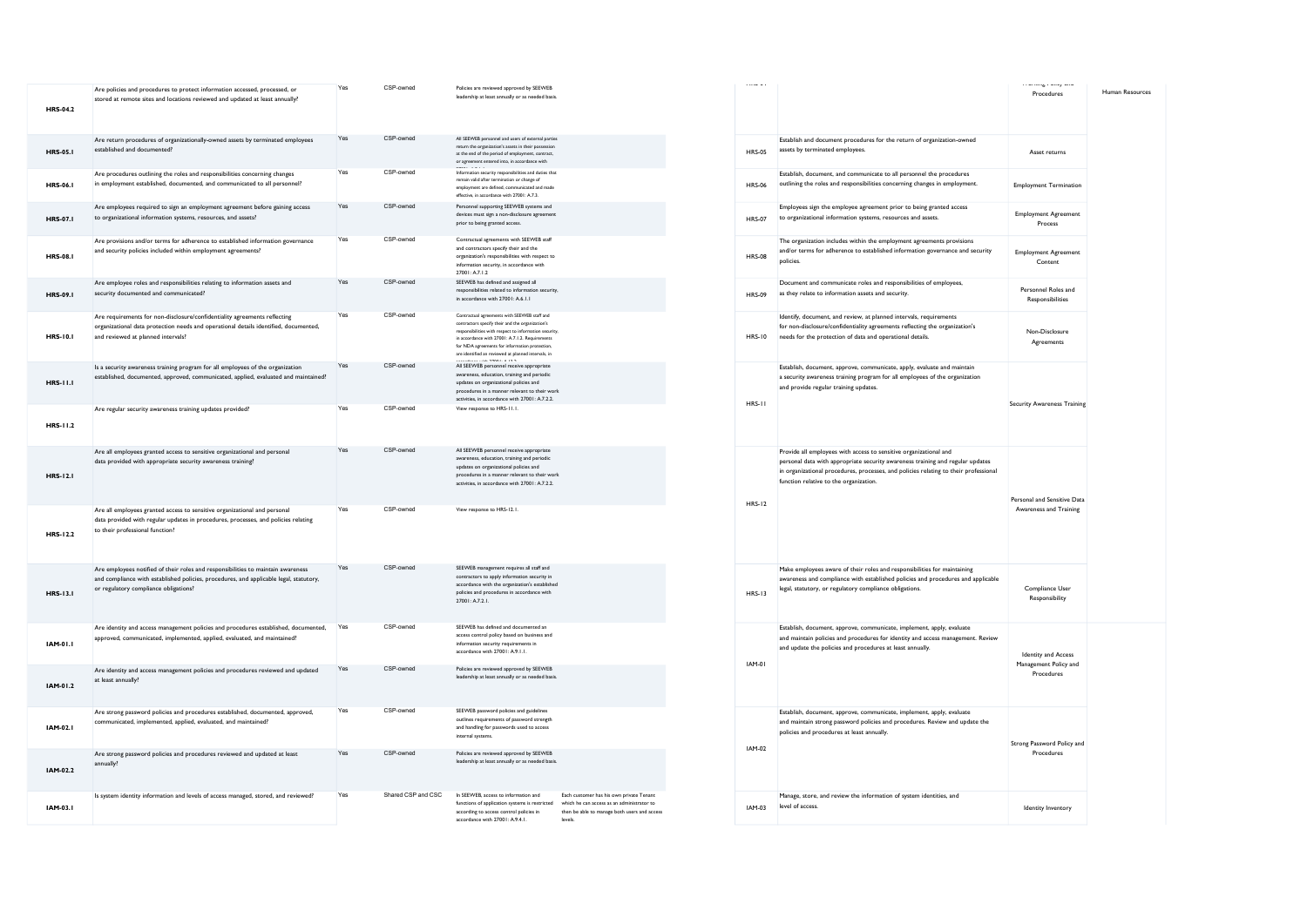| <b>HRS-04.2</b> | Are policies and procedures to protect information accessed, processed, or<br>stored at remote sites and locations reviewed and updated at least annually?                                                          | Yes | CSP-owned          | Policies are reviewed approved by SEEWEB<br>leadership at least annually or as needed basis                                                                                                                                                                                                                                      |                                                                                                                                                   |
|-----------------|---------------------------------------------------------------------------------------------------------------------------------------------------------------------------------------------------------------------|-----|--------------------|----------------------------------------------------------------------------------------------------------------------------------------------------------------------------------------------------------------------------------------------------------------------------------------------------------------------------------|---------------------------------------------------------------------------------------------------------------------------------------------------|
| <b>HRS-05.1</b> | Are return procedures of organizationally-owned assets by terminated employees<br>established and documented?                                                                                                       | Yes | CSP-owned          | All SEEWEB personnel and users of external parties<br>return the organization's assets in their possession<br>at the end of the period of employment, contract,<br>or agreement entered into, in accordance with                                                                                                                 |                                                                                                                                                   |
| <b>HRS-06.1</b> | Are procedures outlining the roles and responsibilities concerning changes<br>in employment established, documented, and communicated to all personnel?                                                             | Yes | CSP-owned          | Information security responsibilities and duties that<br>remain valid after termination or change of<br>employment are defined, communicated and made<br>effective, in accordance with 27001: A.7.3.                                                                                                                             |                                                                                                                                                   |
| <b>HRS-07.1</b> | Are employees required to sign an employment agreement before gaining access<br>to organizational information systems, resources, and assets?                                                                       | Yes | CSP-owned          | Personnel supporting SEEWEB systems and<br>devices must sign a non-disclosure agreement<br>prior to being granted access.                                                                                                                                                                                                        |                                                                                                                                                   |
| <b>HRS-08.1</b> | Are provisions and/or terms for adherence to established information governance<br>and security policies included within employment agreements?                                                                     | Yes | CSP-owned          | Contractual agreements with SEEWEB staff<br>and contractors specify their and the<br>organization's responsibilities with respect to<br>information security, in accordance with<br>27001: A.7.1.2                                                                                                                               |                                                                                                                                                   |
| <b>HRS-09.1</b> | Are employee roles and responsibilities relating to information assets and<br>security documented and communicated?                                                                                                 | Yes | CSP-owned          | SEEWEB has defined and assigned all<br>responsibilities related to information security,<br>in accordance with 27001: A.6.1.1                                                                                                                                                                                                    |                                                                                                                                                   |
| <b>HRS-10.1</b> | Are requirements for non-disclosure/confidentiality agreements reflecting<br>organizational data protection needs and operational details identified, documented,<br>and reviewed at planned intervals?             | Yes | CSP-owned          | Contractual agreements with SEEWEB staff and<br>contractors specify their and the organization's<br>responsibilities with respect to information security,<br>in accordance with 27001: A.7.1.2. Requirements<br>for NDA agreements for information protection,<br>are identified an reviewed at planned intervals, in<br>$\sim$ |                                                                                                                                                   |
| <b>HRS-11.1</b> | Is a security awareness training program for all employees of the organization<br>established, documented, approved, communicated, applied, evaluated and maintained?                                               | Yes | CSP-owned          | All SEEWEB personnel receive appropriate<br>awareness, education, training and periodic<br>updates on organizational policies and<br>procedures in a manner relevant to their work<br>activities, in accordance with 27001: A.7.2.2.                                                                                             |                                                                                                                                                   |
| <b>HRS-11.2</b> | Are regular security awareness training updates provided?                                                                                                                                                           | Yes | CSP-owned          | View response to HRS-11.1.                                                                                                                                                                                                                                                                                                       |                                                                                                                                                   |
| <b>HRS-12.1</b> | Are all employees granted access to sensitive organizational and personal<br>data provided with appropriate security awareness training?                                                                            | Yes | CSP-owned          | All SEEWEB personnel receive appropriate<br>wareness, education, training and periodic<br>updates on organizational policies and<br>procedures in a manner relevant to their work<br>activities, in accordance with 27001: A.7.2.2.                                                                                              |                                                                                                                                                   |
| <b>HRS-12.2</b> | Are all employees granted access to sensitive organizational and personal<br>data provided with regular updates in procedures, processes, and policies relating<br>to their professional function?                  | Yes | CSP-owned          | View response to HRS-12.1.                                                                                                                                                                                                                                                                                                       |                                                                                                                                                   |
| HRS-13.1        | Are employees notified of their roles and responsibilities to maintain awareness<br>and compliance with established policies, procedures, and applicable legal, statutory,<br>or regulatory compliance obligations? | Yes | CSP-owned          | SEEWEB management requires all staff and<br>contractors to apply information security in<br>accordance with the organization's established<br>policies and procedures in accordance with<br>27001: A.7.2.1.                                                                                                                      |                                                                                                                                                   |
| IAM-01.1        | Are identity and access management policies and procedures established, documented,<br>approved, communicated, implemented, applied, evaluated, and maintained?                                                     | Yes | CSP-owned          | SEEWEB has defined and documented an<br>access control policy based on business and<br>information security requirements in<br>accordance with 27001: A.9.1.1.                                                                                                                                                                   |                                                                                                                                                   |
| IAM-01.2        | Are identity and access management policies and procedures reviewed and updated<br>at least annually?                                                                                                               | Yes | CSP-owned          | Policies are reviewed approved by SEEWEB<br>leadership at least annually or as needed basis.                                                                                                                                                                                                                                     |                                                                                                                                                   |
| IAM-02.I        | Are strong password policies and procedures established, documented, approved,<br>communicated, implemented, applied, evaluated, and maintained?                                                                    | Yes | CSP-owned          | SEEWEB password policies and guidelines<br>outlines requirements of password strength<br>and handling for passwords used to access<br>internal systems.                                                                                                                                                                          |                                                                                                                                                   |
| IAM-02.2        | Are strong password policies and procedures reviewed and updated at least<br>annually?                                                                                                                              | Yes | CSP-owned          | Policies are reviewed approved by SEEWEB<br>leadership at least annually or as needed basis.                                                                                                                                                                                                                                     |                                                                                                                                                   |
| IAM-03.I        | Is system identity information and levels of access managed, stored, and reviewed?                                                                                                                                  | Yes | Shared CSP and CSC | In SEEWEB, access to information and<br>functions of application systems is restricted<br>according to access control policies in<br>accordance with 27001: A.9.4.1.                                                                                                                                                             | Each customer has his own private Tenant<br>which he can access as an administrator to<br>then be able to manage both users and access<br>levels. |

| <b>Linumum</b> |                                                                                                                                                                                                                                                                                       | <b>FFORMIE I UILY 40M</b><br>Procedures                           | Human Resources |
|----------------|---------------------------------------------------------------------------------------------------------------------------------------------------------------------------------------------------------------------------------------------------------------------------------------|-------------------------------------------------------------------|-----------------|
| <b>HRS-05</b>  | Establish and document procedures for the return of organization-owned<br>assets by terminated employees.                                                                                                                                                                             | Asset returns                                                     |                 |
| <b>HRS-06</b>  | Establish, document, and communicate to all personnel the procedures<br>outlining the roles and responsibilities concerning changes in employment.                                                                                                                                    | <b>Employment Termination</b>                                     |                 |
| <b>HRS-07</b>  | Employees sign the employee agreement prior to being granted access<br>to organizational information systems, resources and assets.                                                                                                                                                   | <b>Employment Agreement</b><br>Process                            |                 |
| <b>HRS-08</b>  | The organization includes within the employment agreements provisions<br>and/or terms for adherence to established information governance and security<br>policies.                                                                                                                   | <b>Employment Agreement</b><br>Content                            |                 |
| <b>HRS-09</b>  | Document and communicate roles and responsibilities of employees,<br>as they relate to information assets and security.                                                                                                                                                               | Personnel Roles and<br>Responsibilities                           |                 |
| <b>HRS-10</b>  | Identify, document, and review, at planned intervals, requirements<br>for non-disclosure/confidentiality agreements reflecting the organization's<br>needs for the protection of data and operational details.                                                                        | Non-Disclosure<br>Agreements                                      |                 |
| <b>HRS-11</b>  | Establish, document, approve, communicate, apply, evaluate and maintain<br>a security awareness training program for all employees of the organization<br>and provide regular training updates.                                                                                       | <b>Security Awareness Training</b>                                |                 |
| <b>HRS-12</b>  | Provide all employees with access to sensitive organizational and<br>personal data with appropriate security awareness training and regular updates<br>in organizational procedures, processes, and policies relating to their professional<br>function relative to the organization. | Personal and Sensitive Data<br>Awareness and Training             |                 |
| <b>HRS-13</b>  | Make employees aware of their roles and responsibilities for maintaining<br>awareness and compliance with established policies and procedures and applicable<br>legal, statutory, or regulatory compliance obligations.                                                               | Compliance User<br>Responsibility                                 |                 |
| <b>IAM-01</b>  | Establish, document, approve, communicate, implement, apply, evaluate<br>and maintain policies and procedures for identity and access management. Review<br>and update the policies and procedures at least annually.                                                                 | <b>Identity and Access</b><br>Management Policy and<br>Procedures |                 |
| <b>IAM-02</b>  | Establish, document, approve, communicate, implement, apply, evaluate<br>and maintain strong password policies and procedures. Review and update the<br>policies and procedures at least annually.                                                                                    | Strong Password Policy and<br>Procedures                          |                 |
| IAM-03         | Manage, store, and review the information of system identities, and<br>level of access.                                                                                                                                                                                               | Identity Inventory                                                |                 |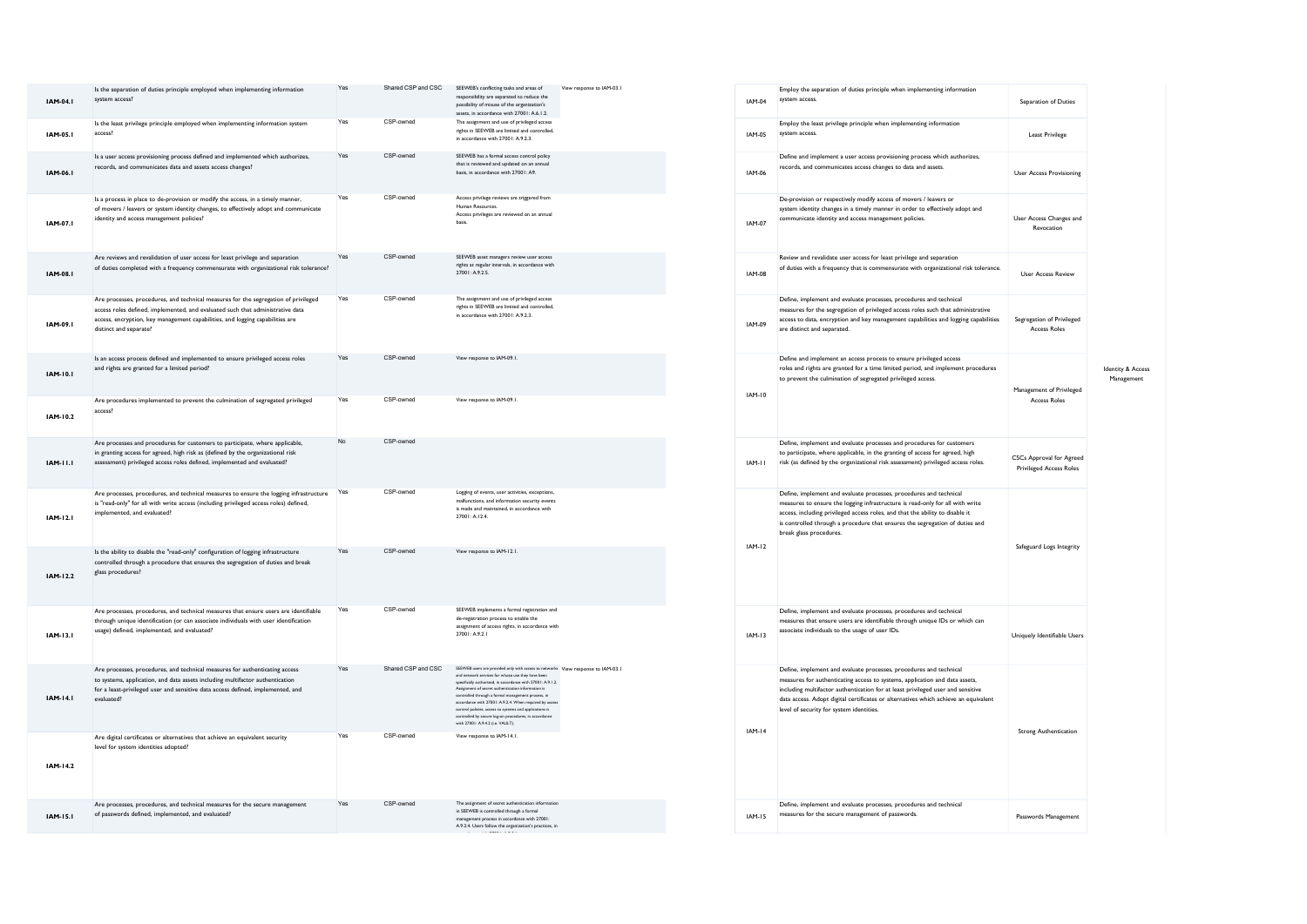| IAM-04.1        | Is the separation of duties principle employed when implementing information<br>system access?                                                                                                                                                                                   | Yes       | Shared CSP and CSC | SEEWEB's conflicting tasks and areas of<br>responsibility are separated to reduce the<br>possibility of misuse of the organization's<br>assets, in accordance with 27001: A.6.1.2.                                                                                                                                                                                                                                                                                                                                                 | View response to IAM-03.1 | <b>IAM-04</b> |
|-----------------|----------------------------------------------------------------------------------------------------------------------------------------------------------------------------------------------------------------------------------------------------------------------------------|-----------|--------------------|------------------------------------------------------------------------------------------------------------------------------------------------------------------------------------------------------------------------------------------------------------------------------------------------------------------------------------------------------------------------------------------------------------------------------------------------------------------------------------------------------------------------------------|---------------------------|---------------|
| IAM-05.1        | Is the least privilege principle employed when implementing information system<br>access?                                                                                                                                                                                        | Yes       | CSP-owned          | The assignment and use of privileged access<br>rights in SEEWEB are limited and controlled.<br>in accordance with 27001: A.9.2.3.                                                                                                                                                                                                                                                                                                                                                                                                  |                           | IAM-05        |
| IAM-06.I        | Is a user access provisioning process defined and implemented which authorizes,<br>records, and communicates data and assets access changes?                                                                                                                                     | Yes       | CSP-owned          | SEEWEB has a formal access control policy<br>that is reviewed and updated on an annual<br>basis, in accordance with 27001: A9.                                                                                                                                                                                                                                                                                                                                                                                                     |                           | IAM-06        |
| IAM-07.I        | Is a process in place to de-provision or modify the access, in a timely manner,<br>of movers / leavers or system identity changes, to effectively adopt and communicate<br>identity and access management policies?                                                              | Yes       | CSP-owned          | Access privilege reviews are triggered from<br>Human Resources.<br>Access privileges are reviewed on an annual<br>hasis                                                                                                                                                                                                                                                                                                                                                                                                            |                           | IAM-07        |
| IAM-08.I        | Are reviews and revalidation of user access for least privilege and separation<br>of duties completed with a frequency commensurate with organizational risk tolerance?                                                                                                          | Yes       | CSP-owned          | SEEWEB asset managers review user access<br>rights at regular intervals, in accordance with<br>$27001 - A925$                                                                                                                                                                                                                                                                                                                                                                                                                      |                           | IAM-08        |
| IAM-09.I        | Are processes, procedures, and technical measures for the segregation of privileged<br>access roles defined, implemented, and evaluated such that administrative data<br>access, encryption, key management capabilities, and logging capabilities are<br>distinct and separate? | Yes       | CSP-owned          | The assignment and use of privileged access<br>rights in SEEWEB are limited and controlled,<br>in accordance with 27001: A.9.2.3.                                                                                                                                                                                                                                                                                                                                                                                                  |                           | IAM-09        |
| IAM-10.1        | Is an access process defined and implemented to ensure privileged access roles<br>and rights are granted for a limited period?                                                                                                                                                   | Yes       | CSP-owned          | View response to IAM-09.1.                                                                                                                                                                                                                                                                                                                                                                                                                                                                                                         |                           |               |
| IAM-10.2        | Are procedures implemented to prevent the culmination of segregated privileged<br>access?                                                                                                                                                                                        | Yes       | CSP-owned          | View response to IAM-09.1.                                                                                                                                                                                                                                                                                                                                                                                                                                                                                                         |                           | IAM-10        |
| IAM-11.1        | Are processes and procedures for customers to participate, where applicable,<br>in granting access for agreed, high risk as (defined by the organizational risk<br>assessment) privileged access roles defined, implemented and evaluated?                                       | <b>No</b> | CSP-owned          |                                                                                                                                                                                                                                                                                                                                                                                                                                                                                                                                    |                           | IAM-II        |
| IAM-12.1        | Are processes, procedures, and technical measures to ensure the logging infrastructure<br>is "read-only" for all with write access (including privileged access roles) defined,<br>implemented, and evaluated?                                                                   | Yes       | CSP-owned          | Logging of events, user activities, exceptions,<br>malfunctions, and information security events<br>is made and maintained, in accordance with<br>$27001 - A124$                                                                                                                                                                                                                                                                                                                                                                   |                           |               |
| IAM-12.2        | Is the ability to disable the "read-only" configuration of logging infrastructure<br>controlled through a procedure that ensures the segregation of duties and break<br>glass procedures?                                                                                        | Yes       | CSP-owned          | View response to IAM-12.1.                                                                                                                                                                                                                                                                                                                                                                                                                                                                                                         |                           | $IAM-12$      |
| IAM-13.1        | Are processes, procedures, and technical measures that ensure users are identifiable<br>through unique identification (or can associate individuals with user identification<br>usage) defined, implemented, and evaluated?                                                      | Yes       | CSP-owned          | SEEWEB implements a formal registration and<br>de-registration process to enable the<br>assignment of access rights, in accordance with<br>27001: A.9.2.1                                                                                                                                                                                                                                                                                                                                                                          |                           | $IAM-13$      |
| <b>IAM-14.1</b> | Are processes, procedures, and technical measures for authenticating access<br>to systems, application, and data assets including multifactor authentication<br>for a least-privileged user and sensitive data access defined, implemented, and<br>evaluated?                    | Yes       | Shared CSP and CSC | SEEWEB users are provided only with access to networks View response to IAM-03.1<br>and network services for whose use they have been<br>specifically authorized, in accordance with 27001: A.9.1.2.<br>Assignment of secret authentication information<br>controlled through a formal management process, in<br>accordance with 27001: A.9.2.4. When required by access<br>control policies, access to systems and applications is<br>controlled by secure log-on procedures, in accordance<br>with 27001: A.9.4.2 (i.e. VALILT). |                           |               |
| IAM-14.2        | Are digital certificates or alternatives that achieve an equivalent security<br>level for system identities adopted?                                                                                                                                                             | Yes       | CSP-owned          | View response to IAM-14.1.                                                                                                                                                                                                                                                                                                                                                                                                                                                                                                         |                           | $IAM-14$      |
| IAM-15.1        | Are processes, procedures, and technical measures for the secure management<br>of passwords defined, implemented, and evaluated?                                                                                                                                                 | Yes       | CSP-gumed          | The assignment of secret authentication information<br>in SEEWEB is controlled through a formal<br>management process in accordance with 27001:<br>A.9.2.4. Users follow the organization's practices, in                                                                                                                                                                                                                                                                                                                          |                           | <b>IAM-15</b> |

accordance with 27001: A.9.3.1.

| <b>IAM-04</b> | Employ the separation of duties principle when implementing information<br>system access.                                                                                                                                                                                                                                                                               | Separation of Duties                                              |                                            |
|---------------|-------------------------------------------------------------------------------------------------------------------------------------------------------------------------------------------------------------------------------------------------------------------------------------------------------------------------------------------------------------------------|-------------------------------------------------------------------|--------------------------------------------|
| IAM-05        | Employ the least privilege principle when implementing information<br>system access.                                                                                                                                                                                                                                                                                    | <b>Least Privilege</b>                                            |                                            |
| IAM-06        | Define and implement a user access provisioning process which authorizes,<br>records, and communicates access changes to data and assets.                                                                                                                                                                                                                               | <b>User Access Provisioning</b>                                   |                                            |
| <b>IAM-07</b> | De-provision or respectively modify access of movers / leavers or<br>system identity changes in a timely manner in order to effectively adopt and<br>communicate identity and access management policies.                                                                                                                                                               | User Access Changes and<br>Revocation                             |                                            |
| <b>IAM-08</b> | Review and revalidate user access for least privilege and separation<br>of duties with a frequency that is commensurate with organizational risk tolerance.                                                                                                                                                                                                             | <b>User Access Review</b>                                         |                                            |
| IAM-09        | Define, implement and evaluate processes, procedures and technical<br>measures for the segregation of privileged access roles such that administrative<br>access to data, encryption and key management capabilities and logging capabilities<br>are distinct and separated.                                                                                            | Segregation of Privileged<br><b>Access Roles</b>                  |                                            |
| IAM-10        | Define and implement an access process to ensure privileged access<br>roles and rights are granted for a time limited period, and implement procedures<br>to prevent the culmination of segregated privileged access.                                                                                                                                                   | Management of Privileged<br><b>Access Roles</b>                   | <b>Identity &amp; Access</b><br>Management |
| IAM-II        | Define, implement and evaluate processes and procedures for customers<br>to participate, where applicable, in the granting of access for agreed, high<br>risk (as defined by the organizational risk assessment) privileged access roles.                                                                                                                               | <b>CSCs Approval for Agreed</b><br><b>Privileged Access Roles</b> |                                            |
| $IAM-12$      | Define, implement and evaluate processes, procedures and technical<br>measures to ensure the logging infrastructure is read-only for all with write<br>access, including privileged access roles, and that the ability to disable it<br>is controlled through a procedure that ensures the segregation of duties and<br>break glass procedures.                         | Safeguard Logs Integrity                                          |                                            |
| <b>IAM-13</b> | Define, implement and evaluate processes, procedures and technical<br>measures that ensure users are identifiable through unique IDs or which can<br>associate individuals to the usage of user IDs.                                                                                                                                                                    | Uniquely Identifiable Users                                       |                                            |
| $IAM-14$      | Define, implement and evaluate processes, procedures and technical<br>measures for authenticating access to systems, application and data assets,<br>including multifactor authentication for at least privileged user and sensitive<br>data access. Adopt digital certificates or alternatives which achieve an equivalent<br>level of security for system identities. | <b>Strong Authentication</b>                                      |                                            |
| $IAM-15$      | Define, implement and evaluate processes, procedures and technical<br>measures for the secure management of passwords.                                                                                                                                                                                                                                                  | Passwords Management                                              |                                            |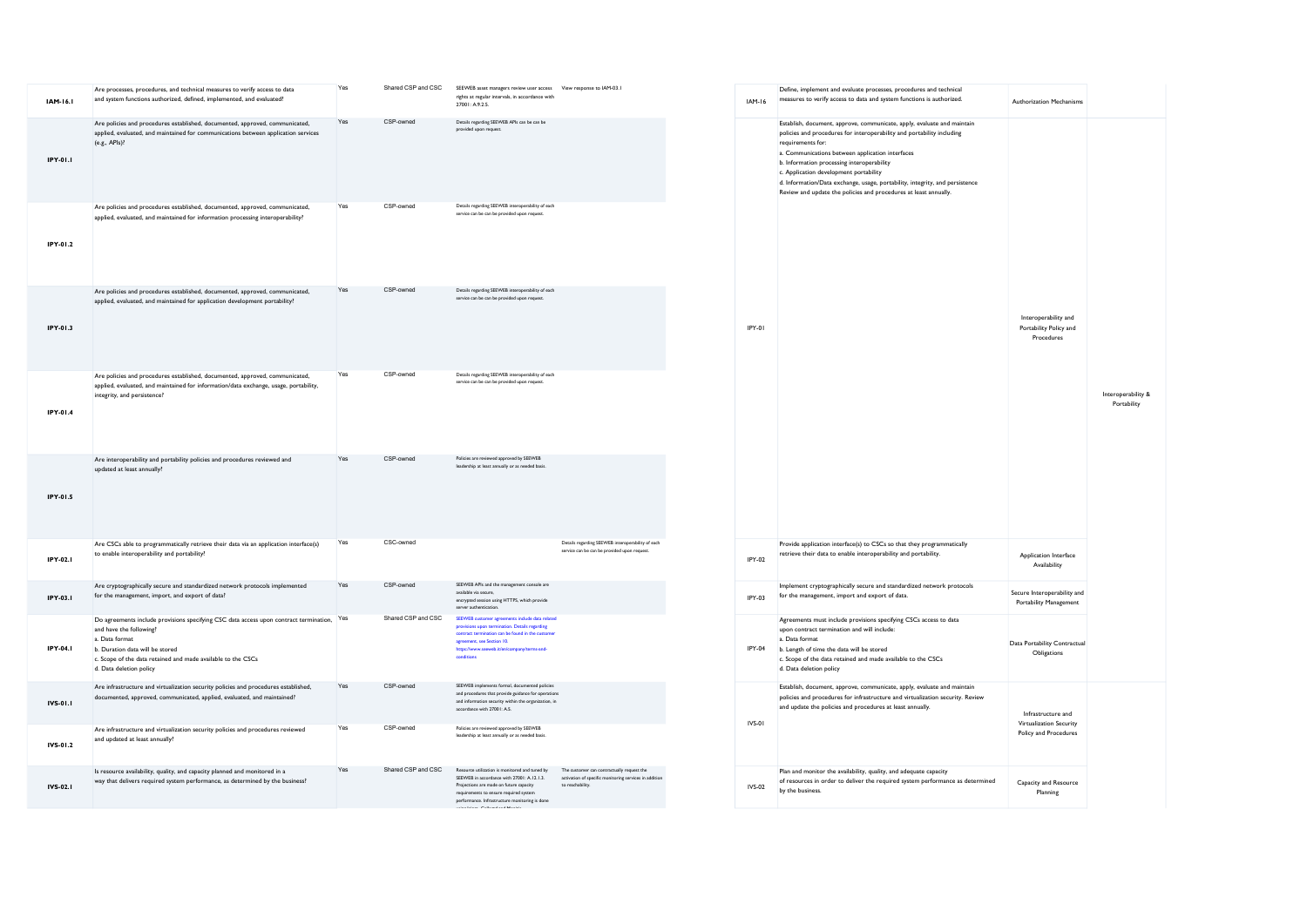| Yes<br>Shared CSP and CSC<br>SEEWEB asset managers review user access View response to IAM-03.1<br>Are processes, procedures, and technical measures to verify access to data<br>rights at regular intervals, in accordance with<br>and system functions authorized, defined, implemented, and evaluated?<br>IAM-16.1<br>27001-A925<br>CSP-owned<br>Details regarding SEEWEB APIs can be can be<br>Yes<br>Are policies and procedures established, documented, approved, communicated,<br>provided upon request<br>applied, evaluated, and maintained for communications between application services<br>(e.g., APIs)?<br>IPY-01.1<br>Yes<br>CSP-owned<br>Details regarding SEEWEB interoperability of each<br>Are policies and procedures established, documented, approved, communicated,<br>service can be can be provided upon request.<br>applied, evaluated, and maintained for information processing interoperability?<br>IPY-01.2<br>CSP-owned<br>Details regarding SEEWEB interoperability of each<br>Yes<br>Are policies and procedures established, documented, approved, communicated,<br>service can be can be provided upon request.<br>applied, evaluated, and maintained for application development portability?<br>IPY-01.3<br>IPY-01<br>CSP-owned<br>Details regarding SEEWEB interoperability of each<br>Yes<br>Are policies and procedures established, documented, approved, communicated,<br>service can be can be provided upon request<br>applied, evaluated, and maintained for information/data exchange, usage, portability,<br>integrity, and persistence?<br>IPY-01.4<br>Yes<br>CSP-owned<br>Policies are reviewed approved by SEEWEB<br>Are interoperability and portability policies and procedures reviewed and<br>leadership at least annually or as needed basis.<br>updated at least annually?<br>IPY-01.5<br>Details regarding SEEWEB interoperability of each<br>CSC-owned<br>Are CSCs able to programmatically retrieve their data via an application interface(s)<br>Yes<br>service can be can be provided upon request.<br>to enable interoperability and portability?<br>IPY-02.1<br>IPY-02<br>Yes<br>CSP-owned<br>SEEWEB APIs and the management console are<br>Are cryptographically secure and standardized network protocols implemented<br>available via secure.<br>for the management, import, and export of data?<br>IPY-03.1<br>IPY-03<br>encrypted session using HTTPS, which provide<br>server authentication.<br>Shared CSP and CSC<br>Do agreements include provisions specifying CSC data access upon contract termination, Yes<br>SEEWEB customer agreements include data related<br>provisions upon termination. Details regarding<br>and have the following?<br>contract termination can be found in the customs<br>a. Data format<br>agreement, see Section 10.<br>IPY-04.1<br>IPY-04<br>b. Duration data will be stored<br>https://www.seeweb.it/en/company/terms-and<br>conditions<br>c. Scope of the data retained and made available to the CSCs<br>d. Data deletion policy<br>CSP-owned<br>SEEWEB implements formal, documented policies<br>Yes<br>Are infrastructure and virtualization security policies and procedures established,<br>and procedures that provide guidance for operations<br>documented, approved, communicated, applied, evaluated, and maintained?<br>and information security within the organization, in<br>IVS-01.1<br>accordance with 27001: A.S.<br>IVS-01<br>Yes<br>CSP-owned<br>Policies are reviewed approved by SEEWEB<br>Are infrastructure and virtualization security policies and procedures reviewed<br>leadership at least annually or as needed basis.<br>and updated at least annually?<br>IVS-01.2<br>Shared CSP and CSC<br>Resource utilization is monitored and tuned by<br>Yes<br>The customer can contractually request the<br>Is resource availability, quality, and capacity planned and monitored in a<br>SEEWEB in accordance with 27001: A.12.1.3.<br>activation of specific monitoring services in addition<br>way that delivers required system performance, as determined by the business?<br>Projections are made on future capacity<br>to reachability.<br>IVS-02.1<br><b>IVS-02</b><br>requirements to ensure required system<br>performance. Infrastructure monitoring is done |  |  |  |          |
|---------------------------------------------------------------------------------------------------------------------------------------------------------------------------------------------------------------------------------------------------------------------------------------------------------------------------------------------------------------------------------------------------------------------------------------------------------------------------------------------------------------------------------------------------------------------------------------------------------------------------------------------------------------------------------------------------------------------------------------------------------------------------------------------------------------------------------------------------------------------------------------------------------------------------------------------------------------------------------------------------------------------------------------------------------------------------------------------------------------------------------------------------------------------------------------------------------------------------------------------------------------------------------------------------------------------------------------------------------------------------------------------------------------------------------------------------------------------------------------------------------------------------------------------------------------------------------------------------------------------------------------------------------------------------------------------------------------------------------------------------------------------------------------------------------------------------------------------------------------------------------------------------------------------------------------------------------------------------------------------------------------------------------------------------------------------------------------------------------------------------------------------------------------------------------------------------------------------------------------------------------------------------------------------------------------------------------------------------------------------------------------------------------------------------------------------------------------------------------------------------------------------------------------------------------------------------------------------------------------------------------------------------------------------------------------------------------------------------------------------------------------------------------------------------------------------------------------------------------------------------------------------------------------------------------------------------------------------------------------------------------------------------------------------------------------------------------------------------------------------------------------------------------------------------------------------------------------------------------------------------------------------------------------------------------------------------------------------------------------------------------------------------------------------------------------------------------------------------------------------------------------------------------------------------------------------------------------------------------------------------------------------------------------------------------------------------------------------------------------------------------------------------------------------------------------------------------------------------------------------------------------------------------------------------------------------------------------------------------------------------------------------------------------------------------------------------------------------------------------------------------------------------------------------------------------------------------------------------------------------------------------------------------------------------------|--|--|--|----------|
|                                                                                                                                                                                                                                                                                                                                                                                                                                                                                                                                                                                                                                                                                                                                                                                                                                                                                                                                                                                                                                                                                                                                                                                                                                                                                                                                                                                                                                                                                                                                                                                                                                                                                                                                                                                                                                                                                                                                                                                                                                                                                                                                                                                                                                                                                                                                                                                                                                                                                                                                                                                                                                                                                                                                                                                                                                                                                                                                                                                                                                                                                                                                                                                                                                                                                                                                                                                                                                                                                                                                                                                                                                                                                                                                                                                                                                                                                                                                                                                                                                                                                                                                                                                                                                                                                                         |  |  |  | $IAM-I6$ |
|                                                                                                                                                                                                                                                                                                                                                                                                                                                                                                                                                                                                                                                                                                                                                                                                                                                                                                                                                                                                                                                                                                                                                                                                                                                                                                                                                                                                                                                                                                                                                                                                                                                                                                                                                                                                                                                                                                                                                                                                                                                                                                                                                                                                                                                                                                                                                                                                                                                                                                                                                                                                                                                                                                                                                                                                                                                                                                                                                                                                                                                                                                                                                                                                                                                                                                                                                                                                                                                                                                                                                                                                                                                                                                                                                                                                                                                                                                                                                                                                                                                                                                                                                                                                                                                                                                         |  |  |  |          |
|                                                                                                                                                                                                                                                                                                                                                                                                                                                                                                                                                                                                                                                                                                                                                                                                                                                                                                                                                                                                                                                                                                                                                                                                                                                                                                                                                                                                                                                                                                                                                                                                                                                                                                                                                                                                                                                                                                                                                                                                                                                                                                                                                                                                                                                                                                                                                                                                                                                                                                                                                                                                                                                                                                                                                                                                                                                                                                                                                                                                                                                                                                                                                                                                                                                                                                                                                                                                                                                                                                                                                                                                                                                                                                                                                                                                                                                                                                                                                                                                                                                                                                                                                                                                                                                                                                         |  |  |  |          |
|                                                                                                                                                                                                                                                                                                                                                                                                                                                                                                                                                                                                                                                                                                                                                                                                                                                                                                                                                                                                                                                                                                                                                                                                                                                                                                                                                                                                                                                                                                                                                                                                                                                                                                                                                                                                                                                                                                                                                                                                                                                                                                                                                                                                                                                                                                                                                                                                                                                                                                                                                                                                                                                                                                                                                                                                                                                                                                                                                                                                                                                                                                                                                                                                                                                                                                                                                                                                                                                                                                                                                                                                                                                                                                                                                                                                                                                                                                                                                                                                                                                                                                                                                                                                                                                                                                         |  |  |  |          |
|                                                                                                                                                                                                                                                                                                                                                                                                                                                                                                                                                                                                                                                                                                                                                                                                                                                                                                                                                                                                                                                                                                                                                                                                                                                                                                                                                                                                                                                                                                                                                                                                                                                                                                                                                                                                                                                                                                                                                                                                                                                                                                                                                                                                                                                                                                                                                                                                                                                                                                                                                                                                                                                                                                                                                                                                                                                                                                                                                                                                                                                                                                                                                                                                                                                                                                                                                                                                                                                                                                                                                                                                                                                                                                                                                                                                                                                                                                                                                                                                                                                                                                                                                                                                                                                                                                         |  |  |  |          |
|                                                                                                                                                                                                                                                                                                                                                                                                                                                                                                                                                                                                                                                                                                                                                                                                                                                                                                                                                                                                                                                                                                                                                                                                                                                                                                                                                                                                                                                                                                                                                                                                                                                                                                                                                                                                                                                                                                                                                                                                                                                                                                                                                                                                                                                                                                                                                                                                                                                                                                                                                                                                                                                                                                                                                                                                                                                                                                                                                                                                                                                                                                                                                                                                                                                                                                                                                                                                                                                                                                                                                                                                                                                                                                                                                                                                                                                                                                                                                                                                                                                                                                                                                                                                                                                                                                         |  |  |  |          |
|                                                                                                                                                                                                                                                                                                                                                                                                                                                                                                                                                                                                                                                                                                                                                                                                                                                                                                                                                                                                                                                                                                                                                                                                                                                                                                                                                                                                                                                                                                                                                                                                                                                                                                                                                                                                                                                                                                                                                                                                                                                                                                                                                                                                                                                                                                                                                                                                                                                                                                                                                                                                                                                                                                                                                                                                                                                                                                                                                                                                                                                                                                                                                                                                                                                                                                                                                                                                                                                                                                                                                                                                                                                                                                                                                                                                                                                                                                                                                                                                                                                                                                                                                                                                                                                                                                         |  |  |  |          |
|                                                                                                                                                                                                                                                                                                                                                                                                                                                                                                                                                                                                                                                                                                                                                                                                                                                                                                                                                                                                                                                                                                                                                                                                                                                                                                                                                                                                                                                                                                                                                                                                                                                                                                                                                                                                                                                                                                                                                                                                                                                                                                                                                                                                                                                                                                                                                                                                                                                                                                                                                                                                                                                                                                                                                                                                                                                                                                                                                                                                                                                                                                                                                                                                                                                                                                                                                                                                                                                                                                                                                                                                                                                                                                                                                                                                                                                                                                                                                                                                                                                                                                                                                                                                                                                                                                         |  |  |  |          |
|                                                                                                                                                                                                                                                                                                                                                                                                                                                                                                                                                                                                                                                                                                                                                                                                                                                                                                                                                                                                                                                                                                                                                                                                                                                                                                                                                                                                                                                                                                                                                                                                                                                                                                                                                                                                                                                                                                                                                                                                                                                                                                                                                                                                                                                                                                                                                                                                                                                                                                                                                                                                                                                                                                                                                                                                                                                                                                                                                                                                                                                                                                                                                                                                                                                                                                                                                                                                                                                                                                                                                                                                                                                                                                                                                                                                                                                                                                                                                                                                                                                                                                                                                                                                                                                                                                         |  |  |  |          |
|                                                                                                                                                                                                                                                                                                                                                                                                                                                                                                                                                                                                                                                                                                                                                                                                                                                                                                                                                                                                                                                                                                                                                                                                                                                                                                                                                                                                                                                                                                                                                                                                                                                                                                                                                                                                                                                                                                                                                                                                                                                                                                                                                                                                                                                                                                                                                                                                                                                                                                                                                                                                                                                                                                                                                                                                                                                                                                                                                                                                                                                                                                                                                                                                                                                                                                                                                                                                                                                                                                                                                                                                                                                                                                                                                                                                                                                                                                                                                                                                                                                                                                                                                                                                                                                                                                         |  |  |  |          |
|                                                                                                                                                                                                                                                                                                                                                                                                                                                                                                                                                                                                                                                                                                                                                                                                                                                                                                                                                                                                                                                                                                                                                                                                                                                                                                                                                                                                                                                                                                                                                                                                                                                                                                                                                                                                                                                                                                                                                                                                                                                                                                                                                                                                                                                                                                                                                                                                                                                                                                                                                                                                                                                                                                                                                                                                                                                                                                                                                                                                                                                                                                                                                                                                                                                                                                                                                                                                                                                                                                                                                                                                                                                                                                                                                                                                                                                                                                                                                                                                                                                                                                                                                                                                                                                                                                         |  |  |  |          |
|                                                                                                                                                                                                                                                                                                                                                                                                                                                                                                                                                                                                                                                                                                                                                                                                                                                                                                                                                                                                                                                                                                                                                                                                                                                                                                                                                                                                                                                                                                                                                                                                                                                                                                                                                                                                                                                                                                                                                                                                                                                                                                                                                                                                                                                                                                                                                                                                                                                                                                                                                                                                                                                                                                                                                                                                                                                                                                                                                                                                                                                                                                                                                                                                                                                                                                                                                                                                                                                                                                                                                                                                                                                                                                                                                                                                                                                                                                                                                                                                                                                                                                                                                                                                                                                                                                         |  |  |  |          |

| <b>IAM-16</b> | Define, implement and evaluate processes, procedures and technical<br>measures to verify access to data and system functions is authorized.                                                                                                                                                                                                                                                                                                                            | Authorization Mechanisms                                               |                                   |
|---------------|------------------------------------------------------------------------------------------------------------------------------------------------------------------------------------------------------------------------------------------------------------------------------------------------------------------------------------------------------------------------------------------------------------------------------------------------------------------------|------------------------------------------------------------------------|-----------------------------------|
| IPY-01        | Establish, document, approve, communicate, apply, evaluate and maintain<br>policies and procedures for interoperability and portability including<br>requirements for:<br>a. Communications between application interfaces<br>b. Information processing interoperability<br>c. Application development portability<br>d. Information/Data exchange, usage, portability, integrity, and persistence<br>Review and update the policies and procedures at least annually. | Interoperability and<br>Portability Policy and<br>Procedures           | Interoperability &<br>Portability |
| IPY-02        | Provide application interface(s) to CSCs so that they programmatically<br>retrieve their data to enable interoperability and portability.                                                                                                                                                                                                                                                                                                                              | Application Interface<br>Availability                                  |                                   |
| IPY-03        | Implement cryptographically secure and standardized network protocols<br>for the management, import and export of data.                                                                                                                                                                                                                                                                                                                                                | Secure Interoperability and<br>Portability Management                  |                                   |
| IPY-04        | Agreements must include provisions specifying CSCs access to data<br>upon contract termination and will include:<br>a. Data format<br>b. Length of time the data will be stored<br>c. Scope of the data retained and made available to the CSCs<br>d. Data deletion policy                                                                                                                                                                                             | Data Portability Contractual<br>Obligations                            |                                   |
| IVS-01        | Establish, document, approve, communicate, apply, evaluate and maintain<br>policies and procedures for infrastructure and virtualization security. Review<br>and update the policies and procedures at least annually.                                                                                                                                                                                                                                                 | Infrastructure and<br>Virtualization Security<br>Policy and Procedures |                                   |
| <b>IVS-02</b> | Plan and monitor the availability, quality, and adequate capacity<br>of resources in order to deliver the required system performance as determined<br>by the business.                                                                                                                                                                                                                                                                                                | Capacity and Resource<br>Planning                                      |                                   |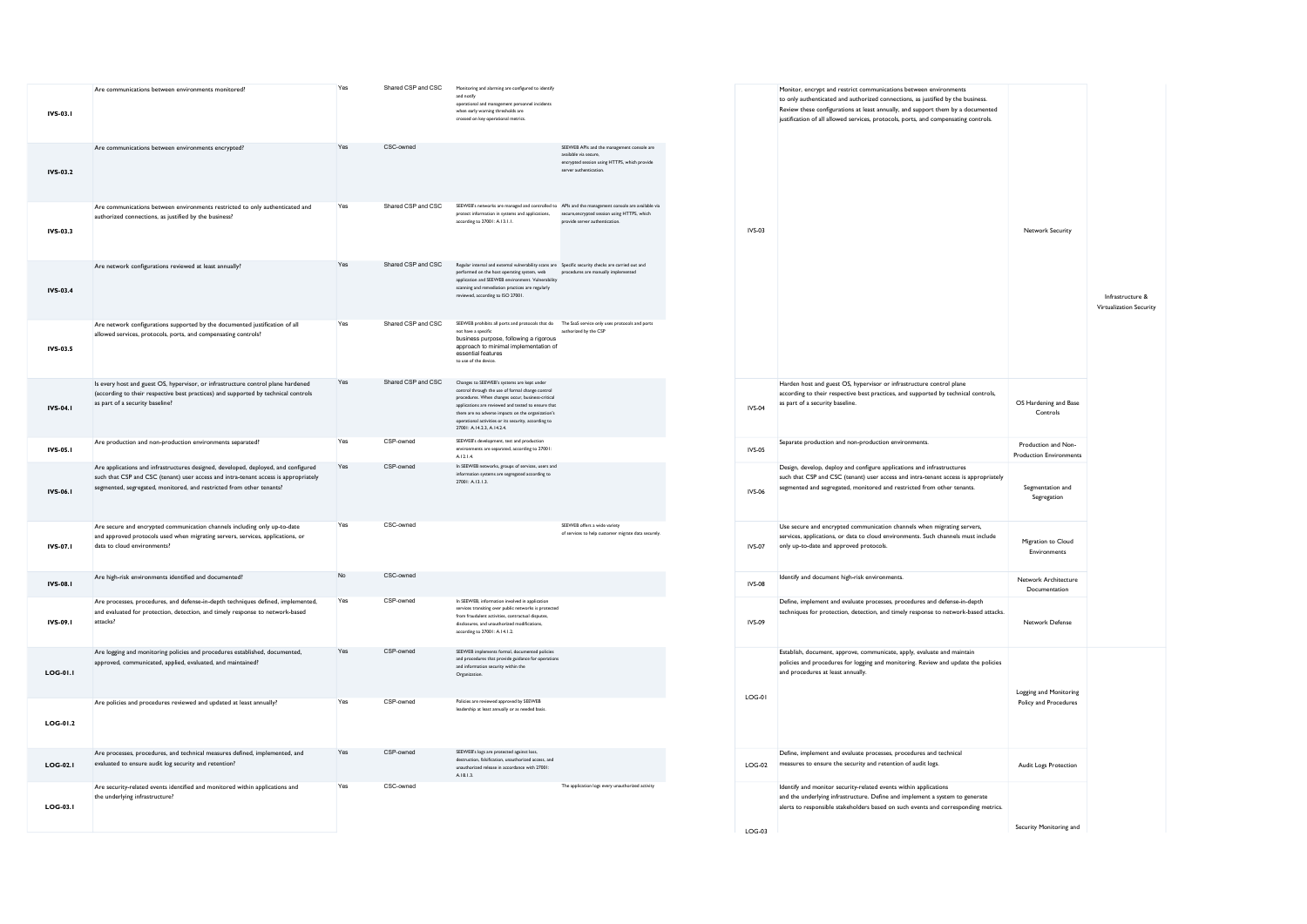| IVS-03.1        | Are communications between environments monitored?                                                                                                                                                                                                | Yes | Shared CSP and CSC | Monitoring and alarming are configured to identify<br>and notify<br>operational and management personnel incidents<br>when early warning thresholds are<br>crossed on key operational metrics.                                                                                                                                                         |                                                                                                                                              |
|-----------------|---------------------------------------------------------------------------------------------------------------------------------------------------------------------------------------------------------------------------------------------------|-----|--------------------|--------------------------------------------------------------------------------------------------------------------------------------------------------------------------------------------------------------------------------------------------------------------------------------------------------------------------------------------------------|----------------------------------------------------------------------------------------------------------------------------------------------|
| IVS-03.2        | Are communications between environments encrypted?                                                                                                                                                                                                | Yes | CSC-owned          |                                                                                                                                                                                                                                                                                                                                                        | SEEWEB APIs and the management console are<br>available via secure.<br>encrypted session using HTTPS, which provide<br>server authentication |
| IVS-03.3        | Are communications between environments restricted to only authenticated and<br>authorized connections, as justified by the business?                                                                                                             | Yes | Shared CSP and CSC | SEEWEB's networks are managed and controlled to APIs and the management console are available via<br>protect information in systems and applications, secure, encrypted session using HTTPS, which<br>according to 27001: A.13.1.1.                                                                                                                    | provide server authentication.                                                                                                               |
| IVS-03.4        | Are network configurations reviewed at least annually?                                                                                                                                                                                            | Yes | Shared CSP and CSC | Regular internal and external vulnerability scans are Specific security checks are carried out and<br>performed on the host operating system, web<br>application and SEEWEB environment. Vulnerability<br>scanning and remediation practices are regularly<br>reviewed, according to ISO 27001.                                                        | procedures are manually implemented                                                                                                          |
| IVS-03.5        | Are network configurations supported by the documented justification of all<br>allowed services, protocols, ports, and compensating controls?                                                                                                     | Yes | Shared CSP and CSC | SEEWEB prohibits all ports and protocols that do The SaaS service only uses protocols and ports<br>not have a specific<br>business purpose, following a rigorous<br>approach to minimal implementation of<br>essential features<br>to use of the device.                                                                                               | authorized by the CSP                                                                                                                        |
| IVS-04.1        | Is every host and guest OS, hypervisor, or infrastructure control plane hardened<br>(according to their respective best practices) and supported by technical controls<br>as part of a security baseline?                                         | Yes | Shared CSP and CSC | Changes to SEEWEB's systems are kept under<br>control through the use of formal change control<br>procedures. When changes occur, business-critical<br>applications are reviewed and tested to ensure that<br>there are no adverse impacts on the organization's<br>operational activities or its security, according to<br>27001: A.14.2.3. A.14.2.4. |                                                                                                                                              |
| <b>IVS-05.1</b> | Are production and non-production environments separated?                                                                                                                                                                                         | Yes | CSP-owned          | SEEWEB's development, test and production<br>environments are separated, according to 27001:<br>A.12.1.4.                                                                                                                                                                                                                                              |                                                                                                                                              |
| IVS-06.1        | Are applications and infrastructures designed, developed, deployed, and configured<br>such that CSP and CSC (tenant) user access and intra-tenant access is appropriately<br>segmented, segregated, monitored, and restricted from other tenants? | Yes | CSP-owned          | In SEEWEB networks, groups of services, users and<br>information systems are segregated according to<br>27001: A.13.1.3.                                                                                                                                                                                                                               |                                                                                                                                              |
| IVS-07.1        | Are secure and encrypted communication channels including only up-to-date<br>and approved protocols used when migrating servers, services, applications, or<br>data to cloud environments?                                                        | Yes | CSC-owned          |                                                                                                                                                                                                                                                                                                                                                        | SEEWEB offers a wide variety<br>of services to help customer migrate data securely.                                                          |
| IVS-08.1        | Are high-risk environments identified and documented?                                                                                                                                                                                             | No  | CSC-owned          |                                                                                                                                                                                                                                                                                                                                                        |                                                                                                                                              |
| IVS-09.1        | Are processes, procedures, and defense-in-depth techniques defined, implemented,<br>and evaluated for protection, detection, and timely response to network-based<br>attacks?                                                                     | Yes | CSP-owned          | In SEEWEB, information involved in application<br>services transiting over public networks is protected<br>from fraudulent activities, contractual disputes,<br>disclosures, and unauthorized modifications.<br>according to 27001: A.14.1.2.                                                                                                          |                                                                                                                                              |
| LOG-01.1        | Are logging and monitoring policies and procedures established, documented,<br>approved, communicated, applied, evaluated, and maintained?                                                                                                        | Yes | CSP-owned          | SEEWEB implements formal, documented policies<br>and procedures that provide guidance for operations<br>and information security within the<br>Organization.                                                                                                                                                                                           |                                                                                                                                              |
| LOG-01.2        | Are policies and procedures reviewed and updated at least annually?                                                                                                                                                                               | Yes | CSP-owned          | Policies are reviewed approved by SEEWEB<br>leadership at least annually or as needed basis.                                                                                                                                                                                                                                                           |                                                                                                                                              |
| LOG-02.1        | Are processes, procedures, and technical measures defined, implemented, and<br>evaluated to ensure audit log security and retention?                                                                                                              | Yes | CSP-owned          | SEEWEB's logs are protected against loss,<br>destruction, falsification, unauthorized access, and<br>unauthorized release in accordance with 27001:<br>A.18.1.3.                                                                                                                                                                                       |                                                                                                                                              |
| LOG-03.I        | Are security-related events identified and monitored within applications and<br>the underlying infrastructure?                                                                                                                                    | Yes | CSC-owned          |                                                                                                                                                                                                                                                                                                                                                        | The application logs every unauthorized activity                                                                                             |

| <b>IVS-03</b> | Monitor, encrypt and restrict communications between environments<br>to only authenticated and authorized connections, as justified by the business.<br>Review these configurations at least annually, and support them by a documented<br>justification of all allowed services, protocols, ports, and compensating controls. | Network Security                                      | Infrastructure &<br>Virtualization Security |
|---------------|--------------------------------------------------------------------------------------------------------------------------------------------------------------------------------------------------------------------------------------------------------------------------------------------------------------------------------|-------------------------------------------------------|---------------------------------------------|
| <b>IVS-04</b> | Harden host and guest OS, hypervisor or infrastructure control plane<br>according to their respective best practices, and supported by technical controls,<br>as part of a security baseline.                                                                                                                                  | OS Hardening and Base<br>Controls                     |                                             |
| <b>IVS-05</b> | Separate production and non-production environments.                                                                                                                                                                                                                                                                           | Production and Non-<br><b>Production Environments</b> |                                             |
| <b>IVS-06</b> | Design, develop, deploy and configure applications and infrastructures<br>such that CSP and CSC (tenant) user access and intra-tenant access is appropriately<br>segmented and segregated, monitored and restricted from other tenants.                                                                                        | Segmentation and<br>Segregation                       |                                             |
| <b>IVS-07</b> | Use secure and encrypted communication channels when migrating servers,<br>services, applications, or data to cloud environments. Such channels must include<br>only up-to-date and approved protocols.                                                                                                                        | Migration to Cloud<br>Environments                    |                                             |
| <b>IVS-08</b> | Identify and document high-risk environments.                                                                                                                                                                                                                                                                                  | Network Architecture<br>Documentation                 |                                             |
| <b>IVS-09</b> | Define, implement and evaluate processes, procedures and defense-in-depth<br>techniques for protection, detection, and timely response to network-based attacks.                                                                                                                                                               | Network Defense                                       |                                             |
| LOG-01        | Establish, document, approve, communicate, apply, evaluate and maintain<br>policies and procedures for logging and monitoring. Review and update the policies<br>and procedures at least annually.                                                                                                                             | Logging and Monitoring<br>Policy and Procedures       |                                             |
| $LOG-02$      | Define, implement and evaluate processes, procedures and technical<br>measures to ensure the security and retention of audit logs.                                                                                                                                                                                             | Audit Logs Protection                                 |                                             |
| LOG-03        | Identify and monitor security-related events within applications<br>and the underlying infrastructure. Define and implement a system to generate<br>alerts to responsible stakeholders based on such events and corresponding metrics.                                                                                         | Security Monitoring and                               |                                             |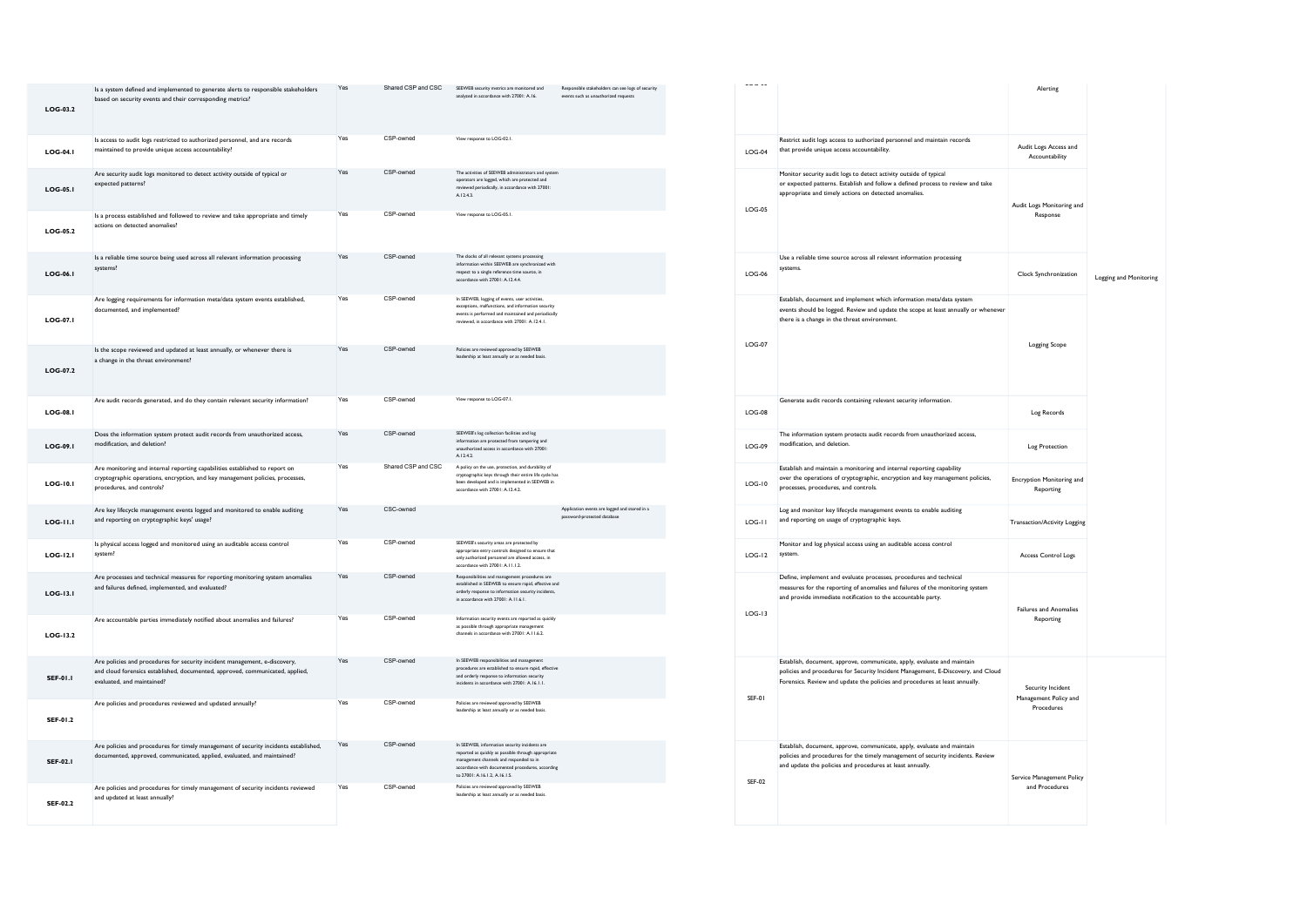| LOG-03.2        | Is a system defined and implemented to generate alerts to responsible stakeholders<br>based on security events and their corresponding metrics?                                           | Yes | Shared CSP and CSC | SEEWEB security metrics are monitored and<br>analyzed in accordance with 27001: A.16.                                                                                                                                                | Responsible stakeholders can see logs of security<br>events such as unauthorized requests |
|-----------------|-------------------------------------------------------------------------------------------------------------------------------------------------------------------------------------------|-----|--------------------|--------------------------------------------------------------------------------------------------------------------------------------------------------------------------------------------------------------------------------------|-------------------------------------------------------------------------------------------|
| LOG-04.1        | Is access to audit logs restricted to authorized personnel, and are records<br>maintained to provide unique access accountability?                                                        | Yes | CSP-owned          | View response to LOG-02.1.                                                                                                                                                                                                           |                                                                                           |
| LOG-05.1        | Are security audit logs monitored to detect activity outside of typical or<br>expected patterns?                                                                                          | Yes | CSP-owned          | The activities of SEEWEB administrators and system<br>operators are logged, which are protected and<br>reviewed periodically, in accordance with 27001:<br>A1243                                                                     |                                                                                           |
| LOG-05.2        | Is a process established and followed to review and take appropriate and timely<br>actions on detected anomalies?                                                                         | Yes | CSP-owned          | View response to LOG-05.1.                                                                                                                                                                                                           |                                                                                           |
| LOG-06.1        | Is a reliable time source being used across all relevant information processing<br>systems?                                                                                               | Yes | CSP-owned          | The clocks of all relevant systems processing<br>information within SEEWEB are synchronized with<br>respect to a single reference time source, in<br>accordance with 27001: A.12.4.4.                                                |                                                                                           |
| LOG-07.I        | Are logging requirements for information meta/data system events established,<br>documented, and implemented?                                                                             | Yes | CSP-owned          | In SEEWEB, logging of events, user activities,<br>exceptions, malfunctions, and information security<br>events is performed and maintained and periodically<br>reviewed, in accordance with 27001: A.12.4.1.                         |                                                                                           |
| $LOG-07.2$      | Is the scope reviewed and updated at least annually, or whenever there is<br>a change in the threat environment?                                                                          | Yes | CSP-owned          | Policies are reviewed approved by SEEWEB<br>leadership at least annually or as needed basis.                                                                                                                                         |                                                                                           |
| <b>LOG-08.1</b> | Are audit records generated, and do they contain relevant security information?                                                                                                           | Yes | CSP-owned          | View response to LOG-07.1.                                                                                                                                                                                                           |                                                                                           |
| LOG-09.1        | Does the information system protect audit records from unauthorized access,<br>modification, and deletion?                                                                                | Yes | CSP-owned          | SEEWEB's log collection facilities and log<br>information are protected from tampering and<br>unauthorized access in accordance with 27001:<br>A.12.4.2.                                                                             |                                                                                           |
| LOG-10.1        | Are monitoring and internal reporting capabilities established to report on<br>cryptographic operations, encryption, and key management policies, processes,<br>procedures, and controls? | Yes | Shared CSP and CSC | A policy on the use, protection, and durability of<br>cryptographic keys through their entire life cycle has<br>been developed and is implemented in SEEWEB in<br>accordance with 27001: A.12.4.2.                                   |                                                                                           |
| <b>LOG-11.1</b> | Are key lifecycle management events logged and monitored to enable auditing<br>and reporting on cryptographic keys' usage?                                                                | Yes | CSC-owned          |                                                                                                                                                                                                                                      | Application events are lopped and stored in a<br>password-protected database              |
| LOG-12.1        | Is physical access logged and monitored using an auditable access control<br>system?                                                                                                      | Yes | CSP-owned          | SEEWEB's security areas are protected by<br>appropriate entry controls designed to ensure that<br>only authorized personnel are allowed access, in<br>accordance with 27001: A.I I.1.2.                                              |                                                                                           |
| LOG-13.1        | Are processes and technical measures for reporting monitoring system anomalies<br>and failures defined, implemented, and evaluated?                                                       | Yes | CSP-owned          | Responsibilities and management procedures are<br>established in SEEWEB to ensure rapid, effective and<br>orderly response to information security incidents,<br>in accordance with 27001: A.I I.6.I.                                |                                                                                           |
| LOG-13.2        | Are accountable parties immediately notified about anomalies and failures?                                                                                                                | Yes | CSP-owned          | Information security events are reported as quickly<br>as possible through appropriate manag<br>channels in accordance with 27001: A.11.6.2.                                                                                         |                                                                                           |
| <b>SEF-01.1</b> | Are policies and procedures for security incident management, e-discovery,<br>and cloud forensics established, documented, approved, communicated, applied,<br>evaluated, and maintained? | Yes | CSP-owned          | In SEEWEB responsibilities and management<br>procedures are established to ensure rapid, effective<br>and orderly response to information security<br>incidents in accordance with 27001: A.16.1.1.                                  |                                                                                           |
| SEF-01.2        | Are policies and procedures reviewed and updated annually?                                                                                                                                | Yes | CSP-owned          | Policies are reviewed approved by SEEWEB<br>leadership at least annually or as needed basis.                                                                                                                                         |                                                                                           |
| <b>SEF-02.1</b> | Are policies and procedures for timely management of security incidents established,<br>documented, approved, communicated, applied, evaluated, and maintained?                           | Yes | CSP-owned          | In SEEWEB, information security incidents are<br>reported as quickly as possible through appropriate<br>management channels and responded to in<br>accordance with documented procedures, according<br>to 27001: A.16.1.2, A.16.1.5. |                                                                                           |
| SEF-02.2        | Are policies and procedures for timely management of security incidents reviewed<br>and updated at least annually?                                                                        | Yes | CSP-owned          | Policies are reviewed approved by SEEWEB<br>leadership at least annually or as needed basis.                                                                                                                                         |                                                                                           |

| LUU-UJ   |                                                                                                                                                                                                                                            | Alerting                                                 |                        |
|----------|--------------------------------------------------------------------------------------------------------------------------------------------------------------------------------------------------------------------------------------------|----------------------------------------------------------|------------------------|
| $LOG-04$ | Restrict audit logs access to authorized personnel and maintain records<br>that provide unique access accountability.                                                                                                                      | Audit Logs Access and<br>Accountability                  |                        |
| $LOG-05$ | Monitor security audit logs to detect activity outside of typical<br>or expected patterns. Establish and follow a defined process to review and take<br>appropriate and timely actions on detected anomalies.                              | Audit Logs Monitoring and<br>Response                    |                        |
| $LOG-06$ | Use a reliable time source across all relevant information processing<br>systems.                                                                                                                                                          | Clock Synchronization                                    | Logging and Monitoring |
| $LOG-07$ | Establish, document and implement which information meta/data system<br>events should be logged. Review and update the scope at least annually or whenever<br>there is a change in the threat environment.                                 | Logging Scope                                            |                        |
| $LOG-08$ | Generate audit records containing relevant security information.                                                                                                                                                                           | Log Records                                              |                        |
| $LOG-09$ | The information system protects audit records from unauthorized access,<br>modification, and deletion.                                                                                                                                     | Log Protection                                           |                        |
| $LOG-10$ | Establish and maintain a monitoring and internal reporting capability<br>over the operations of cryptographic, encryption and key management policies,<br>processes, procedures, and controls.                                             | <b>Encryption Monitoring and</b><br>Reporting            |                        |
| LOG-II   | Log and monitor key lifecycle management events to enable auditing<br>and reporting on usage of cryptographic keys.                                                                                                                        | <b>Transaction/Activity Logging</b>                      |                        |
| $LOG-I2$ | Monitor and log physical access using an auditable access control<br>system.                                                                                                                                                               | Access Control Logs                                      |                        |
| $LOG-13$ | Define, implement and evaluate processes, procedures and technical<br>measures for the reporting of anomalies and failures of the monitoring system<br>and provide immediate notification to the accountable party.                        | Failures and Anomalies<br>Reporting                      |                        |
| SFF-01   | Establish, document, approve, communicate, apply, evaluate and maintain<br>policies and procedures for Security Incident Management, E-Discovery, and Cloud<br>Forensics. Review and update the policies and procedures at least annually. | Security Incident<br>Management Policy and<br>Procedures |                        |
| SEF-02   | Establish, document, approve, communicate, apply, evaluate and maintain<br>policies and procedures for the timely management of security incidents. Review<br>and update the policies and procedures at least annually.                    | Service Management Policy<br>and Procedures              |                        |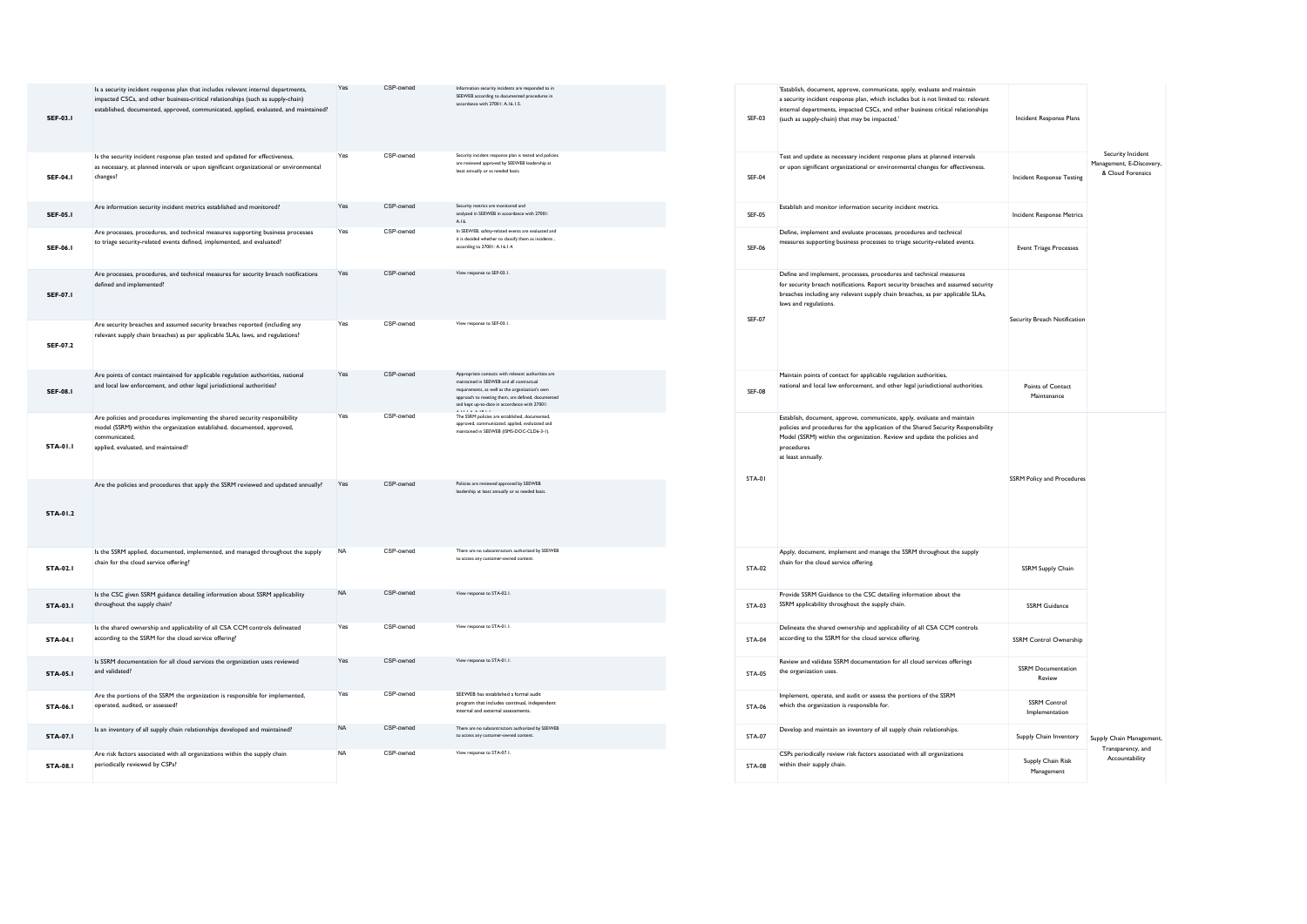| <b>SEF-03.1</b> | Is a security incident response plan that includes relevant internal departments,<br>impacted CSCs, and other business-critical relationships (such as supply-chain)<br>established, documented, approved, communicated, applied, evaluated, and maintained? | Yes       | CSP-owned | Information security incidents are responded to in<br>SEEWEB according to documented procedures in<br>accordance with 27001: A.16.1.5.                                                                                                                  | <b>SEF-03</b> |
|-----------------|--------------------------------------------------------------------------------------------------------------------------------------------------------------------------------------------------------------------------------------------------------------|-----------|-----------|---------------------------------------------------------------------------------------------------------------------------------------------------------------------------------------------------------------------------------------------------------|---------------|
| <b>SEF-04.1</b> | Is the security incident response plan tested and updated for effectiveness,<br>as necessary, at planned intervals or upon significant organizational or environmental<br>changes?                                                                           | Yes       | CSP-owned | Security incident response plan is tested and policies<br>are reviewed approved by SEEWEB leadership at<br>least annually or as needed basis.                                                                                                           | <b>SEF-04</b> |
| <b>SEF-05.1</b> | Are information security incident metrics established and monitored?                                                                                                                                                                                         | Yes       | CSP-owned | Security metrics are monitored and<br>analyzed in SEEWEB in accordance with 27001:<br>A.16                                                                                                                                                              | <b>SEF-05</b> |
| <b>SEF-06.1</b> | Are processes, procedures, and technical measures supporting business processes<br>to triage security-related events defined, implemented, and evaluated?                                                                                                    | Yes       | CSP-owned | In SEEWEB, safety-related events are evaluated and<br>it is decided whether to classify them as incidents.<br>according to 27001: A.16.1.4.                                                                                                             | <b>SEF-06</b> |
| <b>SEF-07.1</b> | Are processes, procedures, and technical measures for security breach notifications<br>defined and implemented?                                                                                                                                              | Yes       | CSP-owned | View response to SEF-03.1.                                                                                                                                                                                                                              | <b>SEF-07</b> |
| <b>SEF-07.2</b> | Are security breaches and assumed security breaches reported (including any<br>relevant supply chain breaches) as per applicable SLAs, laws, and regulations?                                                                                                | Yes       | CSP-owned | View response to SEF-03.1.                                                                                                                                                                                                                              |               |
| <b>SEF-08.1</b> | Are points of contact maintained for applicable regulation authorities, national<br>and local law enforcement, and other legal jurisdictional authorities?                                                                                                   | Yes       | CSP-owned | Appropriate contacts with relevant authorities are<br>maintained in SEEWEB and all contractual<br>requirements, as well as the organization's own<br>approach to meeting them, are defined, documented<br>and kept up-to-date in accordance with 27001: | SEF-08        |
| <b>STA-01.1</b> | Are policies and procedures implementing the shared security responsibility<br>model (SSRM) within the organization established, documented, approved,<br>communicated,<br>applied, evaluated, and maintained?                                               | Yes       | CSP-owned | The SSRM policies are established, documented,<br>approved, communicated, applied, evalutated and<br>maintained in SEEWEB (ISMS-DOC-CLD6-3-1).                                                                                                          |               |
| STA-01.2        | Are the policies and procedures that apply the SSRM reviewed and updated annually?                                                                                                                                                                           | Yes       | CSP-owned | Policies are reviewed approved by SEEWEB<br>leadership at least annually or as needed basis                                                                                                                                                             | STA-01        |
| <b>STA-02.1</b> | Is the SSRM applied, documented, implemented, and managed throughout the supply<br>chain for the cloud service offering?                                                                                                                                     | <b>NA</b> | CSP-owned | There are no subcontractors authorized by SEEWEB<br>to access any customer-owned content.                                                                                                                                                               | <b>STA-02</b> |
| <b>STA-03.1</b> | Is the CSC given SSRM guidance detailing information about SSRM applicability<br>throughout the supply chain?                                                                                                                                                | <b>NA</b> | CSP-owned | View response to STA-02.1.                                                                                                                                                                                                                              | STA-03        |
| <b>STA-04.1</b> | Is the shared ownership and applicability of all CSA CCM controls delineated<br>according to the SSRM for the cloud service offering?                                                                                                                        | Yes       | CSP-owned | View response to STA-01.1.                                                                                                                                                                                                                              | <b>STA-04</b> |
| <b>STA-05.1</b> | Is SSRM documentation for all cloud services the organization uses reviewed<br>and validated?                                                                                                                                                                | Yes       | CSP-owned | View response to STA-01.1.                                                                                                                                                                                                                              | <b>STA-05</b> |
| <b>STA-06.1</b> | Are the portions of the SSRM the organization is responsible for implemented,<br>operated, audited, or assessed?                                                                                                                                             | Yes       | CSP-owned | SEEWEB has established a formal audit<br>program that includes continual, independent<br>internal and external assessments.                                                                                                                             | <b>STA-06</b> |
| <b>STA-07.1</b> | Is an inventory of all supply chain relationships developed and maintained?                                                                                                                                                                                  | <b>NA</b> | CSP-owned | There are no subcontractors authorized by SEEWEB<br>to access any customer-owned content.                                                                                                                                                               | <b>STA-07</b> |
| <b>STA-08.1</b> | Are risk factors associated with all organizations within the supply chain<br>periodically reviewed by CSPs?                                                                                                                                                 | <b>NA</b> | CSP-owned | View response to STA-07.1                                                                                                                                                                                                                               | <b>STA-08</b> |

| SEE 03        | 'Establish, document, approve, communicate, apply, evaluate and maintain<br>a security incident response plan, which includes but is not limited to: relevant<br>internal departments, impacted CSCs, and other business critical relationships<br>(such as supply-chain) that may be impacted.' | <b>Incident Response Plans</b>        |                                                                    |
|---------------|--------------------------------------------------------------------------------------------------------------------------------------------------------------------------------------------------------------------------------------------------------------------------------------------------|---------------------------------------|--------------------------------------------------------------------|
| <b>SEF-04</b> | Test and update as necessary incident response plans at planned intervals<br>or upon significant organizational or environmental changes for effectiveness.                                                                                                                                      | <b>Incident Response Testing</b>      | Security Incident<br>Management, E-Discovery,<br>& Cloud Forensics |
| <b>SFF-05</b> | Establish and monitor information security incident metrics.                                                                                                                                                                                                                                     | <b>Incident Response Metrics</b>      |                                                                    |
| SEF-06        | Define, implement and evaluate processes, procedures and technical<br>measures supporting business processes to triage security-related events.                                                                                                                                                  | <b>Event Triage Processes</b>         |                                                                    |
| <b>SEF-07</b> | Define and implement, processes, procedures and technical measures<br>for security breach notifications. Report security breaches and assumed security<br>breaches including any relevant supply chain breaches, as per applicable SLAs,<br>laws and regulations.                                | Security Breach Notification          |                                                                    |
| <b>SEF-08</b> | Maintain points of contact for applicable regulation authorities,<br>national and local law enforcement, and other legal jurisdictional authorities.                                                                                                                                             | Points of Contact<br>Maintenance      |                                                                    |
| <b>STA-01</b> | Establish, document, approve, communicate, apply, evaluate and maintain<br>policies and procedures for the application of the Shared Security Responsibility<br>Model (SSRM) within the organization. Review and update the policies and<br>procedures<br>at least annually.                     | <b>SSRM Policy and Procedures</b>     |                                                                    |
| <b>STA-02</b> | Apply, document, implement and manage the SSRM throughout the supply<br>chain for the cloud service offering.                                                                                                                                                                                    | SSRM Supply Chain                     |                                                                    |
| <b>STA-03</b> | Provide SSRM Guidance to the CSC detailing information about the<br>SSRM applicability throughout the supply chain.                                                                                                                                                                              | <b>SSRM Guidance</b>                  |                                                                    |
| <b>STA-04</b> | Delineate the shared ownership and applicability of all CSA CCM controls<br>according to the SSRM for the cloud service offering.                                                                                                                                                                | SSRM Control Ownership                |                                                                    |
| <b>STA-05</b> | Review and validate SSRM documentation for all cloud services offerings<br>the organization uses.                                                                                                                                                                                                | <b>SSRM</b> Documentation<br>Review   |                                                                    |
| STA-06        | Implement, operate, and audit or assess the portions of the SSRM<br>which the organization is responsible for.                                                                                                                                                                                   | <b>SSRM Control</b><br>Implementation |                                                                    |
| <b>STA-07</b> | Develop and maintain an inventory of all supply chain relationships.                                                                                                                                                                                                                             | Supply Chain Inventory                | Supply Chain Management,<br>Transparency, and                      |
| STA-08        | CSPs periodically review risk factors associated with all organizations<br>within their supply chain.                                                                                                                                                                                            | Supply Chain Risk<br>Management       | Accountability                                                     |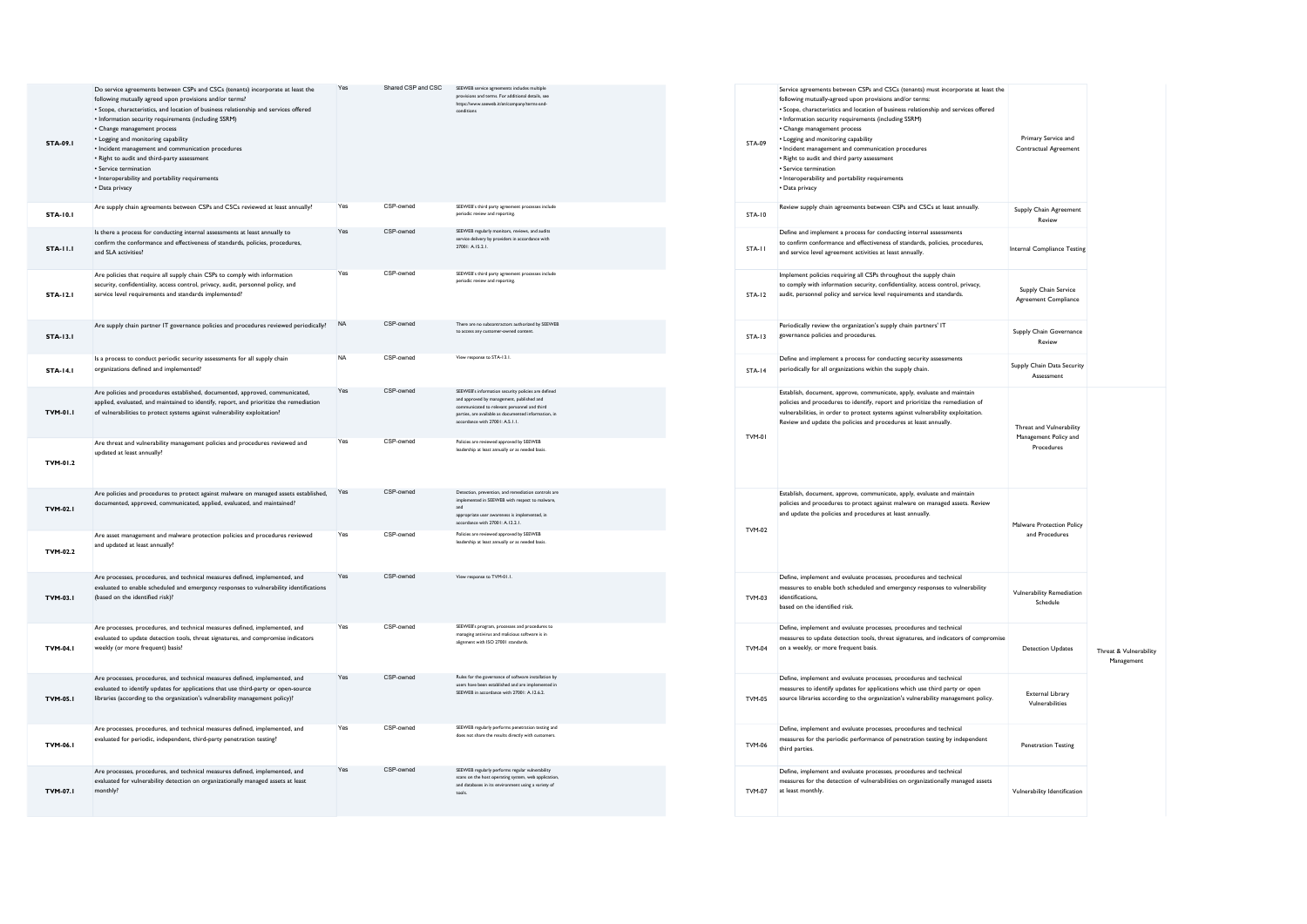| <b>STA-09.1</b> | Do service agreements between CSPs and CSCs (tenants) incorporate at least the<br>following mutually agreed upon provisions and/or terms?<br>• Scope, characteristics, and location of business relationship and services offered<br>• Information security requirements (including SSRM)<br>• Change management process<br>• Logging and monitoring capability<br>• Incident management and communication procedures<br>• Right to audit and third-party assessment<br>· Service termination<br>• Interoperability and portability requirements<br>• Data privacy | Yes       | Shared CSP and CSC | SEEWEB service agreements includes multiple<br>provisions and terms. For additional details, see<br>https://www.seeweb.it/en/company/terms-and-<br>conditions                                                                        | <b>STA-09</b> |
|-----------------|--------------------------------------------------------------------------------------------------------------------------------------------------------------------------------------------------------------------------------------------------------------------------------------------------------------------------------------------------------------------------------------------------------------------------------------------------------------------------------------------------------------------------------------------------------------------|-----------|--------------------|--------------------------------------------------------------------------------------------------------------------------------------------------------------------------------------------------------------------------------------|---------------|
| <b>STA-10.1</b> | Are supply chain agreements between CSPs and CSCs reviewed at least annually?                                                                                                                                                                                                                                                                                                                                                                                                                                                                                      | Yes       | CSP-owned          | SEEWEB's third party agreement processes include<br>periodic review and reporting.                                                                                                                                                   | <b>STA-10</b> |
| <b>STA-11.1</b> | Is there a process for conducting internal assessments at least annually to<br>confirm the conformance and effectiveness of standards, policies, procedures,<br>and SLA activities?                                                                                                                                                                                                                                                                                                                                                                                | Yes       | CSP-owned          | SEEWEB regularly monitors, reviews, and audits<br>service delivery by providers in accordance with<br>27001: A.15.2.1.                                                                                                               | STA-11        |
| <b>STA-12.1</b> | Are policies that require all supply chain CSPs to comply with information<br>security, confidentiality, access control, privacy, audit, personnel policy, and<br>service level requirements and standards implemented?                                                                                                                                                                                                                                                                                                                                            | Yes       | CSP-owned          | SEEWEB's third party agreement processes include<br>periodic review and reporting.                                                                                                                                                   | <b>STA-12</b> |
| <b>STA-13.1</b> | Are supply chain partner IT governance policies and procedures reviewed periodically?                                                                                                                                                                                                                                                                                                                                                                                                                                                                              | <b>NA</b> | CSP-owned          | There are no subcontractors authorized by SEEWEB<br>to access any customer-owned content                                                                                                                                             | <b>STA-13</b> |
| <b>STA-14.1</b> | Is a process to conduct periodic security assessments for all supply chain<br>organizations defined and implemented?                                                                                                                                                                                                                                                                                                                                                                                                                                               | <b>NA</b> | CSP-owned          | View response to STA-13 1                                                                                                                                                                                                            | <b>STA-14</b> |
| <b>TVM-01.1</b> | Are policies and procedures established, documented, approved, communicated,<br>applied, evaluated, and maintained to identify, report, and prioritize the remediation<br>of vulnerabilities to protect systems against vulnerability exploitation?                                                                                                                                                                                                                                                                                                                | Yes       | CSP-owned          | SEEWEB's information security policies are defined<br>and approved by management, published and<br>icated to relevant personnel and third<br>parties, are available as documented information, in<br>accordance with 27001: A.S.1.1. | TVM-01        |
| TVM-01.2        | Are threat and vulnerability management policies and procedures reviewed and<br>updated at least annually?                                                                                                                                                                                                                                                                                                                                                                                                                                                         | Yes       | CSP-owned          | Policies are reviewed approved by SEEWEB<br>leadership at least annually or as needed basis.                                                                                                                                         |               |
| <b>TVM-02.1</b> | Are policies and procedures to protect against malware on managed assets established,<br>documented, approved, communicated, applied, evaluated, and maintained?                                                                                                                                                                                                                                                                                                                                                                                                   | Yes       | CSP-owned          | Detection, prevention, and remediation controls are<br>implemented in SEEWEB with respect to malware.<br>and<br>appropriate user awareness is implemented, in<br>accordance with 27001: A.12.2.1.                                    | TVM-02        |
| TVM-02.2        | Are asset management and malware protection policies and procedures reviewed<br>and updated at least annually?                                                                                                                                                                                                                                                                                                                                                                                                                                                     | Yes       | CSP-owned          | Policies are reviewed approved by SEEWEB<br>leadership at least annually or as needed basis                                                                                                                                          |               |
| <b>TVM-03.1</b> | Are processes, procedures, and technical measures defined, implemented, and<br>evaluated to enable scheduled and emergency responses to vulnerability identifications<br>(based on the identified risk)?                                                                                                                                                                                                                                                                                                                                                           | Yes       | CSP-owned          | View response to TVM-01.1.                                                                                                                                                                                                           | TVM-03        |
| <b>TVM-04.1</b> | Are processes, procedures, and technical measures defined, implemented, and<br>evaluated to update detection tools, threat signatures, and compromise indicators<br>weekly (or more frequent) basis?                                                                                                                                                                                                                                                                                                                                                               | Yes       | CSP-owned          | SEEWEB's program, processes and procedures to<br>managing antivirus and malicious software is in<br>alignment with ISO 27001 standards.                                                                                              | <b>TVM-04</b> |
| <b>TVM-05.1</b> | Are processes, procedures, and technical measures defined, implemented, and<br>evaluated to identify updates for applications that use third-party or open-source<br>libraries (according to the organization's vulnerability management policy)?                                                                                                                                                                                                                                                                                                                  | Yes       | CSP-owned          | Rules for the governance of software installation by<br>users have been established and are implemented in<br>SEEWEB in accordance with 27001: A.12.6.2.                                                                             | <b>TVM-05</b> |
| TVM-06.1        | Are processes, procedures, and technical measures defined, implemented, and<br>evaluated for periodic, independent, third-party penetration testing?                                                                                                                                                                                                                                                                                                                                                                                                               | Yes       | CSP-owned          | SEEWEB regularly performs penetration testing and<br>does not share the results directly with customers.                                                                                                                             | TVM-06        |
| TVM-07.I        | Are processes, procedures, and technical measures defined, implemented, and<br>evaluated for vulnerability detection on organizationally managed assets at least<br>monthly?                                                                                                                                                                                                                                                                                                                                                                                       | Yes       | CSP-owned          | SEEWEB regularly performs regular vulnerability<br>scans on the host operating system, web application,<br>and databases in its environment using a variety of<br>tools.                                                             | TVM-07        |

| STA-09        | Service agreements between CSPs and CSCs (tenants) must incorporate at least the<br>following mutually-agreed upon provisions and/or terms:<br>· Scope, characteristics and location of business relationship and services offered<br>• Information security requirements (including SSRM)<br>• Change management process<br>• Logging and monitoring capability<br>• Incident management and communication procedures<br>• Right to audit and third party assessment<br>· Service termination<br>• Interoperability and portability requirements<br>· Data privacy | Primary Service and<br>Contractual Agreement                    |                                      |
|---------------|---------------------------------------------------------------------------------------------------------------------------------------------------------------------------------------------------------------------------------------------------------------------------------------------------------------------------------------------------------------------------------------------------------------------------------------------------------------------------------------------------------------------------------------------------------------------|-----------------------------------------------------------------|--------------------------------------|
| <b>STA-10</b> | Review supply chain agreements between CSPs and CSCs at least annually.                                                                                                                                                                                                                                                                                                                                                                                                                                                                                             | Supply Chain Agreement<br>Review                                |                                      |
| STA-11        | Define and implement a process for conducting internal assessments<br>to confirm conformance and effectiveness of standards, policies, procedures,<br>and service level agreement activities at least annually.                                                                                                                                                                                                                                                                                                                                                     | Internal Compliance Testing                                     |                                      |
| <b>STA-12</b> | Implement policies requiring all CSPs throughout the supply chain<br>to comply with information security, confidentiality, access control, privacy,<br>audit, personnel policy and service level requirements and standards.                                                                                                                                                                                                                                                                                                                                        | Supply Chain Service<br>Agreement Compliance                    |                                      |
| <b>STA.13</b> | Periodically review the organization's supply chain partners' IT<br>governance policies and procedures.                                                                                                                                                                                                                                                                                                                                                                                                                                                             | Supply Chain Governance<br>Review                               |                                      |
| <b>STA-14</b> | Define and implement a process for conducting security assessments<br>periodically for all organizations within the supply chain.                                                                                                                                                                                                                                                                                                                                                                                                                                   | Supply Chain Data Security<br>Assessment                        |                                      |
| TVM-01        | Establish, document, approve, communicate, apply, evaluate and maintain<br>policies and procedures to identify, report and prioritize the remediation of<br>vulnerabilities, in order to protect systems against vulnerability exploitation.<br>Review and update the policies and procedures at least annually.                                                                                                                                                                                                                                                    | Threat and Vulnerability<br>Management Policy and<br>Procedures |                                      |
| TVM-02        | Establish, document, approve, communicate, apply, evaluate and maintain<br>policies and procedures to protect against malware on managed assets. Review<br>and update the policies and procedures at least annually.                                                                                                                                                                                                                                                                                                                                                | Malware Protection Policy<br>and Procedures                     |                                      |
| TVM-03        | Define, implement and evaluate processes, procedures and technical<br>measures to enable both scheduled and emergency responses to vulnerability<br>identifications.<br>based on the identified risk.                                                                                                                                                                                                                                                                                                                                                               | Vulnerability Remediation<br>Schedule                           |                                      |
| <b>TVM-04</b> | Define, implement and evaluate processes, procedures and technical<br>measures to update detection tools, threat signatures, and indicators of compromise<br>on a weekly, or more frequent basis.                                                                                                                                                                                                                                                                                                                                                                   | <b>Detection Updates</b>                                        | Threat & Vulnerability<br>Management |
| <b>TVM-05</b> | Define, implement and evaluate processes, procedures and technical<br>measures to identify updates for applications which use third party or open<br>source libraries according to the organization's vulnerability management policy.                                                                                                                                                                                                                                                                                                                              | <b>External Library</b><br>Vulnerabilities                      |                                      |
| TVM-06        | Define, implement and evaluate processes, procedures and technical<br>measures for the periodic performance of penetration testing by independent<br>third parties.                                                                                                                                                                                                                                                                                                                                                                                                 | <b>Penetration Testing</b>                                      |                                      |
| TVM-07        | Define, implement and evaluate processes, procedures and technical<br>measures for the detection of vulnerabilities on organizationally managed assets<br>at least monthly.                                                                                                                                                                                                                                                                                                                                                                                         | Vulnerability Identification                                    |                                      |
|               |                                                                                                                                                                                                                                                                                                                                                                                                                                                                                                                                                                     |                                                                 |                                      |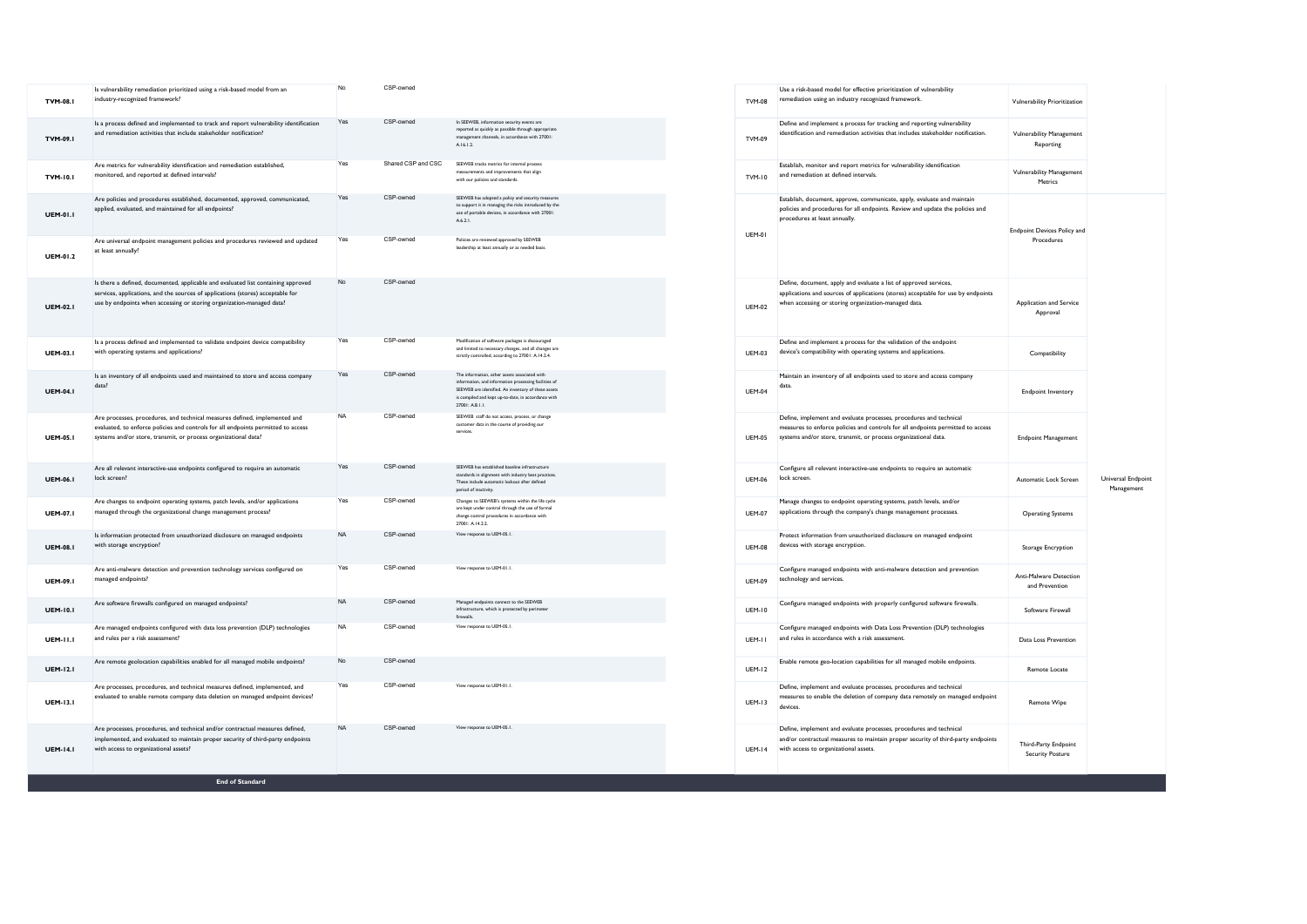| <b>TVM-08.1</b> | Is vulnerability remediation prioritized using a risk-based model from an<br>industry-recognized framework?                                                                                                                                   | No        | CSP-owned          |                                                                                                                                                                                                                                         | <b>TVM-08</b> |
|-----------------|-----------------------------------------------------------------------------------------------------------------------------------------------------------------------------------------------------------------------------------------------|-----------|--------------------|-----------------------------------------------------------------------------------------------------------------------------------------------------------------------------------------------------------------------------------------|---------------|
| TVM-09.1        | Is a process defined and implemented to track and report vulnerability identification<br>and remediation activities that include stakeholder notification?                                                                                    | Yes       | CSP-owned          | In SEEWEB, information security events are<br>reported as quickly as possible through appropriate<br>management channels, in accordance with 27001:<br>A.16.1.2.                                                                        | TVM-09        |
| <b>TVM-10.1</b> | Are metrics for vulnerability identification and remediation established,<br>monitored, and reported at defined intervals?                                                                                                                    | Yes       | Shared CSP and CSC | SEEWER tracks metrics for internal process<br>measurements and improvements that align<br>with our policies and standards.                                                                                                              | TVM-10        |
| <b>UEM-01.1</b> | Are policies and procedures established, documented, approved, communicated,<br>applied, evaluated, and maintained for all endpoints?                                                                                                         | Yes       | CSP-owned          | SEEWEB has adopted a policy and security measures<br>to support it in managing the risks introduced by the<br>use of portable devices, in accordance with 27001:<br>A.6.2.1.                                                            | <b>UEM-01</b> |
| <b>UEM-01.2</b> | Are universal endpoint management policies and procedures reviewed and updated<br>at least annually?                                                                                                                                          | Yes       | CSP-owned          | Policies are reviewed approved by SEEWEB<br>leadership at least annually or as needed basis.                                                                                                                                            |               |
| <b>UEM-02.1</b> | Is there a defined, documented, applicable and evaluated list containing approved<br>services, applications, and the sources of applications (stores) acceptable for<br>use by endpoints when accessing or storing organization-managed data? | No        | CSP-owned          |                                                                                                                                                                                                                                         | <b>UEM-02</b> |
| <b>UEM-03.1</b> | Is a process defined and implemented to validate endpoint device compatibility<br>with operating systems and applications?                                                                                                                    | Yes       | CSP-owned          | Modification of software packages is discouraged<br>and limited to necessary changes, and all changes are<br>strictly controlled, according to 27001: A 14.2.4.                                                                         | <b>UEM-03</b> |
| <b>UEM-04.1</b> | Is an inventory of all endpoints used and maintained to store and access company<br>data?                                                                                                                                                     | Yes       | CSP-owned          | The information, other assets associated with<br>information, and information processing facilities of<br>SEEWEB are identified. An inventory of these assets<br>is compiled and kept up-to-date, in accordance with<br>27001: A.8.1.1. | <b>UEM-04</b> |
| <b>UEM-05.1</b> | Are processes, procedures, and technical measures defined, implemented and<br>evaluated, to enforce policies and controls for all endpoints permitted to access<br>systems and/or store, transmit, or process organizational data?            | NA        | CSP-owned          | SEEWEB staff do not access, process, or change<br>customer data in the course of providing our<br>services                                                                                                                              | <b>UEM-05</b> |
| <b>UEM-06.1</b> | Are all relevant interactive-use endpoints configured to require an automatic<br>lock screen?                                                                                                                                                 | Yes       | CSP-owned          | SEEWEB has established baseline infrastructure<br>standards in alignment with industry best practices.<br>These include automatic lockout after defined<br>period of inactivity                                                         | <b>UFM-06</b> |
| <b>UEM-07.I</b> | Are changes to endpoint operating systems, patch levels, and/or applications<br>managed through the organizational change management process?                                                                                                 | Yes       | CSP-owned          | Changes to SEEWEB's systems within the life cycle<br>are kept under control through the use of formal<br>change control procedures in accordance with<br>27001: A.14.2.2.                                                               | <b>UEM-07</b> |
| <b>UEM-08.1</b> | Is information protected from unauthorized disclosure on managed endpoints<br>with storage encryption?                                                                                                                                        | <b>NA</b> | CSP-owned          | View response to UEM-05.1.                                                                                                                                                                                                              | <b>UEM-08</b> |
| <b>UEM-09.1</b> | Are anti-malware detection and prevention technology services configured on<br>managed endpoints?                                                                                                                                             | Yes       | CSP-owned          | View response to UEM-01.1.                                                                                                                                                                                                              | <b>UFM-09</b> |
| <b>UEM-10.1</b> | Are software firewalls configured on managed endpoints?                                                                                                                                                                                       | <b>NA</b> | CSP-owned          | Managed endpoints connect to the SEEWEB<br>infrastructure, which is protected by perimeter<br>firewalls                                                                                                                                 | <b>UEM-10</b> |
| <b>UEM-11.1</b> | Are managed endpoints configured with data loss prevention (DLP) technologies<br>and rules per a risk assessment?                                                                                                                             | <b>NA</b> | CSP-owned          | View response to UEM-05.1.                                                                                                                                                                                                              | UEM-11        |
| <b>UEM-12.1</b> | Are remote geolocation capabilities enabled for all managed mobile endpoints?                                                                                                                                                                 | No.       | CSP-owned          |                                                                                                                                                                                                                                         | <b>UEM-12</b> |
| <b>UEM-13.1</b> | Are processes, procedures, and technical measures defined, implemented, and<br>evaluated to enable remote company data deletion on managed endpoint devices?                                                                                  | Yes       | CSP-owned          | View response to UEM-01.1.                                                                                                                                                                                                              | <b>UEM-13</b> |
| <b>UEM-14.1</b> | Are processes, procedures, and technical and/or contractual measures defined,<br>implemented, and evaluated to maintain proper security of third-party endpoints<br>with access to organizational assets?                                     | <b>NA</b> | CSP-owned          | View response to UEM-05.1.                                                                                                                                                                                                              | <b>UEM-14</b> |

| <b>TVM-08</b> | Use a risk-based model for effective prioritization of vulnerability<br>remediation using an industry recognized framework.                                                                                              | Vulnerability Prioritization                     |                                  |  |
|---------------|--------------------------------------------------------------------------------------------------------------------------------------------------------------------------------------------------------------------------|--------------------------------------------------|----------------------------------|--|
| TVM-09        | Define and implement a process for tracking and reporting vulnerability<br>identification and remediation activities that includes stakeholder notification.                                                             | <b>Vulnerability Management</b><br>Reporting     |                                  |  |
| TVM-10        | Establish, monitor and report metrics for vulnerability identification<br>and remediation at defined intervals.                                                                                                          | <b>Vulnerability Management</b><br>Metrics       |                                  |  |
| UEM-01        | Establish, document, approve, communicate, apply, evaluate and maintain<br>policies and procedures for all endpoints. Review and update the policies and<br>procedures at least annually.                                | <b>Endpoint Devices Policy and</b><br>Procedures |                                  |  |
| <b>UEM-02</b> | Define, document, apply and evaluate a list of approved services,<br>applications and sources of applications (stores) acceptable for use by endpoints<br>when accessing or storing organization-managed data.           | Application and Service<br>Approval              |                                  |  |
| UEM-03        | Define and implement a process for the validation of the endpoint<br>device's compatibility with operating systems and applications.                                                                                     | Compatibility                                    |                                  |  |
| <b>UEM-04</b> | Maintain an inventory of all endpoints used to store and access company<br>data.                                                                                                                                         | <b>Endpoint Inventory</b>                        |                                  |  |
| <b>UEM-05</b> | Define, implement and evaluate processes, procedures and technical<br>measures to enforce policies and controls for all endpoints permitted to access<br>systems and/or store, transmit, or process organizational data. | <b>Endpoint Management</b>                       |                                  |  |
| <b>UEM-06</b> | Configure all relevant interactive-use endpoints to require an automatic<br>lock screen.                                                                                                                                 | Automatic Lock Screen                            | Universal Endpoint<br>Management |  |
| <b>UEM-07</b> | Manage changes to endpoint operating systems, patch levels, and/or<br>applications through the company's change management processes.                                                                                    | <b>Operating Systems</b>                         |                                  |  |
| <b>UEM-08</b> | Protect information from unauthorized disclosure on managed endpoint<br>devices with storage encryption.                                                                                                                 | Storage Encryption                               |                                  |  |
| UEM-09        | Configure managed endpoints with anti-malware detection and prevention<br>technology and services.                                                                                                                       | Anti-Malware Detection<br>and Prevention         |                                  |  |
| <b>UEM-10</b> | Configure managed endpoints with properly configured software firewalls.                                                                                                                                                 | Software Firewall                                |                                  |  |
| UEM-II        | Configure managed endpoints with Data Loss Prevention (DLP) technologies<br>and rules in accordance with a risk assessment.                                                                                              | Data Loss Prevention                             |                                  |  |
| <b>UEM-12</b> | Enable remote geo-location capabilities for all managed mobile endpoints.                                                                                                                                                | Remote Locate                                    |                                  |  |
| UEM-13        | Define, implement and evaluate processes, procedures and technical<br>measures to enable the deletion of company data remotely on managed endpoint<br>devices.                                                           | Remote Wipe                                      |                                  |  |
| <b>UEM-14</b> | Define, implement and evaluate processes, procedures and technical<br>and/or contractual measures to maintain proper security of third-party endpoints<br>with access to organizational assets.                          | Third-Party Endpoint<br><b>Security Posture</b>  |                                  |  |

End of Standard